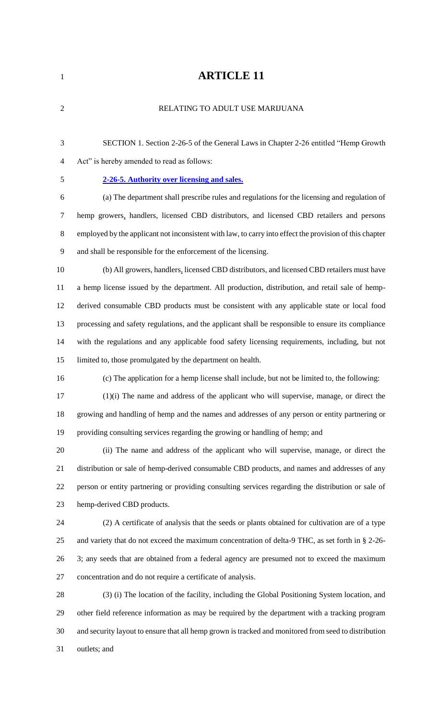# **ARTICLE 11**

| $\sqrt{2}$ | RELATING TO ADULT USE MARIJUANA                                                                         |
|------------|---------------------------------------------------------------------------------------------------------|
| 3          | SECTION 1. Section 2-26-5 of the General Laws in Chapter 2-26 entitled "Hemp Growth"                    |
| 4          | Act" is hereby amended to read as follows:                                                              |
| 5          | 2-26-5. Authority over licensing and sales.                                                             |
| 6          | (a) The department shall prescribe rules and regulations for the licensing and regulation of            |
| 7          | hemp growers, handlers, licensed CBD distributors, and licensed CBD retailers and persons               |
| 8          | employed by the applicant not inconsistent with law, to carry into effect the provision of this chapter |
| 9          | and shall be responsible for the enforcement of the licensing.                                          |
| 10         | (b) All growers, handlers, licensed CBD distributors, and licensed CBD retailers must have              |
| 11         | a hemp license issued by the department. All production, distribution, and retail sale of hemp-         |
| 12         | derived consumable CBD products must be consistent with any applicable state or local food              |
| 13         | processing and safety regulations, and the applicant shall be responsible to ensure its compliance      |
| 14         | with the regulations and any applicable food safety licensing requirements, including, but not          |
| 15         | limited to, those promulgated by the department on health.                                              |
| 16         | (c) The application for a hemp license shall include, but not be limited to, the following:             |
| 17         | $(1)(i)$ The name and address of the applicant who will supervise, manage, or direct the                |
| 18         | growing and handling of hemp and the names and addresses of any person or entity partnering or          |
| 19         | providing consulting services regarding the growing or handling of hemp; and                            |
| 20         | (ii) The name and address of the applicant who will supervise, manage, or direct the                    |
| 21         | distribution or sale of hemp-derived consumable CBD products, and names and addresses of any            |
| 22         | person or entity partnering or providing consulting services regarding the distribution or sale of      |
| 23         | hemp-derived CBD products.                                                                              |
| 24         | (2) A certificate of analysis that the seeds or plants obtained for cultivation are of a type           |
| 25         | and variety that do not exceed the maximum concentration of delta-9 THC, as set forth in § 2-26-        |
| 26         | 3; any seeds that are obtained from a federal agency are presumed not to exceed the maximum             |
| 27         | concentration and do not require a certificate of analysis.                                             |
| 28         | (3) (i) The location of the facility, including the Global Positioning System location, and             |
| 29         | other field reference information as may be required by the department with a tracking program          |
| 30         | and security layout to ensure that all hemp grown is tracked and monitored from seed to distribution    |
| 31         | outlets; and                                                                                            |
|            |                                                                                                         |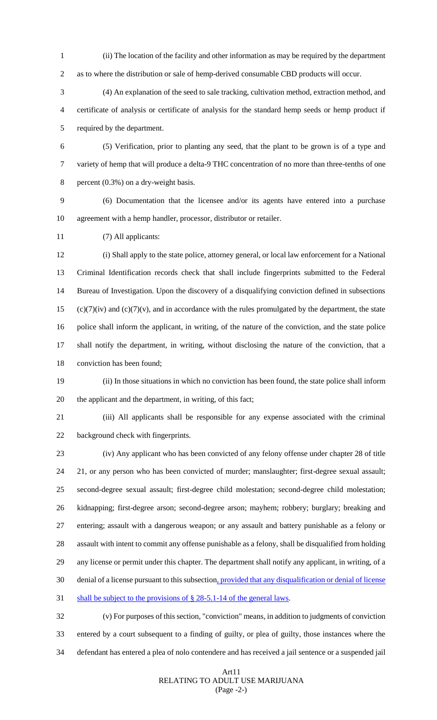- (ii) The location of the facility and other information as may be required by the department as to where the distribution or sale of hemp-derived consumable CBD products will occur.
- (4) An explanation of the seed to sale tracking, cultivation method, extraction method, and certificate of analysis or certificate of analysis for the standard hemp seeds or hemp product if required by the department.
- (5) Verification, prior to planting any seed, that the plant to be grown is of a type and variety of hemp that will produce a delta-9 THC concentration of no more than three-tenths of one percent (0.3%) on a dry-weight basis.
- (6) Documentation that the licensee and/or its agents have entered into a purchase agreement with a hemp handler, processor, distributor or retailer.
- (7) All applicants:

 (i) Shall apply to the state police, attorney general, or local law enforcement for a National Criminal Identification records check that shall include fingerprints submitted to the Federal Bureau of Investigation. Upon the discovery of a disqualifying conviction defined in subsections (c)(7)(iv) and (c)(7)(v), and in accordance with the rules promulgated by the department, the state police shall inform the applicant, in writing, of the nature of the conviction, and the state police shall notify the department, in writing, without disclosing the nature of the conviction, that a conviction has been found;

- (ii) In those situations in which no conviction has been found, the state police shall inform the applicant and the department, in writing, of this fact;
- 

 (iii) All applicants shall be responsible for any expense associated with the criminal background check with fingerprints.

 (iv) Any applicant who has been convicted of any felony offense under chapter 28 of title 21, or any person who has been convicted of murder; manslaughter; first-degree sexual assault; second-degree sexual assault; first-degree child molestation; second-degree child molestation; kidnapping; first-degree arson; second-degree arson; mayhem; robbery; burglary; breaking and entering; assault with a dangerous weapon; or any assault and battery punishable as a felony or assault with intent to commit any offense punishable as a felony, shall be disqualified from holding any license or permit under this chapter. The department shall notify any applicant, in writing, of a denial of a license pursuant to this subsection, provided that any disqualification or denial of license 31 shall be subject to the provisions of § 28-5.1-14 of the general laws.

 (v) For purposes of this section, "conviction" means, in addition to judgments of conviction entered by a court subsequent to a finding of guilty, or plea of guilty, those instances where the defendant has entered a plea of nolo contendere and has received a jail sentence or a suspended jail

#### Art11 RELATING TO ADULT USE MARIJUANA (Page -2-)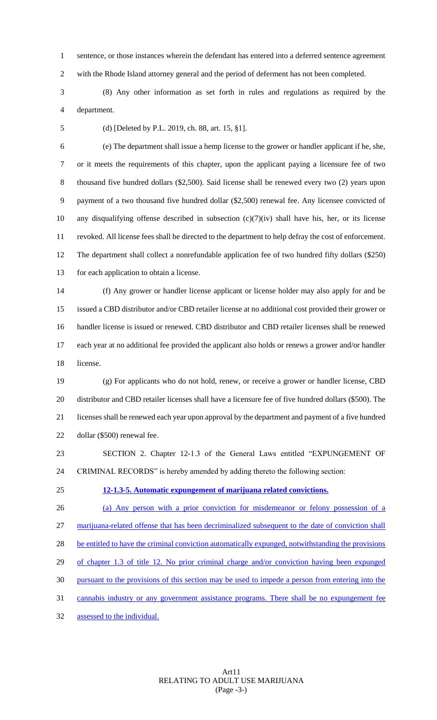sentence, or those instances wherein the defendant has entered into a deferred sentence agreement with the Rhode Island attorney general and the period of deferment has not been completed.

 (8) Any other information as set forth in rules and regulations as required by the department.

(d) [Deleted by P.L. 2019, ch. 88, art. 15, §1].

 (e) The department shall issue a hemp license to the grower or handler applicant if he, she, or it meets the requirements of this chapter, upon the applicant paying a licensure fee of two thousand five hundred dollars (\$2,500). Said license shall be renewed every two (2) years upon payment of a two thousand five hundred dollar (\$2,500) renewal fee. Any licensee convicted of any disqualifying offense described in subsection (c)(7)(iv) shall have his, her, or its license revoked. All license fees shall be directed to the department to help defray the cost of enforcement. The department shall collect a nonrefundable application fee of two hundred fifty dollars (\$250) for each application to obtain a license.

 (f) Any grower or handler license applicant or license holder may also apply for and be issued a CBD distributor and/or CBD retailer license at no additional cost provided their grower or handler license is issued or renewed. CBD distributor and CBD retailer licenses shall be renewed each year at no additional fee provided the applicant also holds or renews a grower and/or handler license.

 (g) For applicants who do not hold, renew, or receive a grower or handler license, CBD distributor and CBD retailer licenses shall have a licensure fee of five hundred dollars (\$500). The licenses shall be renewed each year upon approval by the department and payment of a five hundred dollar (\$500) renewal fee.

 SECTION 2. Chapter 12-1.3 of the General Laws entitled "EXPUNGEMENT OF CRIMINAL RECORDS" is hereby amended by adding thereto the following section:

**12-1.3-5. Automatic expungement of marijuana related convictions.** 

 (a) Any person with a prior conviction for misdemeanor or felony possession of a marijuana-related offense that has been decriminalized subsequent to the date of conviction shall 28 be entitled to have the criminal conviction automatically expunged, notwithstanding the provisions 29 of chapter 1.3 of title 12. No prior criminal charge and/or conviction having been expunged pursuant to the provisions of this section may be used to impede a person from entering into the 31 cannabis industry or any government assistance programs. There shall be no expungement fee

assessed to the individual.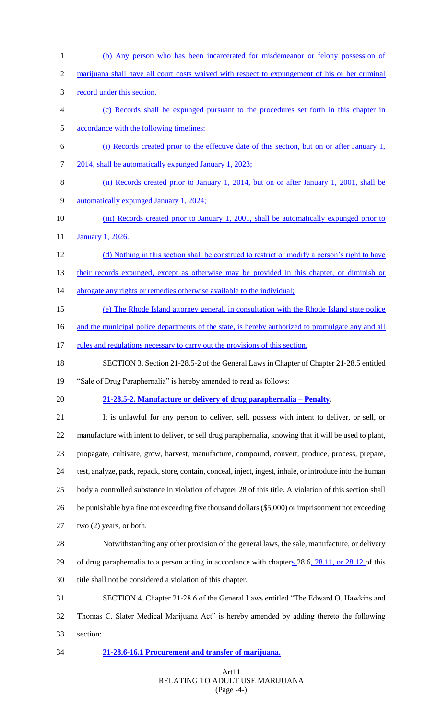(b) Any person who has been incarcerated for misdemeanor or felony possession of marijuana shall have all court costs waived with respect to expungement of his or her criminal record under this section. (c) Records shall be expunged pursuant to the procedures set forth in this chapter in accordance with the following timelines: (i) Records created prior to the effective date of this section, but on or after January 1, 2014, shall be automatically expunged January 1, 2023; (ii) Records created prior to January 1, 2014, but on or after January 1, 2001, shall be automatically expunged January 1, 2024; (iii) Records created prior to January 1, 2001, shall be automatically expunged prior to **January 1, 2026.**  (d) Nothing in this section shall be construed to restrict or modify a person's right to have 13 their records expunged, except as otherwise may be provided in this chapter, or diminish or 14 abrogate any rights or remedies otherwise available to the individual; (e) The Rhode Island attorney general, in consultation with the Rhode Island state police 16 and the municipal police departments of the state, is hereby authorized to promulgate any and all 17 rules and regulations necessary to carry out the provisions of this section. SECTION 3. Section 21-28.5-2 of the General Laws in Chapter of Chapter 21-28.5 entitled "Sale of Drug Paraphernalia" is hereby amended to read as follows: **21-28.5-2. Manufacture or delivery of drug paraphernalia – Penalty.** It is unlawful for any person to deliver, sell, possess with intent to deliver, or sell, or manufacture with intent to deliver, or sell drug paraphernalia, knowing that it will be used to plant, propagate, cultivate, grow, harvest, manufacture, compound, convert, produce, process, prepare, test, analyze, pack, repack, store, contain, conceal, inject, ingest, inhale, or introduce into the human body a controlled substance in violation of chapter 28 of this title. A violation of this section shall be punishable by a fine not exceeding five thousand dollars (\$5,000) or imprisonment not exceeding two (2) years, or both. Notwithstanding any other provision of the general laws, the sale, manufacture, or delivery 29 of drug paraphernalia to a person acting in accordance with chapters 28.6, 28.11, or 28.12 of this title shall not be considered a violation of this chapter. SECTION 4. Chapter 21-28.6 of the General Laws entitled "The Edward O. Hawkins and Thomas C. Slater Medical Marijuana Act" is hereby amended by adding thereto the following section: **21-28.6-16.1 Procurement and transfer of marijuana.**

# Art11 RELATING TO ADULT USE MARIJUANA (Page -4-)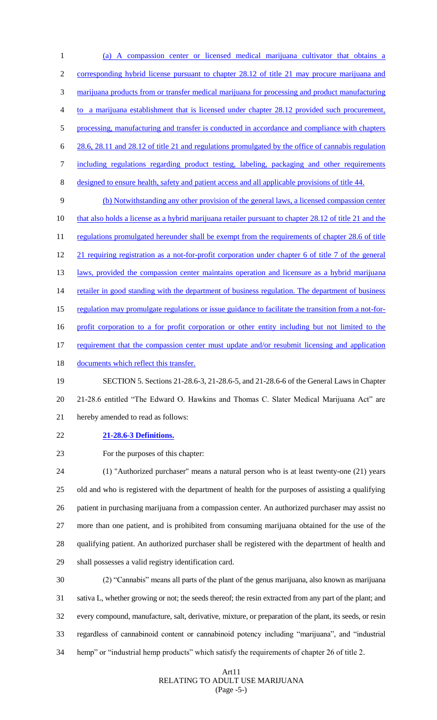(a) A compassion center or licensed medical marijuana cultivator that obtains a corresponding hybrid license pursuant to chapter 28.12 of title 21 may procure marijuana and marijuana products from or transfer medical marijuana for processing and product manufacturing to a marijuana establishment that is licensed under chapter 28.12 provided such procurement, 5 processing, manufacturing and transfer is conducted in accordance and compliance with chapters 28.6, 28.11 and 28.12 of title 21 and regulations promulgated by the office of cannabis regulation including regulations regarding product testing, labeling, packaging and other requirements designed to ensure health, safety and patient access and all applicable provisions of title 44. (b) Notwithstanding any other provision of the general laws, a licensed compassion center 10 that also holds a license as a hybrid marijuana retailer pursuant to chapter 28.12 of title 21 and the 11 regulations promulgated hereunder shall be exempt from the requirements of chapter 28.6 of title 21 requiring registration as a not-for-profit corporation under chapter 6 of title 7 of the general 13 laws, provided the compassion center maintains operation and licensure as a hybrid marijuana 14 retailer in good standing with the department of business regulation. The department of business regulation may promulgate regulations or issue guidance to facilitate the transition from a not-for-16 profit corporation to a for profit corporation or other entity including but not limited to the 17 requirement that the compassion center must update and/or resubmit licensing and application 18 documents which reflect this transfer.

 SECTION 5. Sections 21-28.6-3, 21-28.6-5, and 21-28.6-6 of the General Laws in Chapter 21-28.6 entitled "The Edward O. Hawkins and Thomas C. Slater Medical Marijuana Act" are hereby amended to read as follows:

**21-28.6-3 Definitions.**

For the purposes of this chapter:

 (1) "Authorized purchaser" means a natural person who is at least twenty-one (21) years old and who is registered with the department of health for the purposes of assisting a qualifying patient in purchasing marijuana from a compassion center. An authorized purchaser may assist no more than one patient, and is prohibited from consuming marijuana obtained for the use of the qualifying patient. An authorized purchaser shall be registered with the department of health and shall possesses a valid registry identification card.

 (2) "Cannabis" means all parts of the plant of the genus marijuana, also known as marijuana sativa L, whether growing or not; the seeds thereof; the resin extracted from any part of the plant; and every compound, manufacture, salt, derivative, mixture, or preparation of the plant, its seeds, or resin regardless of cannabinoid content or cannabinoid potency including "marijuana", and "industrial hemp" or "industrial hemp products" which satisfy the requirements of chapter 26 of title 2.

#### Art11 RELATING TO ADULT USE MARIJUANA (Page -5-)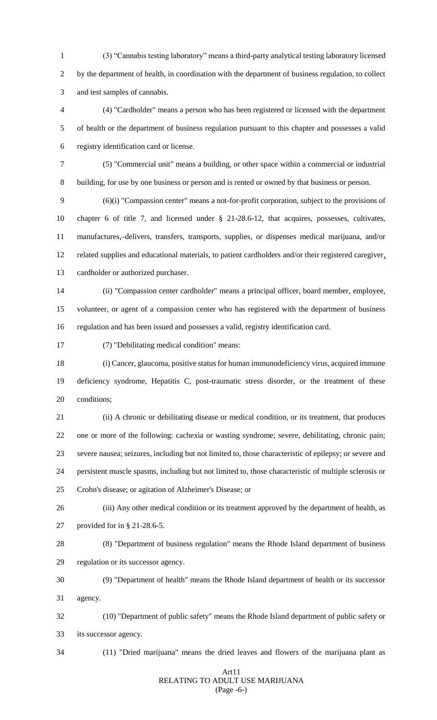(3) "Cannabis testing laboratory" means a third-party analytical testing laboratory licensed by the department of health, in coordination with the department of business regulation, to collect and test samples of cannabis.

 (4) "Cardholder" means a person who has been registered or licensed with the department of health or the department of business regulation pursuant to this chapter and possesses a valid registry identification card or license.

 (5) "Commercial unit" means a building, or other space within a commercial or industrial building, for use by one business or person and is rented or owned by that business or person.

 (6)(i) "Compassion center" means a not-for-profit corporation, subject to the provisions of chapter 6 of title 7, and licensed under § 21-28.6-12, that acquires, possesses, cultivates, manufactures, delivers, transfers, transports, supplies, or dispenses medical marijuana, and/or related supplies and educational materials, to patient cardholders and/or their registered caregiver, cardholder or authorized purchaser.

 (ii) "Compassion center cardholder" means a principal officer, board member, employee, volunteer, or agent of a compassion center who has registered with the department of business regulation and has been issued and possesses a valid, registry identification card.

(7) "Debilitating medical condition" means:

 (i) Cancer, glaucoma, positive status for human immunodeficiency virus, acquired immune deficiency syndrome, Hepatitis C, post-traumatic stress disorder, or the treatment of these conditions;

 (ii) A chronic or debilitating disease or medical condition, or its treatment, that produces one or more of the following: cachexia or wasting syndrome; severe, debilitating, chronic pain; severe nausea; seizures, including but not limited to, those characteristic of epilepsy; or severe and persistent muscle spasms, including but not limited to, those characteristic of multiple sclerosis or Crohn's disease; or agitation of Alzheimer's Disease; or

 (iii) Any other medical condition or its treatment approved by the department of health, as provided for in § 21-28.6-5.

 (8) "Department of business regulation" means the Rhode Island department of business regulation or its successor agency.

 (9) "Department of health" means the Rhode Island department of health or its successor agency.

 (10) "Department of public safety" means the Rhode Island department of public safety or its successor agency.

(11) "Dried marijuana" means the dried leaves and flowers of the marijuana plant as

#### Art11 RELATING TO ADULT USE MARIJUANA (Page -6-)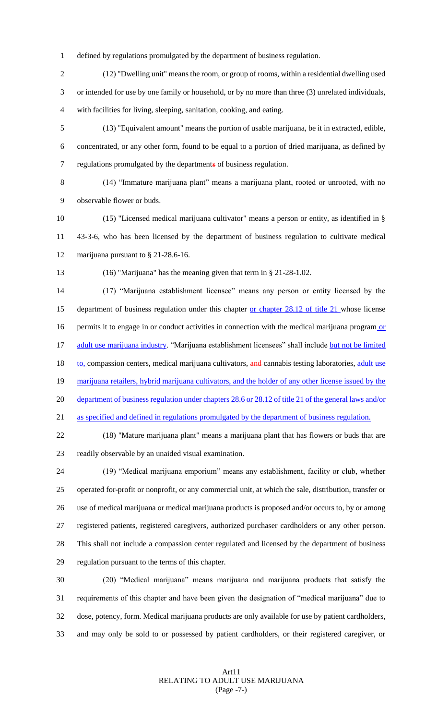- defined by regulations promulgated by the department of business regulation.
- (12) "Dwelling unit" means the room, or group of rooms, within a residential dwelling used or intended for use by one family or household, or by no more than three (3) unrelated individuals, with facilities for living, sleeping, sanitation, cooking, and eating.
- (13) "Equivalent amount" means the portion of usable marijuana, be it in extracted, edible, concentrated, or any other form, found to be equal to a portion of dried marijuana, as defined by regulations promulgated by the departments of business regulation.
- (14) "Immature marijuana plant" means a marijuana plant, rooted or unrooted, with no observable flower or buds.
- (15) "Licensed medical marijuana cultivator" means a person or entity, as identified in § 43-3-6, who has been licensed by the department of business regulation to cultivate medical 12 marijuana pursuant to § 21-28.6-16.
- 

(16) "Marijuana" has the meaning given that term in § 21-28-1.02.

 (17) "Marijuana establishment licensee" means any person or entity licensed by the 15 department of business regulation under this chapter <u>or chapter 28.12 of title 21</u> whose license 16 permits it to engage in or conduct activities in connection with the medical marijuana program or 17 adult use marijuana industry. "Marijuana establishment licensees" shall include but not be limited 18 to, compassion centers, medical marijuana cultivators, and cannabis testing laboratories, adult use 19 marijuana retailers, hybrid marijuana cultivators, and the holder of any other license issued by the department of business regulation under chapters 28.6 or 28.12 of title 21 of the general laws and/or as specified and defined in regulations promulgated by the department of business regulation.

 (18) "Mature marijuana plant" means a marijuana plant that has flowers or buds that are readily observable by an unaided visual examination.

 (19) "Medical marijuana emporium" means any establishment, facility or club, whether operated for-profit or nonprofit, or any commercial unit, at which the sale, distribution, transfer or use of medical marijuana or medical marijuana products is proposed and/or occurs to, by or among registered patients, registered caregivers, authorized purchaser cardholders or any other person. This shall not include a compassion center regulated and licensed by the department of business regulation pursuant to the terms of this chapter.

 (20) "Medical marijuana" means marijuana and marijuana products that satisfy the requirements of this chapter and have been given the designation of "medical marijuana" due to dose, potency, form. Medical marijuana products are only available for use by patient cardholders, and may only be sold to or possessed by patient cardholders, or their registered caregiver, or

# Art11 RELATING TO ADULT USE MARIJUANA (Page -7-)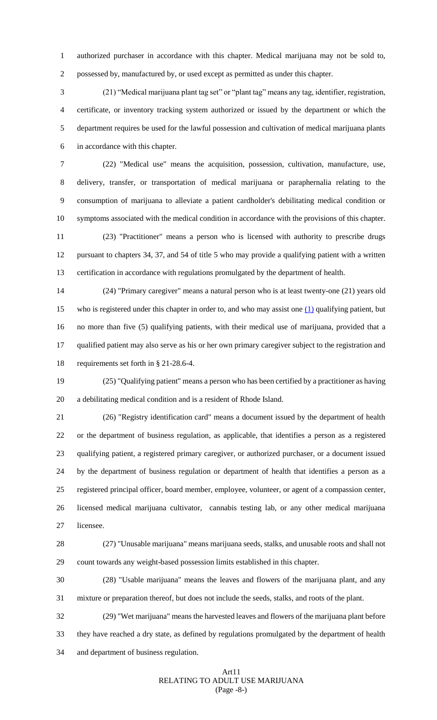authorized purchaser in accordance with this chapter. Medical marijuana may not be sold to, possessed by, manufactured by, or used except as permitted as under this chapter.

 (21) "Medical marijuana plant tag set" or "plant tag" means any tag, identifier, registration, certificate, or inventory tracking system authorized or issued by the department or which the department requires be used for the lawful possession and cultivation of medical marijuana plants in accordance with this chapter.

 (22) "Medical use" means the acquisition, possession, cultivation, manufacture, use, delivery, transfer, or transportation of medical marijuana or paraphernalia relating to the consumption of marijuana to alleviate a patient cardholder's debilitating medical condition or symptoms associated with the medical condition in accordance with the provisions of this chapter.

 (23) "Practitioner" means a person who is licensed with authority to prescribe drugs pursuant to chapters 34, 37, and 54 of title 5 who may provide a qualifying patient with a written certification in accordance with regulations promulgated by the department of health.

 (24) "Primary caregiver" means a natural person who is at least twenty-one (21) years old 15 who is registered under this chapter in order to, and who may assist one  $(1)$  qualifying patient, but no more than five (5) qualifying patients, with their medical use of marijuana, provided that a qualified patient may also serve as his or her own primary caregiver subject to the registration and requirements set forth in § 21-28.6-4.

 (25) "Qualifying patient" means a person who has been certified by a practitioner as having a debilitating medical condition and is a resident of Rhode Island.

 (26) "Registry identification card" means a document issued by the department of health or the department of business regulation, as applicable, that identifies a person as a registered qualifying patient, a registered primary caregiver, or authorized purchaser, or a document issued by the department of business regulation or department of health that identifies a person as a registered principal officer, board member, employee, volunteer, or agent of a compassion center, licensed medical marijuana cultivator, cannabis testing lab, or any other medical marijuana licensee.

 (27) "Unusable marijuana" means marijuana seeds, stalks, and unusable roots and shall not count towards any weight-based possession limits established in this chapter.

 (28) "Usable marijuana" means the leaves and flowers of the marijuana plant, and any mixture or preparation thereof, but does not include the seeds, stalks, and roots of the plant.

 (29) "Wet marijuana" means the harvested leaves and flowers of the marijuana plant before they have reached a dry state, as defined by regulations promulgated by the department of health and department of business regulation.

#### Art11 RELATING TO ADULT USE MARIJUANA (Page -8-)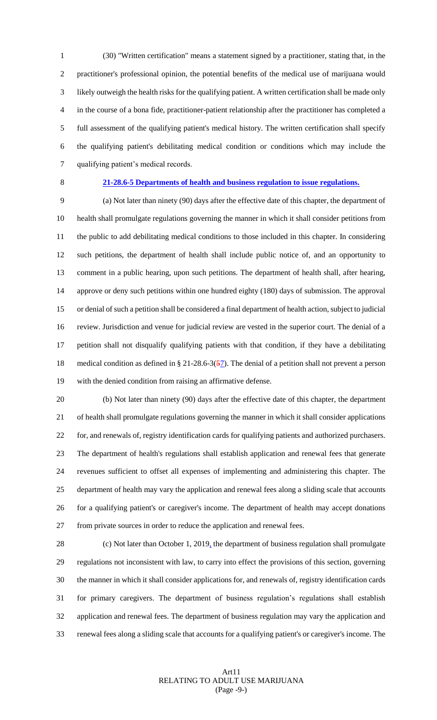(30) "Written certification" means a statement signed by a practitioner, stating that, in the practitioner's professional opinion, the potential benefits of the medical use of marijuana would likely outweigh the health risks for the qualifying patient. A written certification shall be made only in the course of a bona fide, practitioner-patient relationship after the practitioner has completed a full assessment of the qualifying patient's medical history. The written certification shall specify the qualifying patient's debilitating medical condition or conditions which may include the qualifying patient's medical records.

# **21-28.6-5 Departments of health and business regulation to issue regulations.**

 (a) Not later than ninety (90) days after the effective date of this chapter, the department of health shall promulgate regulations governing the manner in which it shall consider petitions from the public to add debilitating medical conditions to those included in this chapter. In considering such petitions, the department of health shall include public notice of, and an opportunity to comment in a public hearing, upon such petitions. The department of health shall, after hearing, approve or deny such petitions within one hundred eighty (180) days of submission. The approval or denial of such a petition shall be considered a final department of health action, subject to judicial review. Jurisdiction and venue for judicial review are vested in the superior court. The denial of a petition shall not disqualify qualifying patients with that condition, if they have a debilitating 18 medical condition as defined in § 21-28.6-3( $\frac{57}{2}$ ). The denial of a petition shall not prevent a person with the denied condition from raising an affirmative defense.

 (b) Not later than ninety (90) days after the effective date of this chapter, the department of health shall promulgate regulations governing the manner in which it shall consider applications for, and renewals of, registry identification cards for qualifying patients and authorized purchasers. The department of health's regulations shall establish application and renewal fees that generate revenues sufficient to offset all expenses of implementing and administering this chapter. The department of health may vary the application and renewal fees along a sliding scale that accounts for a qualifying patient's or caregiver's income. The department of health may accept donations from private sources in order to reduce the application and renewal fees.

28 (c) Not later than October 1, 2019<sub>1</sub> the department of business regulation shall promulgate regulations not inconsistent with law, to carry into effect the provisions of this section, governing the manner in which it shall consider applications for, and renewals of, registry identification cards for primary caregivers. The department of business regulation's regulations shall establish application and renewal fees. The department of business regulation may vary the application and renewal fees along a sliding scale that accounts for a qualifying patient's or caregiver's income. The

# Art11 RELATING TO ADULT USE MARIJUANA (Page -9-)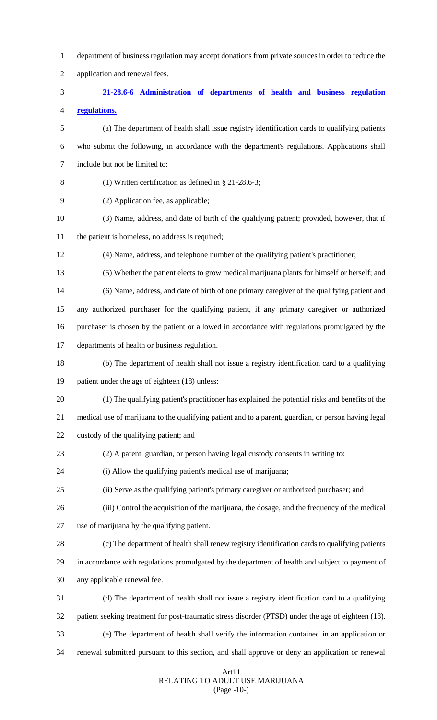| 1              | department of business regulation may accept donations from private sources in order to reduce the   |
|----------------|------------------------------------------------------------------------------------------------------|
| $\overline{2}$ | application and renewal fees.                                                                        |
| 3              | 21-28.6-6 Administration of departments of health and business regulation                            |
| 4              | regulations.                                                                                         |
| 5              | (a) The department of health shall issue registry identification cards to qualifying patients        |
| 6              | who submit the following, in accordance with the department's regulations. Applications shall        |
| 7              | include but not be limited to:                                                                       |
| 8              | (1) Written certification as defined in $\S$ 21-28.6-3;                                              |
| 9              | (2) Application fee, as applicable;                                                                  |
| 10             | (3) Name, address, and date of birth of the qualifying patient; provided, however, that if           |
| 11             | the patient is homeless, no address is required;                                                     |
| 12             | (4) Name, address, and telephone number of the qualifying patient's practitioner;                    |
| 13             | (5) Whether the patient elects to grow medical marijuana plants for himself or herself; and          |
| 14             | (6) Name, address, and date of birth of one primary caregiver of the qualifying patient and          |
| 15             | any authorized purchaser for the qualifying patient, if any primary caregiver or authorized          |
| 16             | purchaser is chosen by the patient or allowed in accordance with regulations promulgated by the      |
| 17             | departments of health or business regulation.                                                        |
| 18             | (b) The department of health shall not issue a registry identification card to a qualifying          |
| 19             | patient under the age of eighteen (18) unless:                                                       |
| 20             | (1) The qualifying patient's practitioner has explained the potential risks and benefits of the      |
| 21             | medical use of marijuana to the qualifying patient and to a parent, guardian, or person having legal |
| 22             | custody of the qualifying patient; and                                                               |
| 23             | (2) A parent, guardian, or person having legal custody consents in writing to:                       |
| 24             | (i) Allow the qualifying patient's medical use of marijuana;                                         |
| 25             | (ii) Serve as the qualifying patient's primary caregiver or authorized purchaser; and                |
| 26             | (iii) Control the acquisition of the marijuana, the dosage, and the frequency of the medical         |
| 27             | use of marijuana by the qualifying patient.                                                          |
| 28             | (c) The department of health shall renew registry identification cards to qualifying patients        |
| 29             | in accordance with regulations promulgated by the department of health and subject to payment of     |
| 30             | any applicable renewal fee.                                                                          |
| 31             | (d) The department of health shall not issue a registry identification card to a qualifying          |
| 32             | patient seeking treatment for post-traumatic stress disorder (PTSD) under the age of eighteen (18).  |
| 33             | (e) The department of health shall verify the information contained in an application or             |
| 34             | renewal submitted pursuant to this section, and shall approve or deny an application or renewal      |
|                |                                                                                                      |

# Art11 RELATING TO ADULT USE MARIJUANA (Page -10-)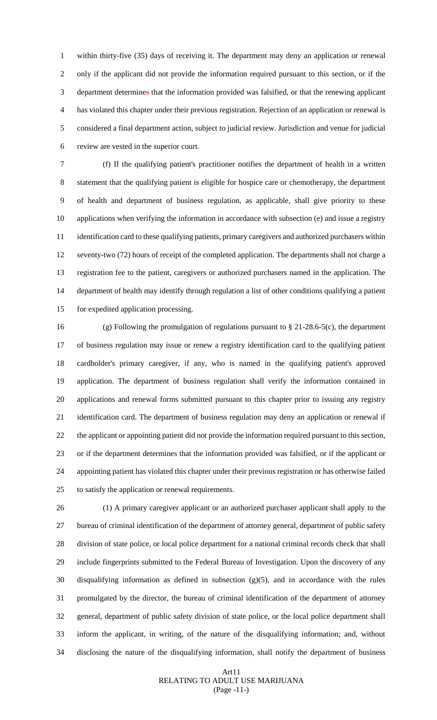within thirty-five (35) days of receiving it. The department may deny an application or renewal only if the applicant did not provide the information required pursuant to this section, or if the department determines that the information provided was falsified, or that the renewing applicant has violated this chapter under their previous registration. Rejection of an application or renewal is considered a final department action, subject to judicial review. Jurisdiction and venue for judicial review are vested in the superior court.

 (f) If the qualifying patient's practitioner notifies the department of health in a written statement that the qualifying patient is eligible for hospice care or chemotherapy, the department of health and department of business regulation, as applicable, shall give priority to these applications when verifying the information in accordance with subsection (e) and issue a registry identification card to these qualifying patients, primary caregivers and authorized purchasers within seventy-two (72) hours of receipt of the completed application. The departments shall not charge a registration fee to the patient, caregivers or authorized purchasers named in the application. The department of health may identify through regulation a list of other conditions qualifying a patient for expedited application processing.

 (g) Following the promulgation of regulations pursuant to § 21-28.6-5(c), the department of business regulation may issue or renew a registry identification card to the qualifying patient cardholder's primary caregiver, if any, who is named in the qualifying patient's approved application. The department of business regulation shall verify the information contained in applications and renewal forms submitted pursuant to this chapter prior to issuing any registry identification card. The department of business regulation may deny an application or renewal if the applicant or appointing patient did not provide the information required pursuant to this section, or if the department determines that the information provided was falsified, or if the applicant or appointing patient has violated this chapter under their previous registration or has otherwise failed to satisfy the application or renewal requirements.

 (1) A primary caregiver applicant or an authorized purchaser applicant shall apply to the bureau of criminal identification of the department of attorney general, department of public safety division of state police, or local police department for a national criminal records check that shall include fingerprints submitted to the Federal Bureau of Investigation. Upon the discovery of any disqualifying information as defined in subsection (g)(5), and in accordance with the rules promulgated by the director, the bureau of criminal identification of the department of attorney general, department of public safety division of state police, or the local police department shall inform the applicant, in writing, of the nature of the disqualifying information; and, without disclosing the nature of the disqualifying information, shall notify the department of business

# Art11 RELATING TO ADULT USE MARIJUANA (Page -11-)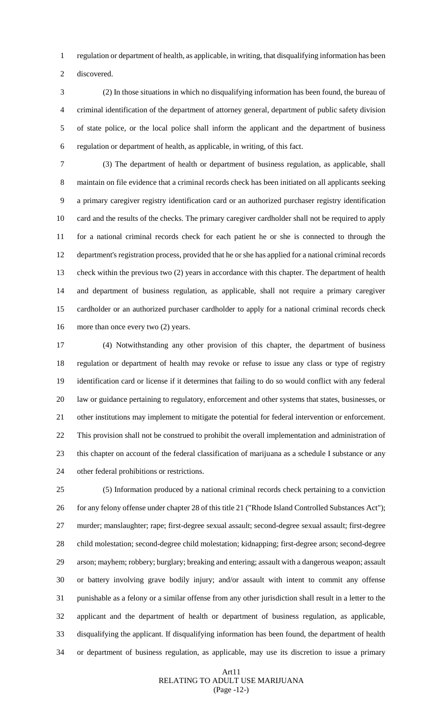regulation or department of health, as applicable, in writing, that disqualifying information has been

discovered.

 (2) In those situations in which no disqualifying information has been found, the bureau of criminal identification of the department of attorney general, department of public safety division of state police, or the local police shall inform the applicant and the department of business regulation or department of health, as applicable, in writing, of this fact.

 (3) The department of health or department of business regulation, as applicable, shall maintain on file evidence that a criminal records check has been initiated on all applicants seeking a primary caregiver registry identification card or an authorized purchaser registry identification card and the results of the checks. The primary caregiver cardholder shall not be required to apply for a national criminal records check for each patient he or she is connected to through the department's registration process, provided that he or she has applied for a national criminal records check within the previous two (2) years in accordance with this chapter. The department of health and department of business regulation, as applicable, shall not require a primary caregiver cardholder or an authorized purchaser cardholder to apply for a national criminal records check 16 more than once every two (2) years.

 (4) Notwithstanding any other provision of this chapter, the department of business regulation or department of health may revoke or refuse to issue any class or type of registry identification card or license if it determines that failing to do so would conflict with any federal law or guidance pertaining to regulatory, enforcement and other systems that states, businesses, or other institutions may implement to mitigate the potential for federal intervention or enforcement. This provision shall not be construed to prohibit the overall implementation and administration of this chapter on account of the federal classification of marijuana as a schedule I substance or any other federal prohibitions or restrictions.

 (5) Information produced by a national criminal records check pertaining to a conviction 26 for any felony offense under chapter 28 of this title 21 ("Rhode Island Controlled Substances Act"); murder; manslaughter; rape; first-degree sexual assault; second-degree sexual assault; first-degree child molestation; second-degree child molestation; kidnapping; first-degree arson; second-degree arson; mayhem; robbery; burglary; breaking and entering; assault with a dangerous weapon; assault or battery involving grave bodily injury; and/or assault with intent to commit any offense punishable as a felony or a similar offense from any other jurisdiction shall result in a letter to the applicant and the department of health or department of business regulation, as applicable, disqualifying the applicant. If disqualifying information has been found, the department of health or department of business regulation, as applicable, may use its discretion to issue a primary

# Art11 RELATING TO ADULT USE MARIJUANA (Page -12-)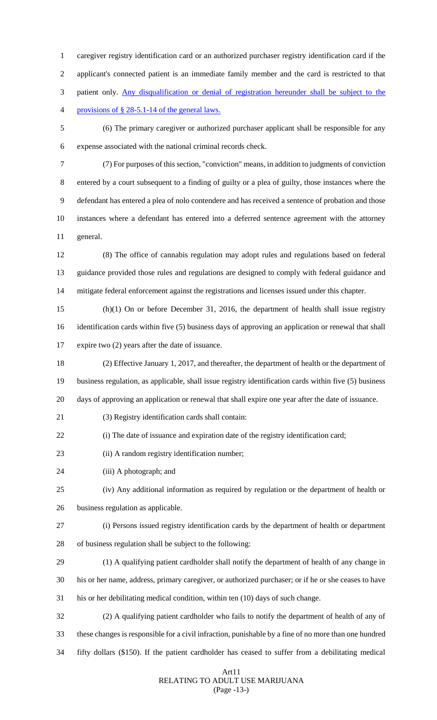caregiver registry identification card or an authorized purchaser registry identification card if the applicant's connected patient is an immediate family member and the card is restricted to that patient only. Any disqualification or denial of registration hereunder shall be subject to the provisions of § 28-5.1-14 of the general laws.

 (6) The primary caregiver or authorized purchaser applicant shall be responsible for any expense associated with the national criminal records check.

 (7) For purposes of this section, "conviction" means, in addition to judgments of conviction entered by a court subsequent to a finding of guilty or a plea of guilty, those instances where the defendant has entered a plea of nolo contendere and has received a sentence of probation and those instances where a defendant has entered into a deferred sentence agreement with the attorney general.

 (8) The office of cannabis regulation may adopt rules and regulations based on federal guidance provided those rules and regulations are designed to comply with federal guidance and mitigate federal enforcement against the registrations and licenses issued under this chapter.

 (h)(1) On or before December 31, 2016, the department of health shall issue registry identification cards within five (5) business days of approving an application or renewal that shall expire two (2) years after the date of issuance.

 (2) Effective January 1, 2017, and thereafter, the department of health or the department of business regulation, as applicable, shall issue registry identification cards within five (5) business days of approving an application or renewal that shall expire one year after the date of issuance.

(3) Registry identification cards shall contain:

(i) The date of issuance and expiration date of the registry identification card;

(ii) A random registry identification number;

(iii) A photograph; and

(iv) Any additional information as required by regulation or the department of health or

business regulation as applicable.

(i) Persons issued registry identification cards by the department of health or department

- of business regulation shall be subject to the following:
- (1) A qualifying patient cardholder shall notify the department of health of any change in

his or her name, address, primary caregiver, or authorized purchaser; or if he or she ceases to have

his or her debilitating medical condition, within ten (10) days of such change.

 (2) A qualifying patient cardholder who fails to notify the department of health of any of these changes is responsible for a civil infraction, punishable by a fine of no more than one hundred fifty dollars (\$150). If the patient cardholder has ceased to suffer from a debilitating medical

#### Art11 RELATING TO ADULT USE MARIJUANA (Page -13-)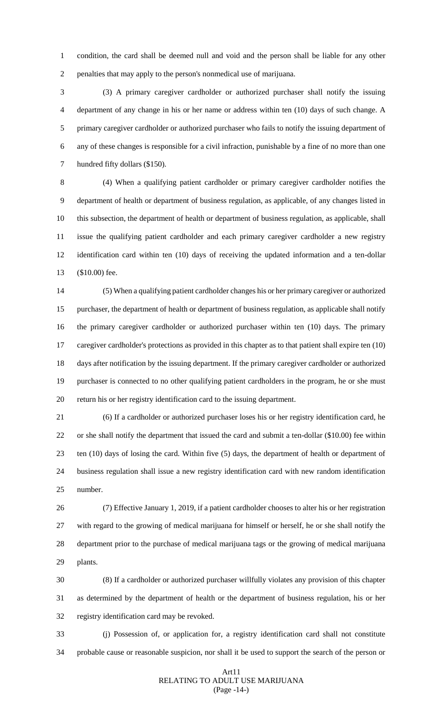condition, the card shall be deemed null and void and the person shall be liable for any other penalties that may apply to the person's nonmedical use of marijuana.

 (3) A primary caregiver cardholder or authorized purchaser shall notify the issuing department of any change in his or her name or address within ten (10) days of such change. A primary caregiver cardholder or authorized purchaser who fails to notify the issuing department of any of these changes is responsible for a civil infraction, punishable by a fine of no more than one hundred fifty dollars (\$150).

 (4) When a qualifying patient cardholder or primary caregiver cardholder notifies the department of health or department of business regulation, as applicable, of any changes listed in this subsection, the department of health or department of business regulation, as applicable, shall issue the qualifying patient cardholder and each primary caregiver cardholder a new registry identification card within ten (10) days of receiving the updated information and a ten-dollar (\$10.00) fee.

 (5) When a qualifying patient cardholder changes his or her primary caregiver or authorized purchaser, the department of health or department of business regulation, as applicable shall notify the primary caregiver cardholder or authorized purchaser within ten (10) days. The primary caregiver cardholder's protections as provided in this chapter as to that patient shall expire ten (10) days after notification by the issuing department. If the primary caregiver cardholder or authorized purchaser is connected to no other qualifying patient cardholders in the program, he or she must return his or her registry identification card to the issuing department.

 (6) If a cardholder or authorized purchaser loses his or her registry identification card, he or she shall notify the department that issued the card and submit a ten-dollar (\$10.00) fee within ten (10) days of losing the card. Within five (5) days, the department of health or department of business regulation shall issue a new registry identification card with new random identification number.

 (7) Effective January 1, 2019, if a patient cardholder chooses to alter his or her registration with regard to the growing of medical marijuana for himself or herself, he or she shall notify the department prior to the purchase of medical marijuana tags or the growing of medical marijuana plants.

 (8) If a cardholder or authorized purchaser willfully violates any provision of this chapter as determined by the department of health or the department of business regulation, his or her registry identification card may be revoked.

 (j) Possession of, or application for, a registry identification card shall not constitute probable cause or reasonable suspicion, nor shall it be used to support the search of the person or

#### Art11 RELATING TO ADULT USE MARIJUANA (Page -14-)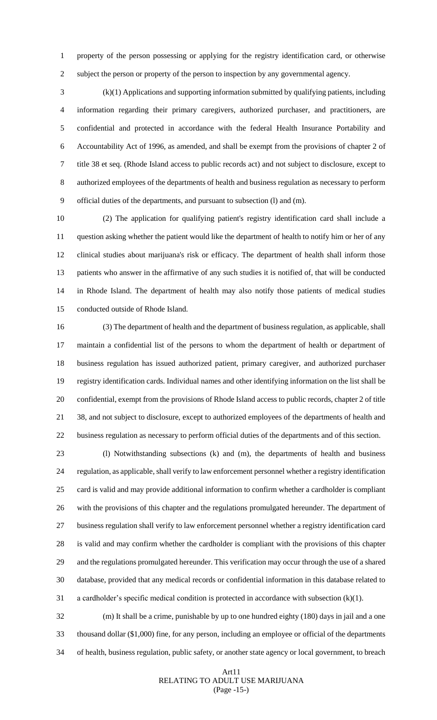property of the person possessing or applying for the registry identification card, or otherwise subject the person or property of the person to inspection by any governmental agency.

 (k)(1) Applications and supporting information submitted by qualifying patients, including information regarding their primary caregivers, authorized purchaser, and practitioners, are confidential and protected in accordance with the federal Health Insurance Portability and Accountability Act of 1996, as amended, and shall be exempt from the provisions of chapter 2 of title 38 et seq. (Rhode Island access to public records act) and not subject to disclosure, except to authorized employees of the departments of health and business regulation as necessary to perform official duties of the departments, and pursuant to subsection (l) and (m).

 (2) The application for qualifying patient's registry identification card shall include a question asking whether the patient would like the department of health to notify him or her of any clinical studies about marijuana's risk or efficacy. The department of health shall inform those patients who answer in the affirmative of any such studies it is notified of, that will be conducted in Rhode Island. The department of health may also notify those patients of medical studies conducted outside of Rhode Island.

 (3) The department of health and the department of business regulation, as applicable, shall maintain a confidential list of the persons to whom the department of health or department of business regulation has issued authorized patient, primary caregiver, and authorized purchaser registry identification cards. Individual names and other identifying information on the list shall be confidential, exempt from the provisions of Rhode Island access to public records, chapter 2 of title 38, and not subject to disclosure, except to authorized employees of the departments of health and business regulation as necessary to perform official duties of the departments and of this section.

 (l) Notwithstanding subsections (k) and (m), the departments of health and business regulation, as applicable, shall verify to law enforcement personnel whether a registry identification card is valid and may provide additional information to confirm whether a cardholder is compliant with the provisions of this chapter and the regulations promulgated hereunder. The department of business regulation shall verify to law enforcement personnel whether a registry identification card is valid and may confirm whether the cardholder is compliant with the provisions of this chapter and the regulations promulgated hereunder. This verification may occur through the use of a shared database, provided that any medical records or confidential information in this database related to a cardholder's specific medical condition is protected in accordance with subsection (k)(1).

 (m) It shall be a crime, punishable by up to one hundred eighty (180) days in jail and a one thousand dollar (\$1,000) fine, for any person, including an employee or official of the departments of health, business regulation, public safety, or another state agency or local government, to breach

#### Art11 RELATING TO ADULT USE MARIJUANA (Page -15-)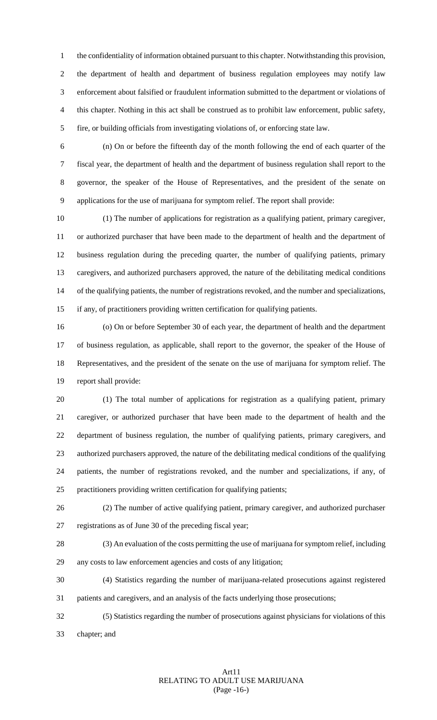the confidentiality of information obtained pursuant to this chapter. Notwithstanding this provision, the department of health and department of business regulation employees may notify law enforcement about falsified or fraudulent information submitted to the department or violations of this chapter. Nothing in this act shall be construed as to prohibit law enforcement, public safety, fire, or building officials from investigating violations of, or enforcing state law.

 (n) On or before the fifteenth day of the month following the end of each quarter of the fiscal year, the department of health and the department of business regulation shall report to the governor, the speaker of the House of Representatives, and the president of the senate on applications for the use of marijuana for symptom relief. The report shall provide:

 (1) The number of applications for registration as a qualifying patient, primary caregiver, or authorized purchaser that have been made to the department of health and the department of business regulation during the preceding quarter, the number of qualifying patients, primary caregivers, and authorized purchasers approved, the nature of the debilitating medical conditions of the qualifying patients, the number of registrations revoked, and the number and specializations, if any, of practitioners providing written certification for qualifying patients.

 (o) On or before September 30 of each year, the department of health and the department of business regulation, as applicable, shall report to the governor, the speaker of the House of Representatives, and the president of the senate on the use of marijuana for symptom relief. The report shall provide:

 (1) The total number of applications for registration as a qualifying patient, primary caregiver, or authorized purchaser that have been made to the department of health and the department of business regulation, the number of qualifying patients, primary caregivers, and authorized purchasers approved, the nature of the debilitating medical conditions of the qualifying patients, the number of registrations revoked, and the number and specializations, if any, of practitioners providing written certification for qualifying patients;

 (2) The number of active qualifying patient, primary caregiver, and authorized purchaser registrations as of June 30 of the preceding fiscal year;

 (3) An evaluation of the costs permitting the use of marijuana for symptom relief, including any costs to law enforcement agencies and costs of any litigation;

(4) Statistics regarding the number of marijuana-related prosecutions against registered

patients and caregivers, and an analysis of the facts underlying those prosecutions;

 (5) Statistics regarding the number of prosecutions against physicians for violations of this chapter; and

# Art11 RELATING TO ADULT USE MARIJUANA (Page -16-)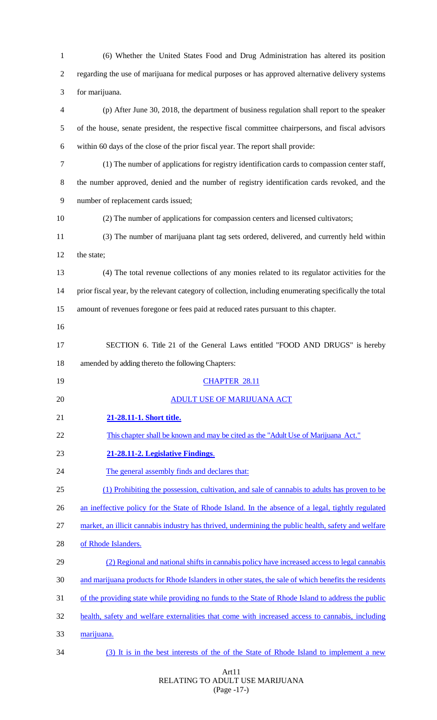| $\mathbf{1}$   | (6) Whether the United States Food and Drug Administration has altered its position                     |
|----------------|---------------------------------------------------------------------------------------------------------|
| $\overline{c}$ | regarding the use of marijuana for medical purposes or has approved alternative delivery systems        |
| 3              | for marijuana.                                                                                          |
| 4              | (p) After June 30, 2018, the department of business regulation shall report to the speaker              |
| 5              | of the house, senate president, the respective fiscal committee chairpersons, and fiscal advisors       |
| 6              | within 60 days of the close of the prior fiscal year. The report shall provide:                         |
| 7              | (1) The number of applications for registry identification cards to compassion center staff,            |
| 8              | the number approved, denied and the number of registry identification cards revoked, and the            |
| 9              | number of replacement cards issued;                                                                     |
| 10             | (2) The number of applications for compassion centers and licensed cultivators;                         |
| 11             | (3) The number of marijuana plant tag sets ordered, delivered, and currently held within                |
| 12             | the state;                                                                                              |
| 13             | (4) The total revenue collections of any monies related to its regulator activities for the             |
| 14             | prior fiscal year, by the relevant category of collection, including enumerating specifically the total |
| 15             | amount of revenues foregone or fees paid at reduced rates pursuant to this chapter.                     |
| 16             |                                                                                                         |
| 17             | SECTION 6. Title 21 of the General Laws entitled "FOOD AND DRUGS" is hereby                             |
| 18             | amended by adding thereto the following Chapters:                                                       |
| 19             | <b>CHAPTER 28.11</b>                                                                                    |
| 20             | <b>ADULT USE OF MARIJUANA ACT</b>                                                                       |
| 21             | 21-28.11-1. Short title.                                                                                |
| 22             | This chapter shall be known and may be cited as the "Adult Use of Marijuana Act."                       |
| 23             | 21-28.11-2. Legislative Findings.                                                                       |
| 24             | The general assembly finds and declares that:                                                           |
| 25             | (1) Prohibiting the possession, cultivation, and sale of cannabis to adults has proven to be            |
| 26             | an ineffective policy for the State of Rhode Island. In the absence of a legal, tightly regulated       |
| 27             | market, an illicit cannabis industry has thrived, undermining the public health, safety and welfare     |
| 28             | of Rhode Islanders.                                                                                     |
| 29             | (2) Regional and national shifts in cannabis policy have increased access to legal cannabis             |
| 30             | and marijuana products for Rhode Islanders in other states, the sale of which benefits the residents    |
| 31             |                                                                                                         |
|                | of the providing state while providing no funds to the State of Rhode Island to address the public      |
| 32             | health, safety and welfare externalities that come with increased access to cannabis, including         |
| 33             | marijuana.                                                                                              |

# Art11 RELATING TO ADULT USE MARIJUANA (Page -17-)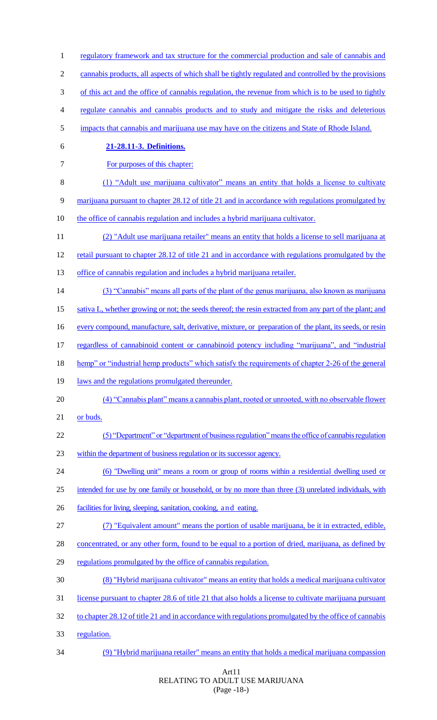1 regulatory framework and tax structure for the commercial production and sale of cannabis and 2 cannabis products, all aspects of which shall be tightly regulated and controlled by the provisions 3 of this act and the office of cannabis regulation, the revenue from which is to be used to tightly 4 regulate cannabis and cannabis products and to study and mitigate the risks and deleterious 5 impacts that cannabis and marijuana use may have on the citizens and State of Rhode Island. 6 **21-28.11-3. Definitions.** 7 For purposes of this chapter: 8 (1) "Adult use marijuana cultivator" means an entity that holds a license to cultivate 9 marijuana pursuant to chapter 28.12 of title 21 and in accordance with regulations promulgated by 10 the office of cannabis regulation and includes a hybrid marijuana cultivator. 11 (2) "Adult use marijuana retailer" means an entity that holds a license to sell marijuana at 12 retail pursuant to chapter 28.12 of title 21 and in accordance with regulations promulgated by the 13 office of cannabis regulation and includes a hybrid marijuana retailer. 14 (3) "Cannabis" means all parts of the plant of the genus marijuana, also known as marijuana 15 sativa L, whether growing or not; the seeds thereof; the resin extracted from any part of the plant; and 16 every compound, manufacture, salt, derivative, mixture, or preparation of the plant, its seeds, or resin 17 regardless of cannabinoid content or cannabinoid potency including "marijuana", and "industrial 18 hemp" or "industrial hemp products" which satisfy the requirements of chapter 2-26 of the general 19 laws and the regulations promulgated thereunder. 20 (4) "Cannabis plant" means a cannabis plant, rooted or unrooted, with no observable flower 21 or buds. 22 (5) "Department" or "department of business regulation" means the office of cannabis regulation 23 within the department of business regulation or its successor agency. 24 (6) "Dwelling unit" means a room or group of rooms within a residential dwelling used or 25 intended for use by one family or household, or by no more than three (3) unrelated individuals, with 26 facilities for living, sleeping, sanitation, cooking, and eating. 27 (7) "Equivalent amount" means the portion of usable marijuana, be it in extracted, edible, 28 concentrated, or any other form, found to be equal to a portion of dried, marijuana, as defined by 29 regulations promulgated by the office of cannabis regulation. 30 (8) "Hybrid marijuana cultivator" means an entity that holds a medical marijuana cultivator 31 license pursuant to chapter 28.6 of title 21 that also holds a license to cultivate marijuana pursuant 32 to chapter 28.12 of title 21 and in accordance with regulations promulgated by the office of cannabis 33 regulation. 34 (9) "Hybrid marijuana retailer" means an entity that holds a medical marijuana compassion

#### Art11 RELATING TO ADULT USE MARIJUANA (Page -18-)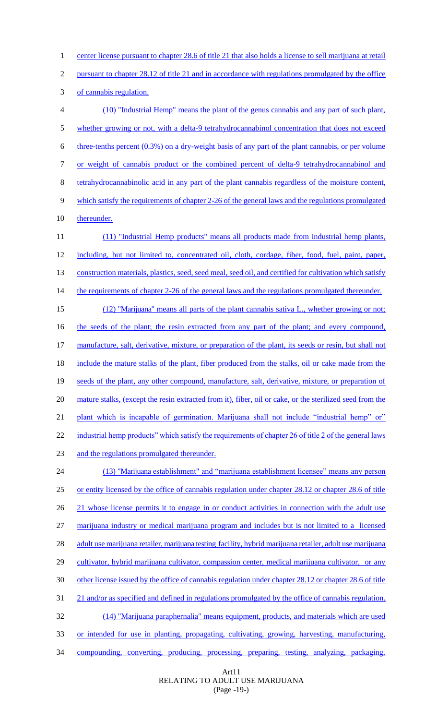1 center license pursuant to chapter 28.6 of title 21 that also holds a license to sell marijuana at retail

2 pursuant to chapter 28.12 of title 21 and in accordance with regulations promulgated by the office

3 of cannabis regulation.

4 (10) "Industrial Hemp" means the plant of the genus cannabis and any part of such plant, 5 whether growing or not, with a delta-9 tetrahydrocannabinol concentration that does not exceed 6 three-tenths percent  $(0.3\%)$  on a dry-weight basis of any part of the plant cannabis, or per volume 7 or weight of cannabis product or the combined percent of delta-9 tetrahydrocannabinol and 8 tetrahydrocannabinolic acid in any part of the plant cannabis regardless of the moisture content, 9 which satisfy the requirements of chapter 2-26 of the general laws and the regulations promulgated 10 thereunder. 11 (11) "Industrial Hemp products" means all products made from industrial hemp plants, 12 including, but not limited to, concentrated oil, cloth, cordage, fiber, food, fuel, paint, paper, 13 construction materials, plastics, seed, seed meal, seed oil, and certified for cultivation which satisfy 14 the requirements of chapter 2-26 of the general laws and the regulations promulgated thereunder. 15 (12) "Marijuana" means all parts of the plant cannabis sativa L., whether growing or not; 16 the seeds of the plant; the resin extracted from any part of the plant; and every compound, 17 manufacture, salt, derivative, mixture, or preparation of the plant, its seeds or resin, but shall not 18 include the mature stalks of the plant, fiber produced from the stalks, oil or cake made from the 19 seeds of the plant, any other compound, manufacture, salt, derivative, mixture, or preparation of 20 mature stalks, (except the resin extracted from it), fiber, oil or cake, or the sterilized seed from the 21 plant which is incapable of germination. Marijuana shall not include "industrial hemp" or" 22 industrial hemp products" which satisfy the requirements of chapter 26 of title 2 of the general laws 23 and the regulations promulgated thereunder. 24 (13) "Marijuana establishment" and "marijuana establishment licensee" means any person 25 or entity licensed by the office of cannabis regulation under chapter 28.12 or chapter 28.6 of title 26 21 whose license permits it to engage in or conduct activities in connection with the adult use

27 marijuana industry or medical marijuana program and includes but is not limited to a licensed

28 adult use marijuana retailer, marijuana testing facility, hybrid marijuana retailer, adult use marijuana 29 cultivator, hybrid marijuana cultivator, compassion center, medical marijuana cultivator, or any

30 other license issued by the office of cannabis regulation under chapter 28.12 or chapter 28.6 of title

31 21 and/or as specified and defined in regulations promulgated by the office of cannabis regulation.

32 (14) "Marijuana paraphernalia" means equipment, products, and materials which are used

33 or intended for use in planting, propagating, cultivating, growing, harvesting, manufacturing,

34 compounding, converting, producing, processing, preparing, testing, analyzing, packaging,

Art11 RELATING TO ADULT USE MARIJUANA (Page -19-)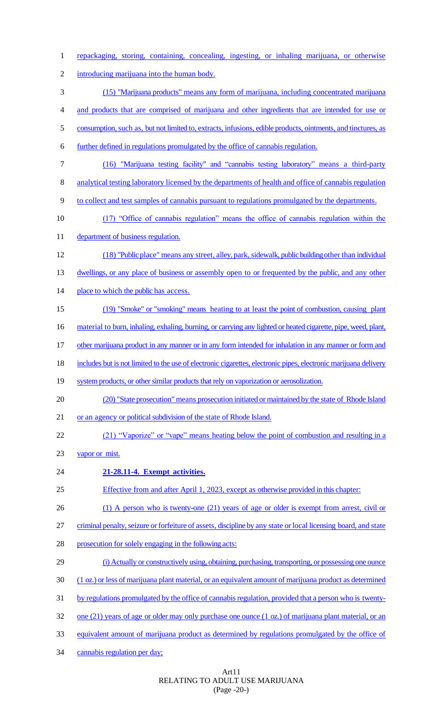| $\mathbf{1}$   | repackaging, storing, containing, concealing, ingesting, or inhaling marijuana, or otherwise                     |
|----------------|------------------------------------------------------------------------------------------------------------------|
| $\overline{c}$ | introducing marijuana into the human body.                                                                       |
| 3              | (15) "Marijuana products" means any form of marijuana, including concentrated marijuana                          |
| $\overline{4}$ | and products that are comprised of marijuana and other ingredients that are intended for use or                  |
| $\mathfrak s$  | consumption, such as, but not limited to, extracts, infusions, edible products, ointments, and tinctures, as     |
| 6              | further defined in regulations promulgated by the office of cannabis regulation.                                 |
| $\tau$         | (16) "Marijuana testing facility" and "cannabis testing laboratory" means a third-party                          |
| $8\,$          | analytical testing laboratory licensed by the departments of health and office of cannabis regulation            |
| 9              | to collect and test samples of cannabis pursuant to regulations promulgated by the departments.                  |
| 10             | (17) "Office of cannabis regulation" means the office of cannabis regulation within the                          |
| 11             | department of business regulation.                                                                               |
| 12             | (18) "Public place" means any street, alley, park, sidewalk, public building other than individual               |
| 13             | dwellings, or any place of business or assembly open to or frequented by the public, and any other               |
| 14             | place to which the public has access.                                                                            |
| 15             | (19) "Smoke" or "smoking" means heating to at least the point of combustion, causing plant                       |
| 16             | material to burn, inhaling, exhaling, burning, or carrying any lighted or heated cigarette, pipe, weed, plant,   |
| 17             | other marijuana product in any manner or in any form intended for inhalation in any manner or form and           |
| 18             | includes but is not limited to the use of electronic cigarettes, electronic pipes, electronic marijuana delivery |
| 19             | system products, or other similar products that rely on vaporization or aerosolization.                          |
| 20             | (20) "State prosecution" means prosecution initiated or maintained by the state of Rhode Island                  |
| 21             | or an agency or political subdivision of the state of Rhode Island.                                              |
| 22             | (21) "Vaporize" or "vape" means heating below the point of combustion and resulting in a                         |
| 23             | vapor or mist.                                                                                                   |
| 24             | 21-28.11-4. Exempt activities.                                                                                   |
| 25             | Effective from and after April 1, 2023, except as otherwise provided in this chapter:                            |
| 26             | $(1)$ A person who is twenty-one $(21)$ years of age or older is exempt from arrest, civil or                    |
| 27             | criminal penalty, seizure or forfeiture of assets, discipline by any state or local licensing board, and state   |
| 28             | prosecution for solely engaging in the following acts:                                                           |
| 29             | (i) Actually or constructively using, obtaining, purchasing, transporting, or possessing one ounce               |
| 30             | (1 oz.) or less of marijuana plant material, or an equivalent amount of marijuana product as determined          |
| 31             | by regulations promulgated by the office of cannabis regulation, provided that a person who is twenty-           |
| 32             | one (21) years of age or older may only purchase one ounce $(1 \text{ oz.})$ of marijuana plant material, or an  |
| 33             | equivalent amount of marijuana product as determined by regulations promulgated by the office of                 |
| 34             | cannabis regulation per day;                                                                                     |

Art11 RELATING TO ADULT USE MARIJUANA (Page -20-)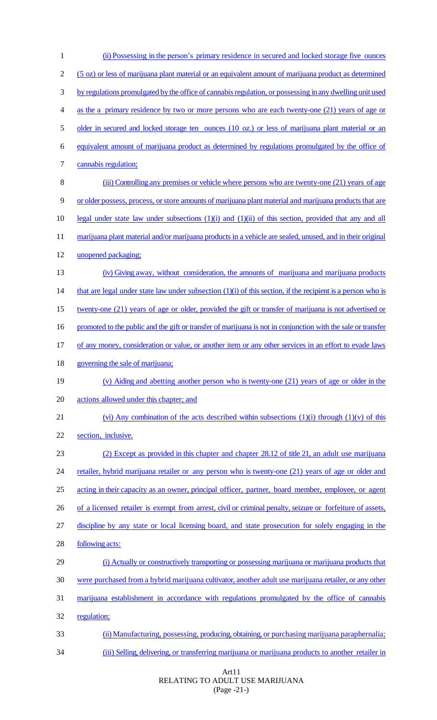(ii) Possessing in the person's primary residence in secured and locked storage five ounces (5 oz) or less of marijuana plant material or an equivalent amount of marijuana product as determined by regulations promulgated by the office of cannabis regulation, or possessing in any dwelling unit used as the a primary residence by two or more persons who are each twenty-one (21) years of age or 5 older in secured and locked storage ten ounces (10 oz.) or less of marijuana plant material or an equivalent amount of marijuana product as determined by regulations promulgated by the office of cannabis regulation; (iii) Controlling any premises or vehicle where persons who are twenty-one (21) years of age or older possess, process, or store amounts of marijuana plant material and marijuana products that are legal under state law under subsections (1)(i) and (1)(ii) of this section, provided that any and all 11 marijuana plant material and/or marijuana products in a vehicle are sealed, unused, and in their original 12 unopened packaging; (iv) Giving away, without consideration, the amounts of marijuana and marijuana products 14 that are legal under state law under subsection  $(1)(i)$  of this section, if the recipient is a person who is twenty-one (21) years of age or older, provided the gift or transfer of marijuana is not advertised or 16 promoted to the public and the gift or transfer of marijuana is not in conjunction with the sale or transfer of any money, consideration or value, or another item or any other services in an effort to evade laws 18 governing the sale of marijuana; (v) Aiding and abetting another person who is twenty-one (21) years of age or older in the actions allowed under this chapter; and 21 (vi) Any combination of the acts described within subsections  $(1)(i)$  through  $(1)(v)$  of this section, inclusive. (2) Except as provided in this chapter and chapter 28.12 of title 21, an adult use marijuana 24 retailer, hybrid marijuana retailer or any person who is twenty-one (21) years of age or older and 25 acting in their capacity as an owner, principal officer, partner, board member, employee, or agent 26 of a licensed retailer is exempt from arrest, civil or criminal penalty, seizure or forfeiture of assets, discipline by any state or local licensing board, and state prosecution for solely engaging in the following acts: (i) Actually or constructively transporting or possessing marijuana or marijuana products that were purchased from a hybrid marijuana cultivator, another adult use marijuana retailer, or any other marijuana establishment in accordance with regulations promulgated by the office of cannabis regulation; (ii) Manufacturing, possessing, producing, obtaining, or purchasing marijuana paraphernalia; (iii) Selling, delivering, or transferring marijuana or marijuana products to another retailer in

> Art11 RELATING TO ADULT USE MARIJUANA (Page -21-)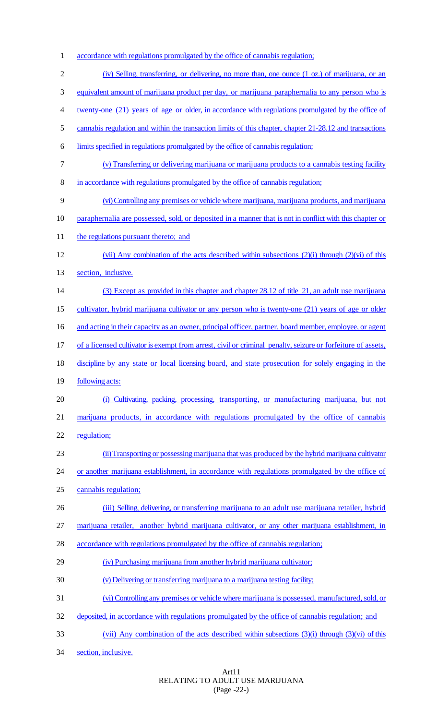- accordance with regulations promulgated by the office of cannabis regulation;
- (iv) Selling, transferring, or delivering, no more than, one ounce (1 oz.) of marijuana, or an equivalent amount of marijuana product per day, or marijuana paraphernalia to any person who is twenty-one (21) years of age or older, in accordance with regulations promulgated by the office of 5 cannabis regulation and within the transaction limits of this chapter, chapter 21-28.12 and transactions limits specified in regulations promulgated by the office of cannabis regulation; (v) Transferring or delivering marijuana or marijuana products to a cannabis testing facility in accordance with regulations promulgated by the office of cannabis regulation; (vi) Controlling any premises or vehicle where marijuana, marijuana products, and marijuana paraphernalia are possessed, sold, or deposited in a manner that is not in conflict with this chapter or 11 the regulations pursuant thereto; and (vii) Any combination of the acts described within subsections (2)(i) through (2)(vi) of this section, inclusive. 14 (3) Except as provided in this chapter and chapter 28.12 of title 21, an adult use marijuana cultivator, hybrid marijuana cultivator or any person who is twenty-one (21) years of age or older 16 and acting in their capacity as an owner, principal officer, partner, board member, employee, or agent 17 of a licensed cultivator is exempt from arrest, civil or criminal penalty, seizure or forfeiture of assets, discipline by any state or local licensing board, and state prosecution for solely engaging in the 19 <u>following acts:</u> (i) Cultivating, packing, processing, transporting, or manufacturing marijuana, but not marijuana products, in accordance with regulations promulgated by the office of cannabis regulation; (ii) Transporting or possessing marijuana that was produced by the hybrid marijuana cultivator 24 or another marijuana establishment, in accordance with regulations promulgated by the office of cannabis regulation; (iii) Selling, delivering, or transferring marijuana to an adult use marijuana retailer, hybrid marijuana retailer, another hybrid marijuana cultivator, or any other marijuana establishment, in 28 accordance with regulations promulgated by the office of cannabis regulation; (iv) Purchasing marijuana from another hybrid marijuana cultivator; (v) Delivering or transferring marijuana to a marijuana testing facility; (vi) Controlling any premises or vehicle where marijuana is possessed, manufactured, sold, or 32 deposited, in accordance with regulations promulgated by the office of cannabis regulation; and (vii) Any combination of the acts described within subsections (3)(i) through (3)(vi) of this
- section, inclusive.

# Art11 RELATING TO ADULT USE MARIJUANA (Page -22-)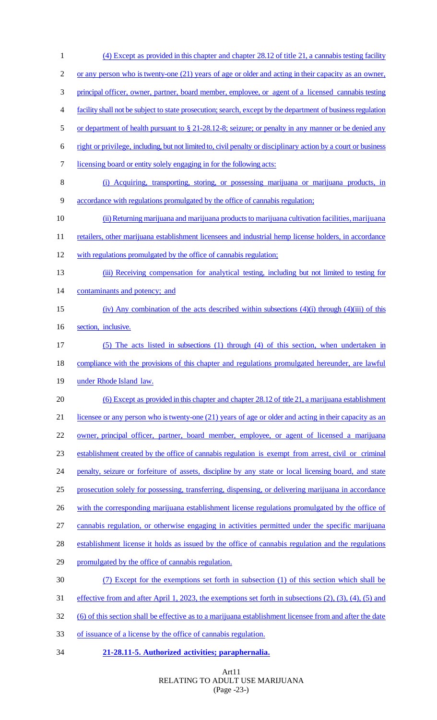(4) Except as provided in this chapter and chapter 28.12 of title 21, a cannabis testing facility 2 or any person who is twenty-one (21) years of age or older and acting in their capacity as an owner, 3 principal officer, owner, partner, board member, employee, or agent of a licensed cannabis testing facility shall not be subject to state prosecution; search, except by the department of business regulation 5 or department of health pursuant to § 21-28.12-8; seizure; or penalty in any manner or be denied any right or privilege, including, but not limited to, civil penalty or disciplinary action by a court or business licensing board or entity solely engaging in for the following acts: (i) Acquiring, transporting, storing, or possessing marijuana or marijuana products, in accordance with regulations promulgated by the office of cannabis regulation; (ii) Returning marijuana and marijuana productsto marijuana cultivation facilities, marijuana 11 retailers, other marijuana establishment licensees and industrial hemp license holders, in accordance with regulations promulgated by the office of cannabis regulation; 13 (iii) Receiving compensation for analytical testing, including but not limited to testing for 14 contaminants and potency; and (iv) Any combination of the acts described within subsections (4)(i) through (4)(iii) of this 16 section, inclusive. (5) The acts listed in subsections (1) through (4) of this section, when undertaken in 18 compliance with the provisions of this chapter and regulations promulgated hereunder, are lawful under Rhode Island law. (6) Except as provided in this chapter and chapter 28.12 of title 21, a marijuana establishment 21 licensee or any person who is twenty-one (21) years of age or older and acting in their capacity as an 22 owner, principal officer, partner, board member, employee, or agent of licensed a marijuana establishment created by the office of cannabis regulation is exempt from arrest, civil or criminal penalty, seizure or forfeiture of assets, discipline by any state or local licensing board, and state prosecution solely for possessing, transferring, dispensing, or delivering marijuana in accordance 26 with the corresponding marijuana establishment license regulations promulgated by the office of cannabis regulation, or otherwise engaging in activities permitted under the specific marijuana 28 establishment license it holds as issued by the office of cannabis regulation and the regulations promulgated by the office of cannabis regulation. (7) Except for the exemptions set forth in subsection (1) of this section which shall be effective from and after April 1, 2023, the exemptions set forth in subsections (2), (3), (4), (5) and (6) of this section shall be effective as to a marijuana establishment licensee from and after the date of issuance of a license by the office of cannabis regulation. **21-28.11-5. Authorized activities; paraphernalia.**

> Art11 RELATING TO ADULT USE MARIJUANA (Page -23-)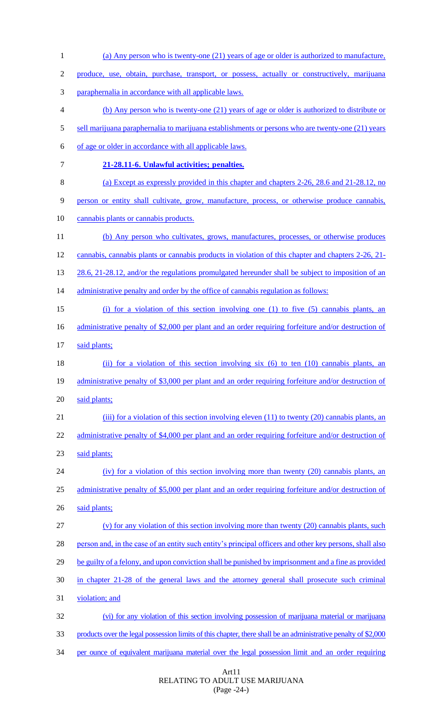| $\mathbf{1}$ | (a) Any person who is twenty-one (21) years of age or older is authorized to manufacture,                      |
|--------------|----------------------------------------------------------------------------------------------------------------|
| 2            | produce, use, obtain, purchase, transport, or possess, actually or constructively, marijuana                   |
| 3            | paraphernalia in accordance with all applicable laws.                                                          |
| 4            | (b) Any person who is twenty-one (21) years of age or older is authorized to distribute or                     |
| 5            | sell marijuana paraphernalia to marijuana establishments or persons who are twenty-one (21) years              |
| 6            | of age or older in accordance with all applicable laws.                                                        |
| $\tau$       | 21-28.11-6. Unlawful activities; penalties.                                                                    |
| 8            | (a) Except as expressly provided in this chapter and chapters 2-26, 28.6 and 21-28.12, no                      |
| 9            | person or entity shall cultivate, grow, manufacture, process, or otherwise produce cannabis,                   |
| 10           | cannabis plants or cannabis products.                                                                          |
| 11           | (b) Any person who cultivates, grows, manufactures, processes, or otherwise produces                           |
| 12           | cannabis, cannabis plants or cannabis products in violation of this chapter and chapters 2-26, 21-             |
| 13           | 28.6, 21-28.12, and/or the regulations promulgated hereunder shall be subject to imposition of an              |
| 14           | administrative penalty and order by the office of cannabis regulation as follows:                              |
| 15           | (i) for a violation of this section involving one (1) to five (5) cannabis plants, an                          |
| 16           | administrative penalty of \$2,000 per plant and an order requiring forfeiture and/or destruction of            |
| 17           | said plants;                                                                                                   |
| 18           | (ii) for a violation of this section involving six (6) to ten (10) cannabis plants, an                         |
| 19           | administrative penalty of \$3,000 per plant and an order requiring forfeiture and/or destruction of            |
| 20           | said plants;                                                                                                   |
| 21           | (iii) for a violation of this section involving eleven $(11)$ to twenty $(20)$ cannabis plants, an             |
| 22           | administrative penalty of \$4,000 per plant and an order requiring forfeiture and/or destruction of            |
| 23           | said plants;                                                                                                   |
| 24           | (iv) for a violation of this section involving more than twenty $(20)$ cannabis plants, an                     |
| 25           | administrative penalty of \$5,000 per plant and an order requiring forfeiture and/or destruction of            |
| 26           | said plants;                                                                                                   |
| 27           | $(v)$ for any violation of this section involving more than twenty (20) cannabis plants, such                  |
| 28           | person and, in the case of an entity such entity's principal officers and other key persons, shall also        |
| 29           | be guilty of a felony, and upon conviction shall be punished by imprisonment and a fine as provided            |
| 30           | in chapter 21-28 of the general laws and the attorney general shall prosecute such criminal                    |
| 31           | violation; and                                                                                                 |
| 32           | (vi) for any violation of this section involving possession of marijuana material or marijuana                 |
| 33           | products over the legal possession limits of this chapter, there shall be an administrative penalty of \$2,000 |
| 34           | per ounce of equivalent marijuana material over the legal possession limit and an order requiring              |

Art11 RELATING TO ADULT USE MARIJUANA (Page -24-)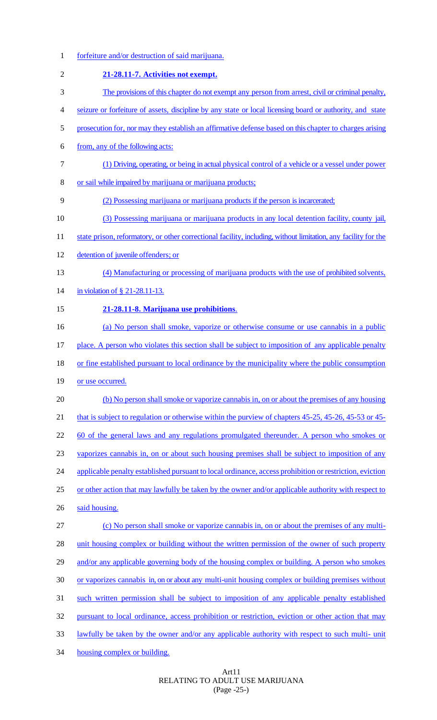1 forfeiture and/or destruction of said marijuana.

8 or sail while impaired by marijuana or marijuana products;

2 **21-28.11-7. Activities not exempt.**

6 from, any of the following acts:

10 (3) Possessing marijuana or marijuana products in any local detention facility, county jail, 11 state prison, reformatory, or other correctional facility, including, without limitation, any facility for the 12 detention of juvenile offenders; or 13 (4) Manufacturing or processing of marijuana products with the use of prohibited solvents, 14 in violation of § 21-28.11-13. 15 **21-28.11-8. Marijuana use prohibitions**. 16 (a) No person shall smoke, vaporize or otherwise consume or use cannabis in a public 17 place. A person who violates this section shall be subject to imposition of any applicable penalty 18 or fine established pursuant to local ordinance by the municipality where the public consumption 19 or use occurred. 20 (b) No person shall smoke or vaporize cannabis in, on or about the premises of any housing 21 that is subject to regulation or otherwise within the purview of chapters 45-25, 45-26, 45-53 or 45-22 60 of the general laws and any regulations promulgated thereunder. A person who smokes or 23 vaporizes cannabis in, on or about such housing premises shall be subject to imposition of any 24 applicable penalty established pursuant to local ordinance, access prohibition or restriction, eviction 25 or other action that may lawfully be taken by the owner and/or applicable authority with respect to 26 said housing. 27 (c) No person shall smoke or vaporize cannabis in, on or about the premises of any multi-28 unit housing complex or building without the written permission of the owner of such property 29 and/or any applicable governing body of the housing complex or building. A person who smokes 30 or vaporizes cannabis in, on or about any multi-unit housing complex or building premises without 31 such written permission shall be subject to imposition of any applicable penalty established 32 pursuant to local ordinance, access prohibition or restriction, eviction or other action that may 33 lawfully be taken by the owner and/or any applicable authority with respect to such multi- unit 34 housing complex or building.

3 The provisions of this chapter do not exempt any person from arrest, civil or criminal penalty,

4 seizure or forfeiture of assets, discipline by any state or local licensing board or authority, and state

5 prosecution for, nor may they establish an affirmative defense based on this chapter to charges arising

7 (1) Driving, operating, or being in actual physical control of a vehicle or a vessel under power

9 (2) Possessing marijuana or marijuana products if the person is incarcerated;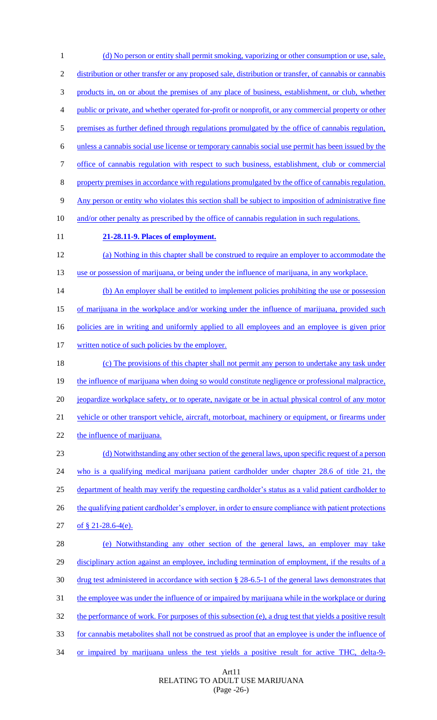1 (d) No person or entity shall permit smoking, vaporizing or other consumption or use, sale, 2 distribution or other transfer or any proposed sale, distribution or transfer, of cannabis or cannabis 3 products in, on or about the premises of any place of business, establishment, or club, whether 4 public or private, and whether operated for-profit or nonprofit, or any commercial property or other 5 premises as further defined through regulations promulgated by the office of cannabis regulation, 6 unless a cannabis social use license or temporary cannabis social use permit has been issued by the 7 office of cannabis regulation with respect to such business, establishment, club or commercial 8 property premises in accordance with regulations promulgated by the office of cannabis regulation. 9 Any person or entity who violates this section shall be subject to imposition of administrative fine 10 and/or other penalty as prescribed by the office of cannabis regulation in such regulations. 11 **21-28.11-9. Places of employment.** 12 (a) Nothing in this chapter shall be construed to require an employer to accommodate the 13 use or possession of marijuana, or being under the influence of marijuana, in any workplace. 14 (b) An employer shall be entitled to implement policies prohibiting the use or possession 15 of marijuana in the workplace and/or working under the influence of marijuana, provided such 16 policies are in writing and uniformly applied to all employees and an employee is given prior 17 written notice of such policies by the employer. 18 (c) The provisions of this chapter shall not permit any person to undertake any task under 19 the influence of marijuana when doing so would constitute negligence or professional malpractice, 20 jeopardize workplace safety, or to operate, navigate or be in actual physical control of any motor 21 vehicle or other transport vehicle, aircraft, motorboat, machinery or equipment, or firearms under 22 the influence of marijuana. 23 (d) Notwithstanding any other section of the general laws, upon specific request of a person 24 who is a qualifying medical marijuana patient cardholder under chapter 28.6 of title 21, the 25 department of health may verify the requesting cardholder's status as a valid patient cardholder to 26 the qualifying patient cardholder's employer, in order to ensure compliance with patient protections 27 of § 21-28.6-4(e). 28 (e) Notwithstanding any other section of the general laws, an employer may take 29 disciplinary action against an employee, including termination of employment, if the results of a 30 drug test administered in accordance with section § 28-6.5-1 of the general laws demonstrates that 31 the employee was under the influence of or impaired by marijuana while in the workplace or during 32 the performance of work. For purposes of this subsection (e), a drug test that yields a positive result 33 for cannabis metabolites shall not be construed as proof that an employee is under the influence of 34 or impaired by marijuana unless the test yields a positive result for active THC, delta-9-

> Art11 RELATING TO ADULT USE MARIJUANA (Page -26-)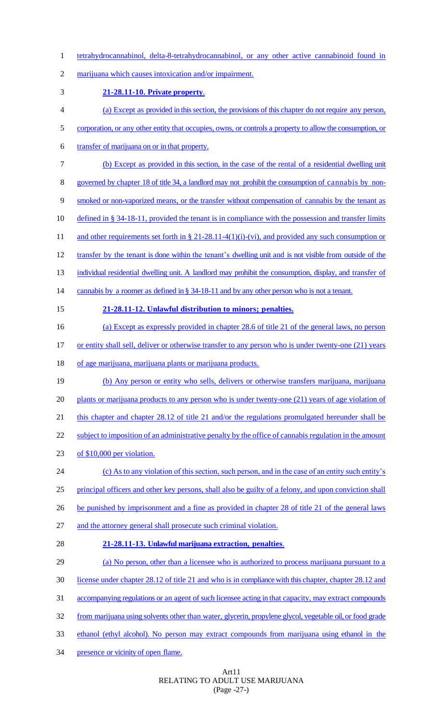tetrahydrocannabinol, delta-8-tetrahydrocannabinol, or any other active cannabinoid found in

marijuana which causes intoxication and/or impairment.

- **21-28.11-10. Private property**.
- (a) Except as provided in this section, the provisions of this chapter do not require any person,
- 5 corporation, or any other entity that occupies, owns, or controls a property to allow the consumption, or
- transfer of marijuana on or in that property.
- (b) Except as provided in this section, in the case of the rental of a residential dwelling unit
- governed by chapter 18 of title 34, a landlord may not prohibit the consumption of cannabis by non-
- smoked or non-vaporized means, or the transfer without compensation of cannabis by the tenant as
- defined in § 34-18-11, provided the tenant is in compliance with the possession and transfer limits
- 11 and other requirements set forth in § 21-28.11-4(1)(i)-(vi), and provided any such consumption or
- transfer by the tenant is done within the tenant's dwelling unit and is not visible from outside of the
- 13 individual residential dwelling unit. A landlord may prohibit the consumption, display, and transfer of
- 14 cannabis by a roomer as defined in § 34-18-11 and by any other person who is not a tenant.
- 

# **21-28.11-12. Unlawful distribution to minors; penalties.**

- (a) Except as expressly provided in chapter 28.6 of title 21 of the general laws, no person
- 17 or entity shall sell, deliver or otherwise transfer to any person who is under twenty-one (21) years
- of age marijuana, marijuana plants or marijuana products.
- (b) Any person or entity who sells, delivers or otherwise transfers marijuana, marijuana plants or marijuana products to any person who is under twenty-one (21) years of age violation of 21 this chapter and chapter 28.12 of title 21 and/or the regulations promulgated hereunder shall be 22 subject to imposition of an administrative penalty by the office of cannabis regulation in the amount
- of \$10,000 per violation.
- (c) As to any violation of this section, such person, and in the case of an entity such entity's principal officers and other key persons, shall also be guilty of a felony, and upon conviction shall
- 26 be punished by imprisonment and a fine as provided in chapter 28 of title 21 of the general laws
- and the attorney general shall prosecute such criminal violation.
- 

# **21-28.11-13. Unlawful marijuana extraction, penalties**.

- (a) No person, other than a licensee who is authorized to process marijuana pursuant to a license under chapter 28.12 of title 21 and who is in compliance with this chapter, chapter 28.12 and accompanying regulations or an agent of such licensee acting in that capacity, may extract compounds from marijuana using solvents other than water, glycerin, propylene glycol, vegetable oil, or food grade
- ethanol (ethyl alcohol). No person may extract compounds from marijuana using ethanol in the
- 34 presence or vicinity of open flame.

# Art11 RELATING TO ADULT USE MARIJUANA (Page -27-)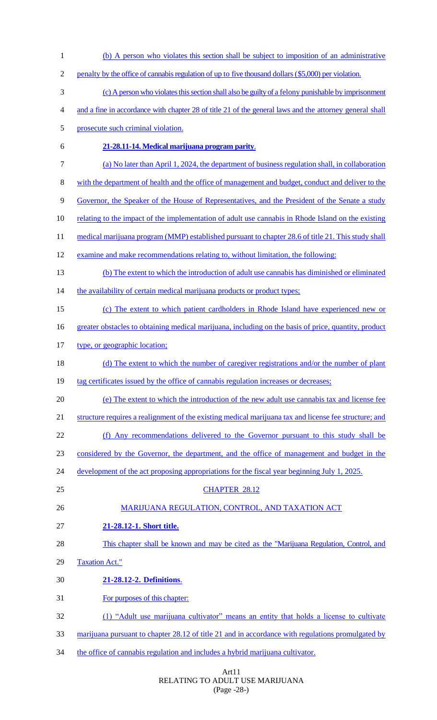(b) A person who violates this section shall be subject to imposition of an administrative 2 penalty by the office of cannabis regulation of up to five thousand dollars (\$5,000) per violation. (c) A person who violates this section shall also be guilty of a felony punishable by imprisonment and a fine in accordance with chapter 28 of title 21 of the general laws and the attorney general shall prosecute such criminal violation. **21-28.11-14. Medical marijuana program parity**. (a) No later than April 1, 2024, the department of business regulation shall, in collaboration with the department of health and the office of management and budget, conduct and deliver to the Governor, the Speaker of the House of Representatives, and the President of the Senate a study relating to the impact of the implementation of adult use cannabis in Rhode Island on the existing 11 medical marijuana program (MMP) established pursuant to chapter 28.6 of title 21. This study shall examine and make recommendations relating to, without limitation, the following: (b) The extent to which the introduction of adult use cannabis has diminished or eliminated 14 the availability of certain medical marijuana products or product types; (c) The extent to which patient cardholders in Rhode Island have experienced new or greater obstacles to obtaining medical marijuana, including on the basis of price, quantity, product type, or geographic location; 18 (d) The extent to which the number of caregiver registrations and/or the number of plant 19 tag certificates issued by the office of cannabis regulation increases or decreases; (e) The extent to which the introduction of the new adult use cannabis tax and license fee structure requires a realignment of the existing medical marijuana tax and license fee structure; and (f) Any recommendations delivered to the Governor pursuant to this study shall be considered by the Governor, the department, and the office of management and budget in the 24 development of the act proposing appropriations for the fiscal year beginning July 1, 2025. CHAPTER 28.12 26 MARIJUANA REGULATION, CONTROL, AND TAXATION ACT **21-28.12-1. Short title.** This chapter shall be known and may be cited as the "Marijuana Regulation, Control, and Taxation Act." **21-28.12-2. Definitions**. For purposes of this chapter: (1) "Adult use marijuana cultivator" means an entity that holds a license to cultivate marijuana pursuant to chapter 28.12 of title 21 and in accordance with regulations promulgated by 34 the office of cannabis regulation and includes a hybrid marijuana cultivator.

#### Art11 RELATING TO ADULT USE MARIJUANA (Page -28-)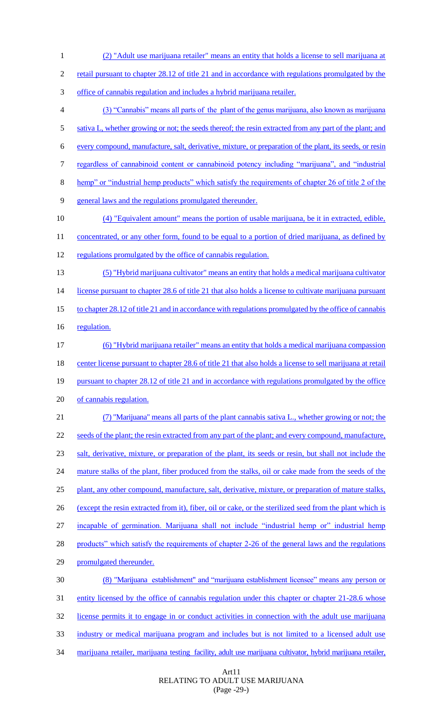(2) "Adult use marijuana retailer" means an entity that holds a license to sell marijuana at retail pursuant to chapter 28.12 of title 21 and in accordance with regulations promulgated by the office of cannabis regulation and includes a hybrid marijuana retailer. (3) "Cannabis" means all parts of the plant of the genus marijuana, also known as marijuana 5 sativa L, whether growing or not; the seeds thereof; the resin extracted from any part of the plant; and every compound, manufacture, salt, derivative, mixture, or preparation of the plant, its seeds, or resin regardless of cannabinoid content or cannabinoid potency including "marijuana", and "industrial hemp" or "industrial hemp products" which satisfy the requirements of chapter 26 of title 2 of the general laws and the regulations promulgated thereunder. (4) "Equivalent amount" means the portion of usable marijuana, be it in extracted, edible, 11 concentrated, or any other form, found to be equal to a portion of dried marijuana, as defined by regulations promulgated by the office of cannabis regulation. (5) "Hybrid marijuana cultivator" means an entity that holds a medical marijuana cultivator 14 license pursuant to chapter 28.6 of title 21 that also holds a license to cultivate marijuana pursuant 15 to chapter 28.12 of title 21 and in accordance with regulations promulgated by the office of cannabis 16 regulation. (6) "Hybrid marijuana retailer" means an entity that holds a medical marijuana compassion 18 center license pursuant to chapter 28.6 of title 21 that also holds a license to sell marijuana at retail pursuant to chapter 28.12 of title 21 and in accordance with regulations promulgated by the office of cannabis regulation. (7) "Marijuana" means all parts of the plant cannabis sativa L., whether growing or not; the 22 seeds of the plant; the resin extracted from any part of the plant; and every compound, manufacture, salt, derivative, mixture, or preparation of the plant, its seeds or resin, but shall not include the 24 mature stalks of the plant, fiber produced from the stalks, oil or cake made from the seeds of the plant, any other compound, manufacture, salt, derivative, mixture, or preparation of mature stalks, (except the resin extracted from it), fiber, oil or cake, or the sterilized seed from the plant which is incapable of germination. Marijuana shall not include "industrial hemp or" industrial hemp 28 products" which satisfy the requirements of chapter 2-26 of the general laws and the regulations promulgated thereunder. (8) "Marijuana establishment" and "marijuana establishment licensee" means any person or 31 entity licensed by the office of cannabis regulation under this chapter or chapter 21-28.6 whose license permits it to engage in or conduct activities in connection with the adult use marijuana industry or medical marijuana program and includes but is not limited to a licensed adult use 34 marijuana retailer, marijuana testing facility, adult use marijuana cultivator, hybrid marijuana retailer,

> Art11 RELATING TO ADULT USE MARIJUANA (Page -29-)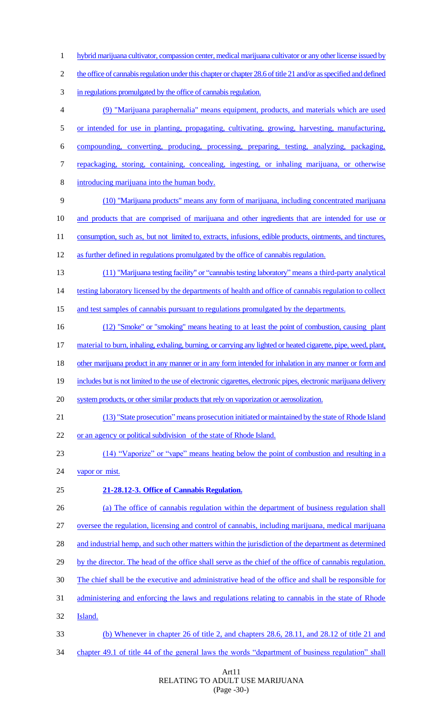hybrid marijuana cultivator, compassion center, medical marijuana cultivator or any other license issued by 2 the office of cannabis regulation under this chapter or chapter 28.6 of title 21 and/or as specified and defined in regulations promulgated by the office of cannabis regulation. (9) "Marijuana paraphernalia" means equipment, products, and materials which are used or intended for use in planting, propagating, cultivating, growing, harvesting, manufacturing, compounding, converting, producing, processing, preparing, testing, analyzing, packaging, repackaging, storing, containing, concealing, ingesting, or inhaling marijuana, or otherwise introducing marijuana into the human body. (10) "Marijuana products" means any form of marijuana, including concentrated marijuana and products that are comprised of marijuana and other ingredients that are intended for use or 11 consumption, such as, but not limited to, extracts, infusions, edible products, ointments, and tinctures, as further defined in regulations promulgated by the office of cannabis regulation. (11) "Marijuana testing facility" or "cannabis testing laboratory" means a third-party analytical 14 testing laboratory licensed by the departments of health and office of cannabis regulation to collect 15 and test samples of cannabis pursuant to regulations promulgated by the departments. 16 (12) "Smoke" or "smoking" means heating to at least the point of combustion, causing plant 17 material to burn, inhaling, exhaling, burning, or carrying any lighted or heated cigarette, pipe, weed, plant, 18 other marijuana product in any manner or in any form intended for inhalation in any manner or form and includes but is not limited to the use of electronic cigarettes, electronic pipes, electronic marijuana delivery system products, or other similar products that rely on vaporization or aerosolization. (13) "State prosecution" means prosecution initiated or maintained by the state of Rhode Island or an agency or political subdivision of the state of Rhode Island. (14) "Vaporize" or "vape" means heating below the point of combustion and resulting in a 24 vapor or mist. **21-28.12-3. Office of Cannabis Regulation.** (a) The office of cannabis regulation within the department of business regulation shall oversee the regulation, licensing and control of cannabis, including marijuana, medical marijuana 28 and industrial hemp, and such other matters within the jurisdiction of the department as determined by the director. The head of the office shall serve as the chief of the office of cannabis regulation. The chief shall be the executive and administrative head of the office and shall be responsible for administering and enforcing the laws and regulations relating to cannabis in the state of Rhode Island. (b) Whenever in chapter 26 of title 2, and chapters 28.6, 28.11, and 28.12 of title 21 and chapter 49.1 of title 44 of the general laws the words "department of business regulation" shall

#### Art11 RELATING TO ADULT USE MARIJUANA (Page -30-)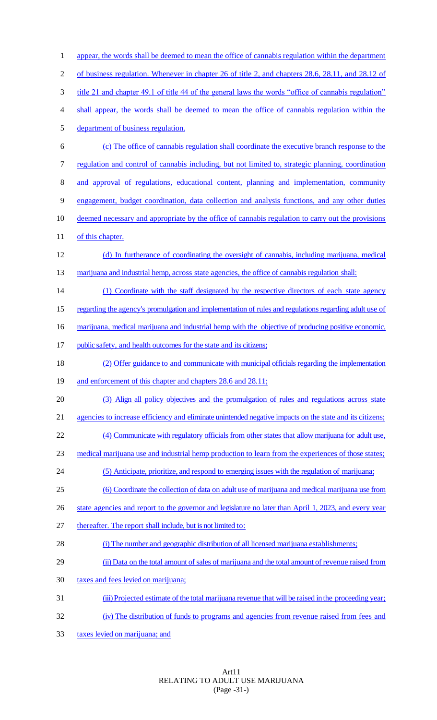1 appear, the words shall be deemed to mean the office of cannabis regulation within the department of business regulation. Whenever in chapter 26 of title 2, and chapters 28.6, 28.11, and 28.12 of title 21 and chapter 49.1 of title 44 of the general laws the words "office of cannabis regulation" shall appear, the words shall be deemed to mean the office of cannabis regulation within the department of business regulation. (c) The office of cannabis regulation shall coordinate the executive branch response to the regulation and control of cannabis including, but not limited to, strategic planning, coordination and approval of regulations, educational content, planning and implementation, community engagement, budget coordination, data collection and analysis functions, and any other duties deemed necessary and appropriate by the office of cannabis regulation to carry out the provisions 11 of this chapter. (d) In furtherance of coordinating the oversight of cannabis, including marijuana, medical 13 marijuana and industrial hemp, across state agencies, the office of cannabis regulation shall: 14 (1) Coordinate with the staff designated by the respective directors of each state agency regarding the agency's promulgation and implementation of rules and regulations regarding adult use of 16 marijuana, medical marijuana and industrial hemp with the objective of producing positive economic, 17 public safety, and health outcomes for the state and its citizens; (2) Offer guidance to and communicate with municipal officials regarding the implementation 19 and enforcement of this chapter and chapters 28.6 and 28.11; (3) Align all policy objectives and the promulgation of rules and regulations across state 21 agencies to increase efficiency and eliminate unintended negative impacts on the state and its citizens; (4) Communicate with regulatory officials from other states that allow marijuana for adult use, medical marijuana use and industrial hemp production to learn from the experiences of those states; (5) Anticipate, prioritize, and respond to emerging issues with the regulation of marijuana; (6) Coordinate the collection of data on adult use of marijuana and medical marijuana use from 26 state agencies and report to the governor and legislature no later than April 1, 2023, and every year thereafter. The report shall include, but is not limited to: (i) The number and geographic distribution of all licensed marijuana establishments; 29 (ii) Data on the total amount of sales of marijuana and the total amount of revenue raised from taxes and fees levied on marijuana; (iii) Projected estimate of the total marijuana revenue that will be raised in the proceeding year; (iv) The distribution of funds to programs and agencies from revenue raised from fees and taxes levied on marijuana; and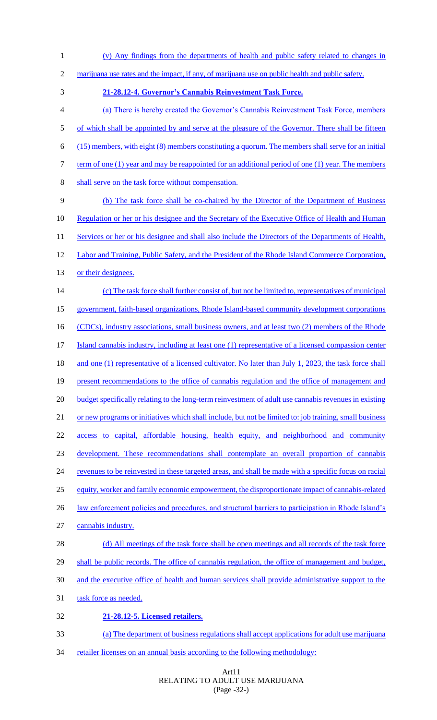2 marijuana use rates and the impact, if any, of marijuana use on public health and public safety. 3 **21-28.12-4. Governor's Cannabis Reinvestment Task Force.** 4 (a) There is hereby created the Governor's Cannabis Reinvestment Task Force, members 5 of which shall be appointed by and serve at the pleasure of the Governor. There shall be fifteen 6 (15) members, with eight (8) members constituting a quorum. The members shall serve for an initial 7 term of one (1) year and may be reappointed for an additional period of one (1) year. The members 8 shall serve on the task force without compensation. 9 (b) The task force shall be co-chaired by the Director of the Department of Business 10 Regulation or her or his designee and the Secretary of the Executive Office of Health and Human 11 Services or her or his designee and shall also include the Directors of the Departments of Health, 12 Labor and Training, Public Safety, and the President of the Rhode Island Commerce Corporation, 13 or their designees. 14 (c) The task force shall further consist of, but not be limited to, representatives of municipal 15 government, faith-based organizations, Rhode Island-based community development corporations 16 (CDCs), industry associations, small business owners, and at least two (2) members of the Rhode 17 Island cannabis industry, including at least one (1) representative of a licensed compassion center 18 and one (1) representative of a licensed cultivator. No later than July 1, 2023, the task force shall 19 present recommendations to the office of cannabis regulation and the office of management and 20 budget specifically relating to the long-term reinvestment of adult use cannabis revenues in existing 21 or new programs or initiatives which shall include, but not be limited to: job training, small business 22 access to capital, affordable housing, health equity, and neighborhood and community 23 development. These recommendations shall contemplate an overall proportion of cannabis 24 revenues to be reinvested in these targeted areas, and shall be made with a specific focus on racial

1 (v) Any findings from the departments of health and public safety related to changes in

- 25 equity, worker and family economic empowerment, the disproportionate impact of cannabis-related
- 26 law enforcement policies and procedures, and structural barriers to participation in Rhode Island's
- 27 cannabis industry.

28 (d) All meetings of the task force shall be open meetings and all records of the task force 29 shall be public records. The office of cannabis regulation, the office of management and budget, 30 and the executive office of health and human services shall provide administrative support to the 31 task force as needed.

- 
- 32 **21-28.12-5. Licensed retailers.**
- 33 (a) The department of business regulations shall accept applications for adult use marijuana
- 34 retailer licenses on an annual basis according to the following methodology:

# Art11 RELATING TO ADULT USE MARIJUANA (Page -32-)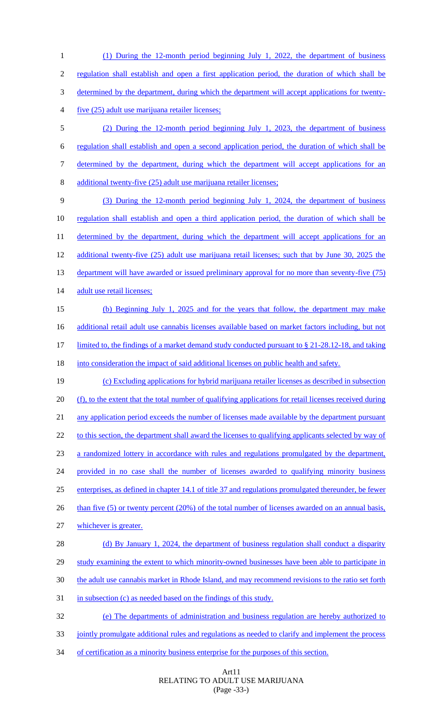(1) During the 12-month period beginning July 1, 2022, the department of business regulation shall establish and open a first application period, the duration of which shall be determined by the department, during which the department will accept applications for twenty- five (25) adult use marijuana retailer licenses; (2) During the 12-month period beginning July 1, 2023, the department of business regulation shall establish and open a second application period, the duration of which shall be determined by the department, during which the department will accept applications for an additional twenty-five (25) adult use marijuana retailer licenses; (3) During the 12-month period beginning July 1, 2024, the department of business regulation shall establish and open a third application period, the duration of which shall be 11 determined by the department, during which the department will accept applications for an additional twenty-five (25) adult use marijuana retail licenses; such that by June 30, 2025 the 13 department will have awarded or issued preliminary approval for no more than seventy-five (75) 14 adult use retail licenses; (b) Beginning July 1, 2025 and for the years that follow, the department may make 16 additional retail adult use cannabis licenses available based on market factors including, but not limited to, the findings of a market demand study conducted pursuant to § 21-28.12-18, and taking 18 into consideration the impact of said additional licenses on public health and safety. (c) Excluding applications for hybrid marijuana retailer licenses as described in subsection 20 (f), to the extent that the total number of qualifying applications for retail licenses received during 21 any application period exceeds the number of licenses made available by the department pursuant 22 to this section, the department shall award the licenses to qualifying applicants selected by way of a randomized lottery in accordance with rules and regulations promulgated by the department, provided in no case shall the number of licenses awarded to qualifying minority business enterprises, as defined in chapter 14.1 of title 37 and regulations promulgated thereunder, be fewer 26 than five (5) or twenty percent (20%) of the total number of licenses awarded on an annual basis, whichever is greater. (d) By January 1, 2024, the department of business regulation shall conduct a disparity study examining the extent to which minority-owned businesses have been able to participate in the adult use cannabis market in Rhode Island, and may recommend revisions to the ratio set forth 31 in subsection (c) as needed based on the findings of this study. (e) The departments of administration and business regulation are hereby authorized to 33 jointly promulgate additional rules and regulations as needed to clarify and implement the process

of certification as a minority business enterprise for the purposes of this section.

Art11 RELATING TO ADULT USE MARIJUANA (Page -33-)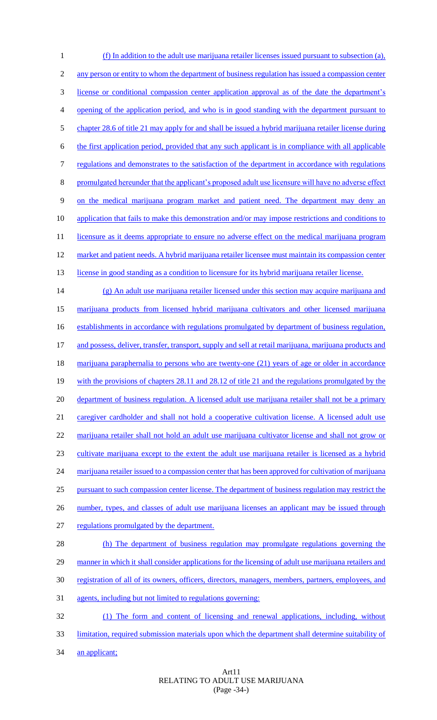(f) In addition to the adult use marijuana retailer licenses issued pursuant to subsection (a), 2 any person or entity to whom the department of business regulation has issued a compassion center license or conditional compassion center application approval as of the date the department's opening of the application period, and who is in good standing with the department pursuant to chapter 28.6 of title 21 may apply for and shall be issued a hybrid marijuana retailer license during the first application period, provided that any such applicant is in compliance with all applicable regulations and demonstrates to the satisfaction of the department in accordance with regulations promulgated hereunder that the applicant's proposed adult use licensure will have no adverse effect on the medical marijuana program market and patient need. The department may deny an application that fails to make this demonstration and/or may impose restrictions and conditions to 11 licensure as it deems appropriate to ensure no adverse effect on the medical marijuana program 12 market and patient needs. A hybrid marijuana retailer licensee must maintain its compassion center 13 license in good standing as a condition to licensure for its hybrid marijuana retailer license. (g) An adult use marijuana retailer licensed under this section may acquire marijuana and marijuana products from licensed hybrid marijuana cultivators and other licensed marijuana establishments in accordance with regulations promulgated by department of business regulation, 17 and possess, deliver, transfer, transport, supply and sell at retail marijuana, marijuana products and 18 marijuana paraphernalia to persons who are twenty-one (21) years of age or older in accordance with the provisions of chapters 28.11 and 28.12 of title 21 and the regulations promulgated by the 20 department of business regulation. A licensed adult use marijuana retailer shall not be a primary 21 caregiver cardholder and shall not hold a cooperative cultivation license. A licensed adult use marijuana retailer shall not hold an adult use marijuana cultivator license and shall not grow or cultivate marijuana except to the extent the adult use marijuana retailer is licensed as a hybrid 24 marijuana retailer issued to a compassion center that has been approved for cultivation of marijuana pursuant to such compassion center license. The department of business regulation may restrict the 26 number, types, and classes of adult use marijuana licenses an applicant may be issued through regulations promulgated by the department. (h) The department of business regulation may promulgate regulations governing the manner in which it shall consider applications for the licensing of adult use marijuana retailers and registration of all of its owners, officers, directors, managers, members, partners, employees, and agents, including but not limited to regulations governing: (1) The form and content of licensing and renewal applications, including, without limitation, required submission materials upon which the department shall determine suitability of 34 an applicant;

# Art11 RELATING TO ADULT USE MARIJUANA (Page -34-)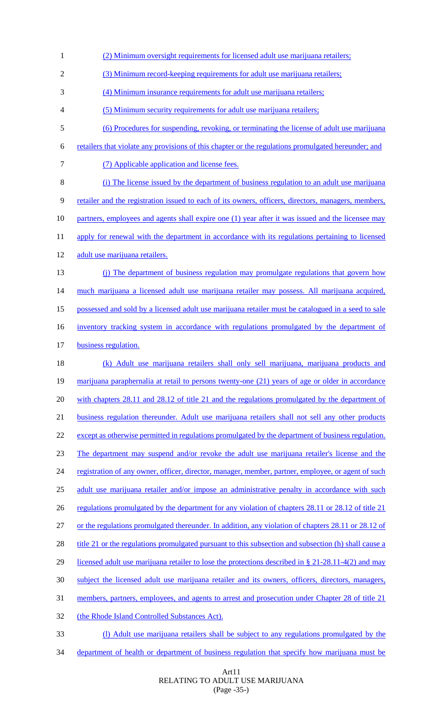(2) Minimum oversight requirements for licensed adult use marijuana retailers; (3) Minimum record-keeping requirements for adult use marijuana retailers; (4) Minimum insurance requirements for adult use marijuana retailers; (5) Minimum security requirements for adult use marijuana retailers; (6) Procedures for suspending, revoking, or terminating the license of adult use marijuana retailers that violate any provisions of this chapter or the regulations promulgated hereunder; and (7) Applicable application and license fees. (i) The license issued by the department of business regulation to an adult use marijuana retailer and the registration issued to each of its owners, officers, directors, managers, members, partners, employees and agents shall expire one (1) year after it was issued and the licensee may 11 apply for renewal with the department in accordance with its regulations pertaining to licensed 12 adult use marijuana retailers. (j) The department of business regulation may promulgate regulations that govern how 14 much marijuana a licensed adult use marijuana retailer may possess. All marijuana acquired, possessed and sold by a licensed adult use marijuana retailer must be catalogued in a seed to sale inventory tracking system in accordance with regulations promulgated by the department of business regulation. (k) Adult use marijuana retailers shall only sell marijuana, marijuana products and 19 marijuana paraphernalia at retail to persons twenty-one (21) years of age or older in accordance with chapters 28.11 and 28.12 of title 21 and the regulations promulgated by the department of business regulation thereunder*.* Adult use marijuana retailers shall not sell any other products 22 except as otherwise permitted in regulations promulgated by the department of business regulation. The department may suspend and/or revoke the adult use marijuana retailer's license and the 24 registration of any owner, officer, director, manager, member, partner, employee, or agent of such adult use marijuana retailer and/or impose an administrative penalty in accordance with such 26 regulations promulgated by the department for any violation of chapters 28.11 or 28.12 of title 21 or the regulations promulgated thereunder. In addition, any violation of chapters 28.11 or 28.12 of 28 title 21 or the regulations promulgated pursuant to this subsection and subsection (h) shall cause a 29 licensed adult use marijuana retailer to lose the protections described in § 21-28.11-4(2) and may subject the licensed adult use marijuana retailer and its owners, officers, directors, managers, members, partners, employees, and agents to arrest and prosecution under Chapter 28 of title 21 (the Rhode Island Controlled Substances Act). (l) Adult use marijuana retailers shall be subject to any regulations promulgated by the department of health or department of business regulation that specify how marijuana must be

> Art11 RELATING TO ADULT USE MARIJUANA (Page -35-)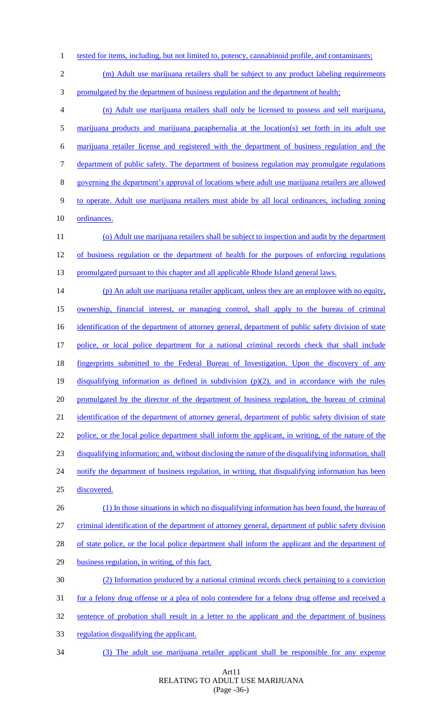- 1 tested for items, including, but not limited to, potency, cannabinoid profile, and contaminants;
- 2 (m) Adult use marijuana retailers shall be subject to any product labeling requirements
- promulgated by the department of business regulation and the department of health;
- (n) Adult use marijuana retailers shall only be licensed to possess and sell marijuana, marijuana products and marijuana paraphernalia at the location(s) set forth in its adult use marijuana retailer license and registered with the department of business regulation and the department of public safety. The department of business regulation may promulgate regulations governing the department's approval of locations where adult use marijuana retailers are allowed to operate. Adult use marijuana retailers must abide by all local ordinances, including zoning ordinances. (o) Adult use marijuana retailers shall be subject to inspection and audit by the department of business regulation or the department of health for the purposes of enforcing regulations 13 promulgated pursuant to this chapter and all applicable Rhode Island general laws. (p) An adult use marijuana retailer applicant, unless they are an employee with no equity, ownership, financial interest, or managing control, shall apply to the bureau of criminal 16 identification of the department of attorney general, department of public safety division of state police, or local police department for a national criminal records check that shall include fingerprints submitted to the Federal Bureau of Investigation. Upon the discovery of any disqualifying information as defined in subdivision (p)(2), and in accordance with the rules 20 promulgated by the director of the department of business regulation, the bureau of criminal 21 identification of the department of attorney general, department of public safety division of state police, or the local police department shall inform the applicant, in writing, of the nature of the disqualifying information; and, without disclosing the nature of the disqualifying information, shall 24 notify the department of business regulation, in writing, that disqualifying information has been discovered. 26 (1) In those situations in which no disqualifying information has been found, the bureau of criminal identification of the department of attorney general, department of public safety division 28 of state police, or the local police department shall inform the applicant and the department of business regulation, in writing, of this fact. (2) Information produced by a national criminal records check pertaining to a conviction 31 for a felony drug offense or a plea of nolo contendere for a felony drug offense and received a sentence of probation shall result in a letter to the applicant and the department of business regulation disqualifying the applicant.
- (3) The adult use marijuana retailer applicant shall be responsible for any expense

#### Art11 RELATING TO ADULT USE MARIJUANA (Page -36-)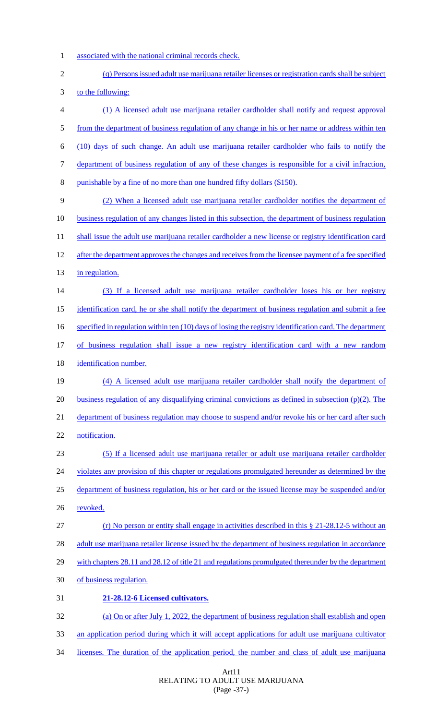- 1 associated with the national criminal records check.
- 2 (q) Persons issued adult use marijuana retailer licenses or registration cards shall be subject 3 to the following: 4 (1) A licensed adult use marijuana retailer cardholder shall notify and request approval 5 from the department of business regulation of any change in his or her name or address within ten 6 (10) days of such change. An adult use marijuana retailer cardholder who fails to notify the 7 department of business regulation of any of these changes is responsible for a civil infraction, 8 punishable by a fine of no more than one hundred fifty dollars (\$150). 9 (2) When a licensed adult use marijuana retailer cardholder notifies the department of 10 business regulation of any changes listed in this subsection, the department of business regulation 11 shall issue the adult use marijuana retailer cardholder a new license or registry identification card 12 after the department approves the changes and receives from the licensee payment of a fee specified 13 in regulation. 14 (3) If a licensed adult use marijuana retailer cardholder loses his or her registry

15 identification card, he or she shall notify the department of business regulation and submit a fee

16 specified in regulation within ten (10) days of losing the registry identification card. The department

17 of business regulation shall issue a new registry identification card with a new random

18 identification number.

19 (4) A licensed adult use marijuana retailer cardholder shall notify the department of 20 business regulation of any disqualifying criminal convictions as defined in subsection  $(p)(2)$ . The 21 department of business regulation may choose to suspend and/or revoke his or her card after such 22 notification.

23 (5) If a licensed adult use marijuana retailer or adult use marijuana retailer cardholder 24 violates any provision of this chapter or regulations promulgated hereunder as determined by the 25 department of business regulation, his or her card or the issued license may be suspended and/or 26 revoked.

27 (r) No person or entity shall engage in activities described in this § 21-28.12-5 without an 28 adult use marijuana retailer license issued by the department of business regulation in accordance

29 with chapters 28.11 and 28.12 of title 21 and regulations promulgated thereunder by the department

- 30 of business regulation.
- 31 **21-28.12-6 Licensed cultivators.**

32 (a) On or after July 1, 2022, the department of business regulation shall establish and open 33 an application period during which it will accept applications for adult use marijuana cultivator

34 licenses. The duration of the application period, the number and class of adult use marijuana

## Art11 RELATING TO ADULT USE MARIJUANA (Page -37-)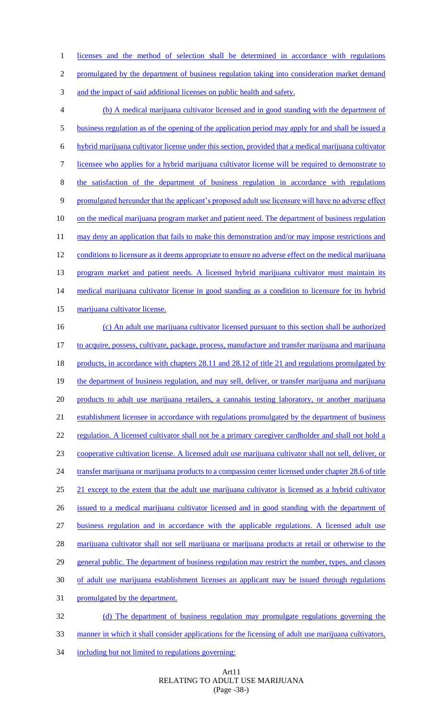1 licenses and the method of selection shall be determined in accordance with regulations 2 promulgated by the department of business regulation taking into consideration market demand 3 and the impact of said additional licenses on public health and safety. (b) A medical marijuana cultivator licensed and in good standing with the department of business regulation as of the opening of the application period may apply for and shall be issued a hybrid marijuana cultivator license under this section, provided that a medical marijuana cultivator licensee who applies for a hybrid marijuana cultivator license will be required to demonstrate to the satisfaction of the department of business regulation in accordance with regulations promulgated hereunder that the applicant's proposed adult use licensure will have no adverse effect on the medical marijuana program market and patient need. The department of business regulation 11 may deny an application that fails to make this demonstration and/or may impose restrictions and 12 conditions to licensure as it deems appropriate to ensure no adverse effect on the medical marijuana 13 program market and patient needs. A licensed hybrid marijuana cultivator must maintain its 14 medical marijuana cultivator license in good standing as a condition to licensure for its hybrid marijuana cultivator license. (c) An adult use marijuana cultivator licensed pursuant to this section shall be authorized to acquire, possess, cultivate, package, process, manufacture and transfer marijuana and marijuana 18 products, in accordance with chapters 28.11 and 28.12 of title 21 and regulations promulgated by 19 the department of business regulation, and may sell, deliver, or transfer marijuana and marijuana products to adult use marijuana retailers, a cannabis testing laboratory, or another marijuana establishment licensee in accordance with regulations promulgated by the department of business 22 regulation. A licensed cultivator shall not be a primary caregiver cardholder and shall not hold a cooperative cultivation license. A licensed adult use marijuana cultivator shall not sell, deliver, or 24 transfer marijuana or marijuana products to a compassion center licensed under chapter 28.6 of title 25 21 except to the extent that the adult use marijuana cultivator is licensed as a hybrid cultivator issued to a medical marijuana cultivator licensed and in good standing with the department of business regulation and in accordance with the applicable regulations. A licensed adult use marijuana cultivator shall not sell marijuana or marijuana products at retail or otherwise to the 29 general public. The department of business regulation may restrict the number, types, and classes of adult use marijuana establishment licenses an applicant may be issued through regulations promulgated by the department. (d) The department of business regulation may promulgate regulations governing the manner in which it shall consider applications for the licensing of adult use marijuana cultivators,

34 including but not limited to regulations governing:

## Art11 RELATING TO ADULT USE MARIJUANA (Page -38-)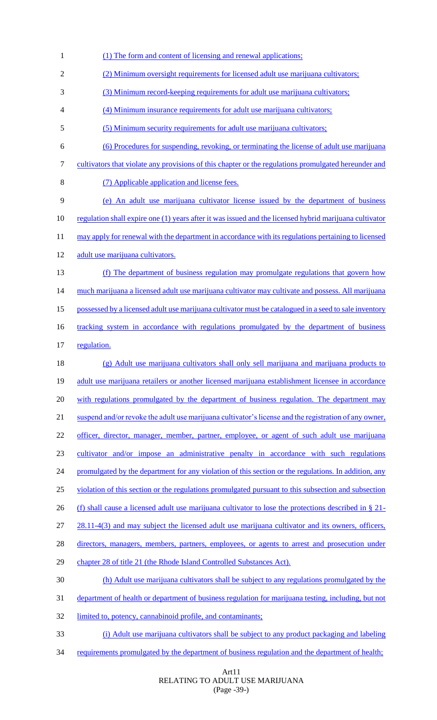(1) The form and content of licensing and renewal applications; (2) Minimum oversight requirements for licensed adult use marijuana cultivators; (3) Minimum record-keeping requirements for adult use marijuana cultivators; (4) Minimum insurance requirements for adult use marijuana cultivators; (5) Minimum security requirements for adult use marijuana cultivators; (6) Procedures for suspending, revoking, or terminating the license of adult use marijuana cultivators that violate any provisions of this chapter or the regulations promulgated hereunder and (7) Applicable application and license fees. (e) An adult use marijuana cultivator license issued by the department of business regulation shall expire one (1) years after it was issued and the licensed hybrid marijuana cultivator 11 may apply for renewal with the department in accordance with its regulations pertaining to licensed 12 adult use marijuana cultivators. (f) The department of business regulation may promulgate regulations that govern how 14 much marijuana a licensed adult use marijuana cultivator may cultivate and possess. All marijuana possessed by a licensed adult use marijuana cultivator must be catalogued in a seed to sale inventory 16 tracking system in accordance with regulations promulgated by the department of business regulation. (g) Adult use marijuana cultivators shall only sell marijuana and marijuana products to 19 adult use marijuana retailers or another licensed marijuana establishment licensee in accordance with regulations promulgated by the department of business regulation*.* The department may suspend and/or revoke the adult use marijuana cultivator's license and the registration of any owner, 22 officer, director, manager, member, partner, employee, or agent of such adult use marijuana cultivator and/or impose an administrative penalty in accordance with such regulations 24 promulgated by the department for any violation of this section or the regulations. In addition, any violation of this section or the regulations promulgated pursuant to this subsection and subsection (f) shall cause a licensed adult use marijuana cultivator to lose the protections described in § 21- 27 28.11-4(3) and may subject the licensed adult use marijuana cultivator and its owners, officers, 28 directors, managers, members, partners, employees, or agents to arrest and prosecution under chapter 28 of title 21 (the Rhode Island Controlled Substances Act). (h) Adult use marijuana cultivators shall be subject to any regulations promulgated by the department of health or department of business regulation for marijuana testing, including, but not 32 limited to, potency, cannabinoid profile, and contaminants; (i) Adult use marijuana cultivators shall be subject to any product packaging and labeling 34 requirements promulgated by the department of business regulation and the department of health;

#### Art11 RELATING TO ADULT USE MARIJUANA (Page -39-)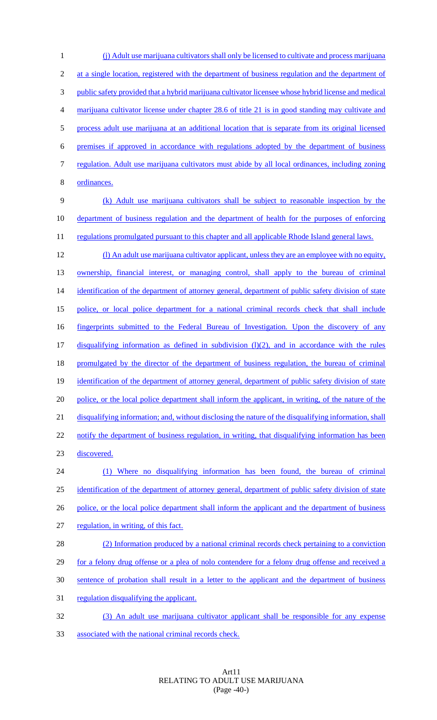(j) Adult use marijuana cultivators shall only be licensed to cultivate and process marijuana 2 at a single location, registered with the department of business regulation and the department of public safety provided that a hybrid marijuana cultivator licensee whose hybrid license and medical marijuana cultivator license under chapter 28.6 of title 21 is in good standing may cultivate and process adult use marijuana at an additional location that is separate from its original licensed premises if approved in accordance with regulations adopted by the department of business regulation. Adult use marijuana cultivators must abide by all local ordinances, including zoning ordinances. (k) Adult use marijuana cultivators shall be subject to reasonable inspection by the department of business regulation and the department of health for the purposes of enforcing 11 regulations promulgated pursuant to this chapter and all applicable Rhode Island general laws. (l) An adult use marijuana cultivator applicant, unless they are an employee with no equity,

13 ownership, financial interest, or managing control, shall apply to the bureau of criminal 14 identification of the department of attorney general, department of public safety division of state police, or local police department for a national criminal records check that shall include fingerprints submitted to the Federal Bureau of Investigation. Upon the discovery of any 17 disqualifying information as defined in subdivision (1)(2), and in accordance with the rules promulgated by the director of the department of business regulation, the bureau of criminal identification of the department of attorney general, department of public safety division of state 20 police, or the local police department shall inform the applicant, in writing, of the nature of the 21 disqualifying information; and, without disclosing the nature of the disqualifying information, shall 22 notify the department of business regulation, in writing, that disqualifying information has been discovered. (1) Where no disqualifying information has been found, the bureau of criminal identification of the department of attorney general, department of public safety division of state 26 police, or the local police department shall inform the applicant and the department of business regulation, in writing, of this fact.

- (2) Information produced by a national criminal records check pertaining to a conviction 29 for a felony drug offense or a plea of nolo contendere for a felony drug offense and received a sentence of probation shall result in a letter to the applicant and the department of business
- regulation disqualifying the applicant.
- (3) An adult use marijuana cultivator applicant shall be responsible for any expense associated with the national criminal records check.

## Art11 RELATING TO ADULT USE MARIJUANA (Page -40-)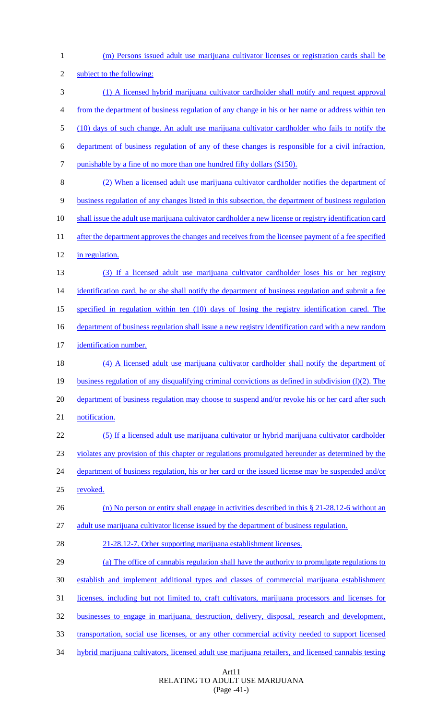(m) Persons issued adult use marijuana cultivator licenses or registration cards shall be subject to the following: (1) A licensed hybrid marijuana cultivator cardholder shall notify and request approval from the department of business regulation of any change in his or her name or address within ten (10) days of such change. An adult use marijuana cultivator cardholder who fails to notify the department of business regulation of any of these changes is responsible for a civil infraction, 7 punishable by a fine of no more than one hundred fifty dollars (\$150). (2) When a licensed adult use marijuana cultivator cardholder notifies the department of business regulation of any changes listed in this subsection, the department of business regulation shall issue the adult use marijuana cultivator cardholder a new license or registry identification card 11 after the department approves the changes and receives from the licensee payment of a fee specified 12 in regulation. (3) If a licensed adult use marijuana cultivator cardholder loses his or her registry 14 identification card, he or she shall notify the department of business regulation and submit a fee specified in regulation within ten (10) days of losing the registry identification cared. The 16 department of business regulation shall issue a new registry identification card with a new random identification number. (4) A licensed adult use marijuana cultivator cardholder shall notify the department of business regulation of any disqualifying criminal convictions as defined in subdivision (l)(2). The 20 department of business regulation may choose to suspend and/or revoke his or her card after such 21 notification. (5) If a licensed adult use marijuana cultivator or hybrid marijuana cultivator cardholder violates any provision of this chapter or regulations promulgated hereunder as determined by the 24 department of business regulation, his or her card or the issued license may be suspended and/or revoked. 26 (n) No person or entity shall engage in activities described in this § 21-28.12-6 without an adult use marijuana cultivator license issued by the department of business regulation. 21-28.12-7. Other supporting marijuana establishment licenses. (a) The office of cannabis regulation shall have the authority to promulgate regulations to establish and implement additional types and classes of commercial marijuana establishment licenses, including but not limited to, craft cultivators, marijuana processors and licenses for businesses to engage in marijuana, destruction, delivery, disposal, research and development, transportation, social use licenses, or any other commercial activity needed to support licensed hybrid marijuana cultivators, licensed adult use marijuana retailers, and licensed cannabis testing

> Art11 RELATING TO ADULT USE MARIJUANA (Page -41-)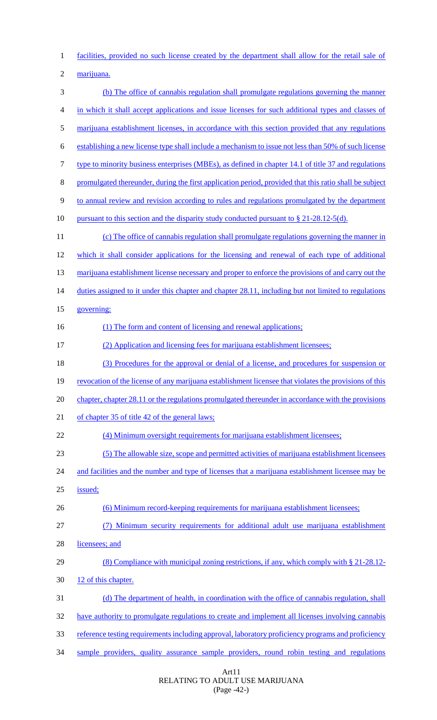facilities, provided no such license created by the department shall allow for the retail sale of

marijuana.

 (b) The office of cannabis regulation shall promulgate regulations governing the manner in which it shall accept applications and issue licenses for such additional types and classes of marijuana establishment licenses, in accordance with this section provided that any regulations establishing a new license type shall include a mechanism to issue not less than 50% of such license type to minority business enterprises (MBEs), as defined in chapter 14.1 of title 37 and regulations promulgated thereunder, during the first application period, provided that this ratio shall be subject to annual review and revision according to rules and regulations promulgated by the department 10 pursuant to this section and the disparity study conducted pursuant to § 21-28.12-5(d). (c) The office of cannabis regulation shall promulgate regulations governing the manner in which it shall consider applications for the licensing and renewal of each type of additional 13 marijuana establishment license necessary and proper to enforce the provisions of and carry out the 14 duties assigned to it under this chapter and chapter 28.11, including but not limited to regulations governing: 16 (1) The form and content of licensing and renewal applications; (2) Application and licensing fees for marijuana establishment licensees; (3) Procedures for the approval or denial of a license, and procedures for suspension or 19 revocation of the license of any marijuana establishment licensee that violates the provisions of this chapter, chapter 28.11 or the regulations promulgated thereunder in accordance with the provisions of chapter 35 of title 42 of the general laws; 22 (4) Minimum oversight requirements for marijuana establishment licensees; (5) The allowable size, scope and permitted activities of marijuana establishment licensees 24 and facilities and the number and type of licenses that a marijuana establishment licensee may be issued; (6) Minimum record-keeping requirements for marijuana establishment licensees; (7) Minimum security requirements for additional adult use marijuana establishment licensees; and 29 (8) Compliance with municipal zoning restrictions, if any, which comply with § 21-28.12-30 12 of this chapter. (d) The department of health, in coordination with the office of cannabis regulation, shall have authority to promulgate regulations to create and implement all licenses involving cannabis reference testing requirements including approval, laboratory proficiency programs and proficiency sample providers, quality assurance sample providers, round robin testing and regulations

> Art11 RELATING TO ADULT USE MARIJUANA (Page -42-)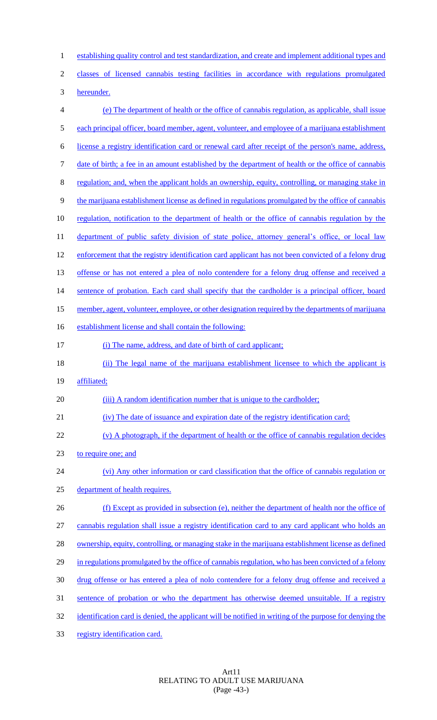1 establishing quality control and test standardization, and create and implement additional types and classes of licensed cannabis testing facilities in accordance with regulations promulgated hereunder. (e) The department of health or the office of cannabis regulation, as applicable, shall issue 5 each principal officer, board member, agent, volunteer, and employee of a marijuana establishment license a registry identification card or renewal card after receipt of the person's name, address, date of birth; a fee in an amount established by the department of health or the office of cannabis regulation; and, when the applicant holds an ownership, equity, controlling, or managing stake in the marijuana establishment license as defined in regulations promulgated by the office of cannabis regulation, notification to the department of health or the office of cannabis regulation by the 11 department of public safety division of state police, attorney general's office, or local law enforcement that the registry identification card applicant has not been convicted of a felony drug 13 offense or has not entered a plea of nolo contendere for a felony drug offense and received a 14 sentence of probation. Each card shall specify that the cardholder is a principal officer, board 15 member, agent, volunteer, employee, or other designation required by the departments of marijuana establishment license and shall contain the following: (i) The name, address, and date of birth of card applicant; 18 (ii) The legal name of the marijuana establishment licensee to which the applicant is 19 affiliated; 20 (iii) A random identification number that is unique to the cardholder; (iv) The date of issuance and expiration date of the registry identification card; (v) A photograph, if the department of health or the office of cannabis regulation decides to require one; and (vi) Any other information or card classification that the office of cannabis regulation or department of health requires. (f) Except as provided in subsection (e), neither the department of health nor the office of cannabis regulation shall issue a registry identification card to any card applicant who holds an 28 ownership, equity, controlling, or managing stake in the marijuana establishment license as defined in regulations promulgated by the office of cannabis regulation, who has been convicted of a felony drug offense or has entered a plea of nolo contendere for a felony drug offense and received a 31 sentence of probation or who the department has otherwise deemed unsuitable. If a registry 32 identification card is denied, the applicant will be notified in writing of the purpose for denying the registry identification card.

> Art11 RELATING TO ADULT USE MARIJUANA (Page -43-)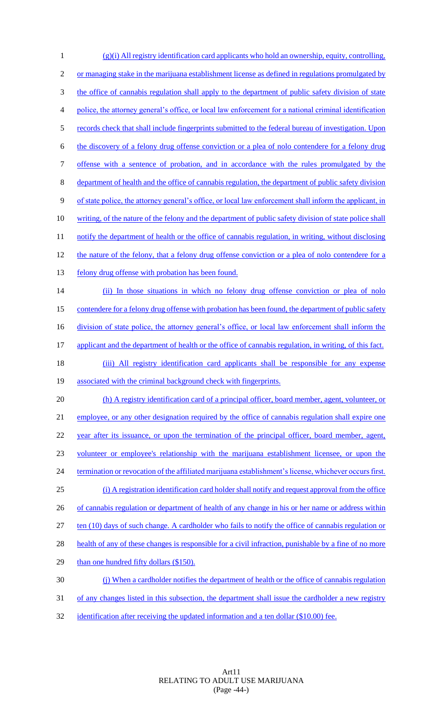1 (g)(i) All registry identification card applicants who hold an ownership, equity, controlling, 2 or managing stake in the marijuana establishment license as defined in regulations promulgated by 3 the office of cannabis regulation shall apply to the department of public safety division of state 4 police, the attorney general's office, or local law enforcement for a national criminal identification 5 records check that shall include fingerprints submitted to the federal bureau of investigation. Upon 6 the discovery of a felony drug offense conviction or a plea of nolo contendere for a felony drug 7 offense with a sentence of probation, and in accordance with the rules promulgated by the 8 department of health and the office of cannabis regulation, the department of public safety division 9 of state police, the attorney general's office, or local law enforcement shall inform the applicant, in 10 writing, of the nature of the felony and the department of public safety division of state police shall 11 notify the department of health or the office of cannabis regulation, in writing, without disclosing 12 the nature of the felony, that a felony drug offense conviction or a plea of nolo contendere for a 13 felony drug offense with probation has been found. 14 (ii) In those situations in which no felony drug offense conviction or plea of nolo 15 contendere for a felony drug offense with probation has been found, the department of public safety 16 division of state police, the attorney general's office, or local law enforcement shall inform the 17 applicant and the department of health or the office of cannabis regulation, in writing, of this fact. 18 (iii) All registry identification card applicants shall be responsible for any expense 19 associated with the criminal background check with fingerprints. 20 (h) A registry identification card of a principal officer, board member, agent, volunteer, or 21 employee, or any other designation required by the office of cannabis regulation shall expire one 22 year after its issuance, or upon the termination of the principal officer, board member, agent, 23 volunteer or employee's relationship with the marijuana establishment licensee, or upon the 24 termination or revocation of the affiliated marijuana establishment's license, whichever occurs first. 25 (i) A registration identification card holder shall notify and request approval from the office 26 of cannabis regulation or department of health of any change in his or her name or address within 27 ten (10) days of such change. A cardholder who fails to notify the office of cannabis regulation or 28 health of any of these changes is responsible for a civil infraction, punishable by a fine of no more 29 than one hundred fifty dollars (\$150). 30 (j) When a cardholder notifies the department of health or the office of cannabis regulation 31 of any changes listed in this subsection, the department shall issue the cardholder a new registry 32 identification after receiving the updated information and a ten dollar (\$10.00) fee.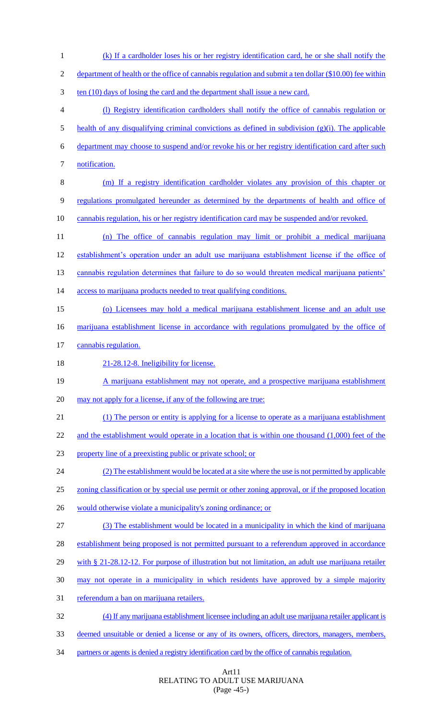(k) If a cardholder loses his or her registry identification card, he or she shall notify the department of health or the office of cannabis regulation and submit a ten dollar (\$10.00) fee within 3 ten (10) days of losing the card and the department shall issue a new card. (l) Registry identification cardholders shall notify the office of cannabis regulation or 5 health of any disqualifying criminal convictions as defined in subdivision  $(g)(i)$ . The applicable department may choose to suspend and/or revoke his or her registry identification card after such 7 notification. (m) If a registry identification cardholder violates any provision of this chapter or regulations promulgated hereunder as determined by the departments of health and office of cannabis regulation, his or her registry identification card may be suspended and/or revoked. (n) The office of cannabis regulation may limit or prohibit a medical marijuana establishment's operation under an adult use marijuana establishment license if the office of 13 cannabis regulation determines that failure to do so would threaten medical marijuana patients' 14 access to marijuana products needed to treat qualifying conditions. (o) Licensees may hold a medical marijuana establishment license and an adult use marijuana establishment license in accordance with regulations promulgated by the office of cannabis regulation. 18 21-28.12-8. Ineligibility for license. 19 A marijuana establishment may not operate, and a prospective marijuana establishment may not apply for a license, if any of the following are true: (1) The person or entity is applying for a license to operate as a marijuana establishment 22 and the establishment would operate in a location that is within one thousand (1,000) feet of the property line of a preexisting public or private school; or (2) The establishment would be located at a site where the use is not permitted by applicable zoning classification or by special use permit or other zoning approval, or if the proposed location 26 would otherwise violate a municipality's zoning ordinance; or (3) The establishment would be located in a municipality in which the kind of marijuana 28 establishment being proposed is not permitted pursuant to a referendum approved in accordance 29 with § 21-28.12-12. For purpose of illustration but not limitation, an adult use marijuana retailer may not operate in a municipality in which residents have approved by a simple majority referendum a ban on marijuana retailers. (4) If any marijuana establishment licensee including an adult use marijuana retailer applicant is deemed unsuitable or denied a license or any of its owners, officers, directors, managers, members, partners or agents is denied a registry identification card by the office of cannabis regulation.

> Art11 RELATING TO ADULT USE MARIJUANA (Page -45-)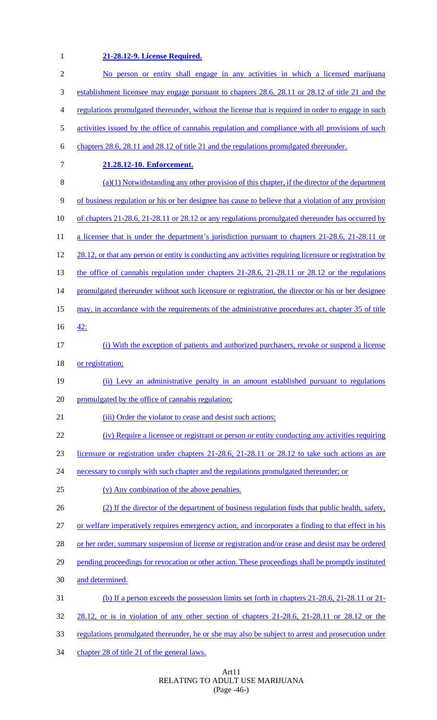**21-28.12-9. License Required.**

| $\mathbf{2}$   | No person or entity shall engage in any activities in which a licensed marijuana                        |
|----------------|---------------------------------------------------------------------------------------------------------|
| 3              | establishment licensee may engage pursuant to chapters 28.6, 28.11 or 28.12 of title 21 and the         |
| $\overline{4}$ | regulations promulgated thereunder, without the license that is required in order to engage in such     |
| 5              | activities issued by the office of cannabis regulation and compliance with all provisions of such       |
| 6              | chapters 28.6, 28.11 and 28.12 of title 21 and the regulations promulgated thereunder.                  |
| 7              | 21.28.12-10. Enforcement.                                                                               |
| 8              | $(a)(1)$ Notwithstanding any other provision of this chapter, if the director of the department         |
| 9              | of business regulation or his or her designee has cause to believe that a violation of any provision    |
| 10             | of chapters 21-28.6, 21-28.11 or 28.12 or any regulations promulgated thereunder has occurred by        |
| 11             | a licensee that is under the department's jurisdiction pursuant to chapters 21-28.6, 21-28.11 or        |
| 12             | 28.12, or that any person or entity is conducting any activities requiring licensure or registration by |
| 13             | the office of cannabis regulation under chapters $21-28.6$ , $21-28.11$ or $28.12$ or the regulations   |
| 14             | promulgated thereunder without such licensure or registration, the director or his or her designee      |
| 15             | may, in accordance with the requirements of the administrative procedures act, chapter 35 of title      |
| 16             | <u>42:</u>                                                                                              |
| 17             | (i) With the exception of patients and authorized purchasers, revoke or suspend a license               |
| 18             | or registration;                                                                                        |
| 19             | (ii) Levy an administrative penalty in an amount established pursuant to regulations                    |
| 20             | promulgated by the office of cannabis regulation;                                                       |
| 21             | (iii) Order the violator to cease and desist such actions;                                              |
| 22             | (iv) Require a licensee or registrant or person or entity conducting any activities requiring           |
| 23             | licensure or registration under chapters 21-28.6, 21-28.11 or 28.12 to take such actions as are         |
| 24             | necessary to comply with such chapter and the regulations promulgated thereunder; or                    |
| 25             | (v) Any combination of the above penalties.                                                             |
| 26             | (2) If the director of the department of business regulation finds that public health, safety,          |
| 27             | or welfare imperatively requires emergency action, and incorporates a finding to that effect in his     |
| 28             | or her order, summary suspension of license or registration and/or cease and desist may be ordered      |
| 29             | pending proceedings for revocation or other action. These proceedings shall be promptly instituted      |
| 30             | and determined.                                                                                         |
| 31             | (b) If a person exceeds the possession limits set forth in chapters 21-28.6, 21-28.11 or 21-            |
| 32             | 28.12, or is in violation of any other section of chapters 21-28.6, 21-28.11 or 28.12 or the            |
| 33             | regulations promulgated thereunder, he or she may also be subject to arrest and prosecution under       |
| 34             | chapter 28 of title 21 of the general laws.                                                             |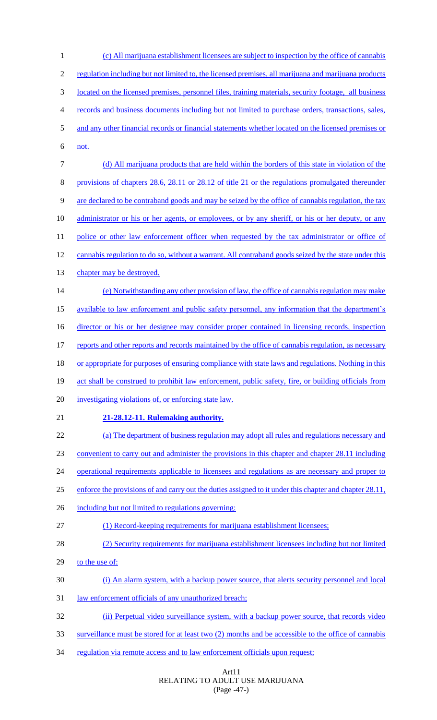(c) All marijuana establishment licensees are subject to inspection by the office of cannabis regulation including but not limited to, the licensed premises, all marijuana and marijuana products located on the licensed premises, personnel files, training materials, security footage, all business records and business documents including but not limited to purchase orders, transactions, sales, and any other financial records or financial statements whether located on the licensed premises or not. (d) All marijuana products that are held within the borders of this state in violation of the provisions of chapters 28.6, 28.11 or 28.12 of title 21 or the regulations promulgated thereunder are declared to be contraband goods and may be seized by the office of cannabis regulation, the tax 10 administrator or his or her agents, or employees, or by any sheriff, or his or her deputy, or any 11 police or other law enforcement officer when requested by the tax administrator or office of cannabis regulation to do so, without a warrant. All contraband goods seized by the state under this 13 chapter may be destroyed. (e) Notwithstanding any other provision of law, the office of cannabis regulation may make available to law enforcement and public safety personnel, any information that the department's 16 director or his or her designee may consider proper contained in licensing records, inspection reports and other reports and records maintained by the office of cannabis regulation, as necessary or appropriate for purposes of ensuring compliance with state laws and regulations. Nothing in this act shall be construed to prohibit law enforcement, public safety, fire, or building officials from investigating violations of, or enforcing state law. **21-28.12-11. Rulemaking authority.** (a) The department of business regulation may adopt all rules and regulations necessary and convenient to carry out and administer the provisions in this chapter and chapter 28.11 including 24 operational requirements applicable to licensees and regulations as are necessary and proper to 25 enforce the provisions of and carry out the duties assigned to it under this chapter and chapter 28.11, including but not limited to regulations governing: 27 (1) Record-keeping requirements for marijuana establishment licensees; (2) Security requirements for marijuana establishment licensees including but not limited to the use of: (i) An alarm system, with a backup power source, that alerts security personnel and local 31 law enforcement officials of any unauthorized breach; (ii) Perpetual video surveillance system, with a backup power source, that records video surveillance must be stored for at least two (2) months and be accessible to the office of cannabis 34 regulation via remote access and to law enforcement officials upon request;

## Art11 RELATING TO ADULT USE MARIJUANA (Page -47-)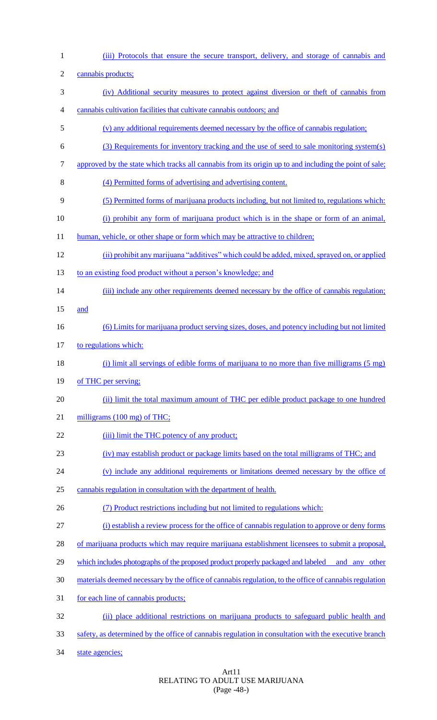| $\mathbf{1}$   | (iii) Protocols that ensure the secure transport, delivery, and storage of cannabis and                |
|----------------|--------------------------------------------------------------------------------------------------------|
| $\mathbf{2}$   | cannabis products;                                                                                     |
| 3              | (iv) Additional security measures to protect against diversion or theft of cannabis from               |
| $\overline{4}$ | cannabis cultivation facilities that cultivate cannabis outdoors; and                                  |
| 5              | (v) any additional requirements deemed necessary by the office of cannabis regulation;                 |
| 6              | (3) Requirements for inventory tracking and the use of seed to sale monitoring system(s)               |
| $\overline{7}$ | approved by the state which tracks all cannabis from its origin up to and including the point of sale; |
| 8              | (4) Permitted forms of advertising and advertising content.                                            |
| 9              | (5) Permitted forms of marijuana products including, but not limited to, regulations which:            |
| 10             | (i) prohibit any form of marijuana product which is in the shape or form of an animal,                 |
| 11             | human, vehicle, or other shape or form which may be attractive to children;                            |
| 12             | (ii) prohibit any marijuana "additives" which could be added, mixed, sprayed on, or applied            |
| 13             | to an existing food product without a person's knowledge; and                                          |
| 14             | (iii) include any other requirements deemed necessary by the office of cannabis regulation;            |
| 15             | and                                                                                                    |
| 16             | (6) Limits for marijuana product serving sizes, doses, and potency including but not limited           |
| 17             | to regulations which:                                                                                  |
| 18             | (i) limit all servings of edible forms of marijuana to no more than five milligrams $(5 \text{ mg})$   |
| 19             | of THC per serving;                                                                                    |
| 20             | (ii) limit the total maximum amount of THC per edible product package to one hundred                   |
| 21             | milligrams (100 mg) of THC;                                                                            |
| 22             | (iii) limit the THC potency of any product;                                                            |
| 23             | (iv) may establish product or package limits based on the total milligrams of THC; and                 |
| 24             | (v) include any additional requirements or limitations deemed necessary by the office of               |
| 25             | cannabis regulation in consultation with the department of health.                                     |
| 26             | (7) Product restrictions including but not limited to regulations which:                               |
| 27             | (i) establish a review process for the office of cannabis regulation to approve or deny forms          |
| 28             | of marijuana products which may require marijuana establishment licensees to submit a proposal,        |
| 29             | which includes photographs of the proposed product properly packaged and labeled<br>and any other      |
| 30             | materials deemed necessary by the office of cannabis regulation, to the office of cannabis regulation  |
| 31             | for each line of cannabis products;                                                                    |
| 32             | (ii) place additional restrictions on marijuana products to safeguard public health and                |
| 33             | safety, as determined by the office of cannabis regulation in consultation with the executive branch   |
| 34             | state agencies;                                                                                        |

Art11 RELATING TO ADULT USE MARIJUANA (Page -48-)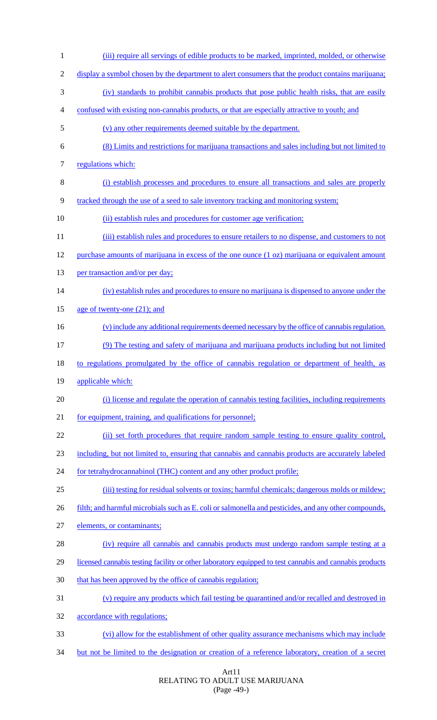1 (iii) require all servings of edible products to be marked, imprinted, molded, or otherwise 2 display a symbol chosen by the department to alert consumers that the product contains marijuana; (iv) standards to prohibit cannabis products that pose public health risks, that are easily confused with existing non-cannabis products, or that are especially attractive to youth; and (v) any other requirements deemed suitable by the department. (8) Limits and restrictions for marijuana transactions and sales including but not limited to 7 regulations which: (i) establish processes and procedures to ensure all transactions and sales are properly tracked through the use of a seed to sale inventory tracking and monitoring system; (ii) establish rules and procedures for customer age verification; (iii) establish rules and procedures to ensure retailers to no dispense, and customers to not 12 purchase amounts of marijuana in excess of the one ounce (1 oz) marijuana or equivalent amount 13 per transaction and/or per day; (iv) establish rules and procedures to ensure no marijuana is dispensed to anyone under the age of twenty-one (21); and (v) include any additional requirements deemed necessary by the office of cannabis regulation. (9) The testing and safety of marijuana and marijuana products including but not limited to regulations promulgated by the office of cannabis regulation or department of health, as applicable which: (i) license and regulate the operation of cannabis testing facilities, including requirements 21 for equipment, training, and qualifications for personnel; 22 (ii) set forth procedures that require random sample testing to ensure quality control, including, but not limited to, ensuring that cannabis and cannabis products are accurately labeled 24 for tetrahydrocannabinol (THC) content and any other product profile; (iii) testing for residual solvents or toxins; harmful chemicals; dangerous molds or mildew; 26 filth; and harmful microbials such as E. coli or salmonella and pesticides, and any other compounds, elements, or contaminants; (iv) require all cannabis and cannabis products must undergo random sample testing at a 29 licensed cannabis testing facility or other laboratory equipped to test cannabis and cannabis products 30 that has been approved by the office of cannabis regulation; (v) require any products which fail testing be quarantined and/or recalled and destroyed in accordance with regulations; (vi) allow for the establishment of other quality assurance mechanisms which may include but not be limited to the designation or creation of a reference laboratory, creation of a secret

## Art11 RELATING TO ADULT USE MARIJUANA (Page -49-)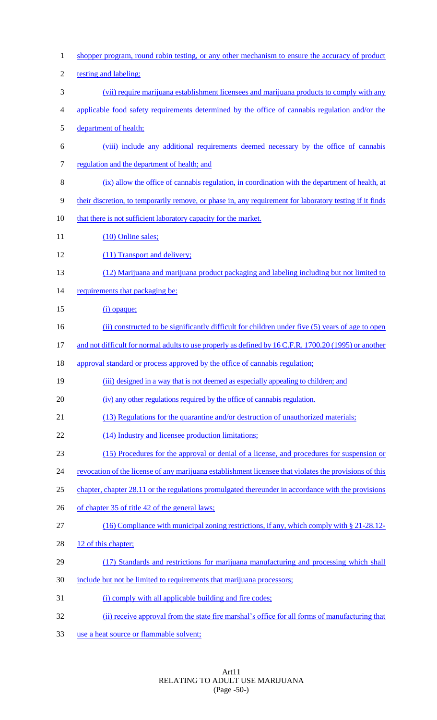shopper program, round robin testing, or any other mechanism to ensure the accuracy of product 2 testing and labeling; (vii) require marijuana establishment licensees and marijuana products to comply with any applicable food safety requirements determined by the office of cannabis regulation and/or the department of health; (viii) include any additional requirements deemed necessary by the office of cannabis 7 regulation and the department of health; and (ix) allow the office of cannabis regulation, in coordination with the department of health, at their discretion, to temporarily remove, or phase in, any requirement for laboratory testing if it finds 10 that there is not sufficient laboratory capacity for the market. 11 (10) Online sales; (11) Transport and delivery; (12) Marijuana and marijuana product packaging and labeling including but not limited to 14 requirements that packaging be: 15 (i) opaque; (ii) constructed to be significantly difficult for children under five (5) years of age to open 17 and not difficult for normal adults to use properly as defined by 16 C.F.R. 1700.20 (1995) or another approval standard or process approved by the office of cannabis regulation; (iii) designed in a way that is not deemed as especially appealing to children; and (iv) any other regulations required by the office of cannabis regulation. (13) Regulations for the quarantine and/or destruction of unauthorized materials; 22 (14) Industry and licensee production limitations; (15) Procedures for the approval or denial of a license, and procedures for suspension or 24 revocation of the license of any marijuana establishment licensee that violates the provisions of this chapter, chapter 28.11 or the regulations promulgated thereunder in accordance with the provisions 26 of chapter 35 of title 42 of the general laws; (16) Compliance with municipal zoning restrictions, if any, which comply with § 21-28.12- 28 12 of this chapter; (17) Standards and restrictions for marijuana manufacturing and processing which shall include but not be limited to requirements that marijuana processors; 31 (i) comply with all applicable building and fire codes; (ii) receive approval from the state fire marshal's office for all forms of manufacturing that use a heat source or flammable solvent;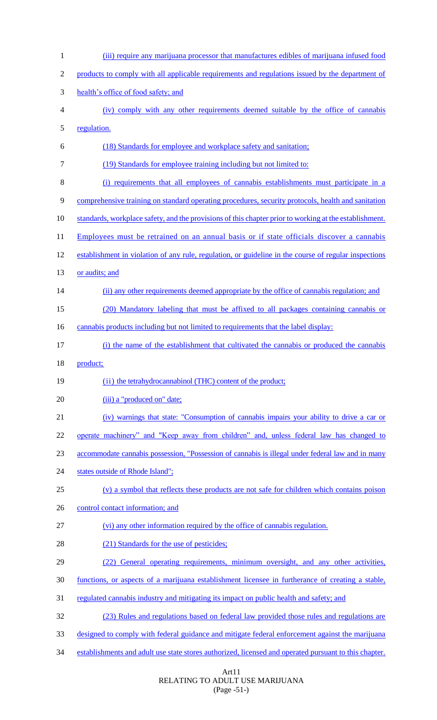| $\mathbf{1}$   | (iii) require any marijuana processor that manufactures edibles of marijuana infused food              |
|----------------|--------------------------------------------------------------------------------------------------------|
| $\overline{2}$ | products to comply with all applicable requirements and regulations issued by the department of        |
| 3              | health's office of food safety; and                                                                    |
| 4              | (iv) comply with any other requirements deemed suitable by the office of cannabis                      |
| 5              | regulation.                                                                                            |
| 6              | (18) Standards for employee and workplace safety and sanitation;                                       |
| 7              | (19) Standards for employee training including but not limited to:                                     |
| 8              | (i) requirements that all employees of cannabis establishments must participate in a                   |
| 9              | comprehensive training on standard operating procedures, security protocols, health and sanitation     |
| 10             | standards, workplace safety, and the provisions of this chapter prior to working at the establishment. |
| 11             | Employees must be retrained on an annual basis or if state officials discover a cannabis               |
| 12             | establishment in violation of any rule, regulation, or guideline in the course of regular inspections  |
| 13             | or audits; and                                                                                         |
| 14             | (ii) any other requirements deemed appropriate by the office of cannabis regulation; and               |
| 15             | (20) Mandatory labeling that must be affixed to all packages containing cannabis or                    |
| 16             | cannabis products including but not limited to requirements that the label display:                    |
| 17             | (i) the name of the establishment that cultivated the cannabis or produced the cannabis                |
| 18             | product;                                                                                               |
| 19             | (ii) the tetrahydrocannabinol (THC) content of the product;                                            |
| 20             | (iii) a "produced on" date;                                                                            |
| 21             | (iv) warnings that state: "Consumption of cannabis impairs your ability to drive a car or              |
| 22             | operate machinery" and "Keep away from children" and, unless federal law has changed to                |
| 23             | accommodate cannabis possession, "Possession of cannabis is illegal under federal law and in many      |
| 24             | states outside of Rhode Island";                                                                       |
| 25             | (v) a symbol that reflects these products are not safe for children which contains poison              |
| 26             | control contact information; and                                                                       |
| 27             | (vi) any other information required by the office of cannabis regulation.                              |
| 28             | (21) Standards for the use of pesticides;                                                              |
| 29             | General operating requirements, minimum oversight, and any other activities,<br>(22)                   |
| 30             | functions, or aspects of a marijuana establishment licensee in furtherance of creating a stable,       |
| 31             | regulated cannabis industry and mitigating its impact on public health and safety; and                 |
| 32             | (23) Rules and regulations based on federal law provided those rules and regulations are               |
|                |                                                                                                        |
| 33             | designed to comply with federal guidance and mitigate federal enforcement against the marijuana        |

## Art11 RELATING TO ADULT USE MARIJUANA (Page -51-)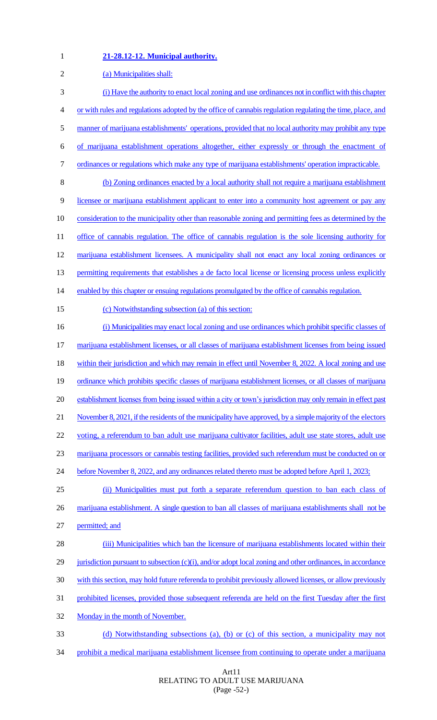# **21-28.12-12. Municipal authority.**

| $\sqrt{2}$ | (a) Municipalities shall:                                                                                    |
|------------|--------------------------------------------------------------------------------------------------------------|
| 3          | (i) Have the authority to enact local zoning and use ordinances not in conflict with this chapter            |
| 4          | or with rules and regulations adopted by the office of cannabis regulation regulating the time, place, and   |
| 5          | manner of marijuana establishments' operations, provided that no local authority may prohibit any type       |
| 6          | of marijuana establishment operations altogether, either expressly or through the enactment of               |
| 7          | ordinances or regulations which make any type of marijuana establishments' operation impracticable.          |
| 8          | (b) Zoning ordinances enacted by a local authority shall not require a marijuana establishment               |
| 9          | licensee or marijuana establishment applicant to enter into a community host agreement or pay any            |
| 10         | consideration to the municipality other than reasonable zoning and permitting fees as determined by the      |
| 11         | office of cannabis regulation. The office of cannabis regulation is the sole licensing authority for         |
| 12         | marijuana establishment licensees. A municipality shall not enact any local zoning ordinances or             |
| 13         | permitting requirements that establishes a de facto local license or licensing process unless explicitly     |
| 14         | enabled by this chapter or ensuing regulations promulgated by the office of cannabis regulation.             |
| 15         | (c) Notwithstanding subsection (a) of this section:                                                          |
| 16         | (i) Municipalities may enact local zoning and use ordinances which prohibit specific classes of              |
| 17         | marijuana establishment licenses, or all classes of marijuana establishment licenses from being issued       |
| 18         | within their jurisdiction and which may remain in effect until November 8, 2022. A local zoning and use      |
| 19         | ordinance which prohibits specific classes of marijuana establishment licenses, or all classes of marijuana  |
| 20         | establishment licenses from being issued within a city or town's jurisdiction may only remain in effect past |
| 21         | November 8, 2021, if the residents of the municipality have approved, by a simple majority of the electors   |
| 22         | voting, a referendum to ban adult use marijuana cultivator facilities, adult use state stores, adult use     |
| 23         | marijuana processors or cannabis testing facilities, provided such referendum must be conducted on or        |
| 24         | before November 8, 2022, and any ordinances related thereto must be adopted before April 1, 2023;            |
| 25         | (ii) Municipalities must put forth a separate referendum question to ban each class of                       |
| 26         | marijuana establishment. A single question to ban all classes of marijuana establishments shall not be       |
| 27         | permitted; and                                                                                               |
| 28         | (iii) Municipalities which ban the licensure of marijuana establishments located within their                |
| 29         | jurisdiction pursuant to subsection $(c)(i)$ , and/or adopt local zoning and other ordinances, in accordance |
| 30         | with this section, may hold future referenda to prohibit previously allowed licenses, or allow previously    |
| 31         | prohibited licenses, provided those subsequent referenda are held on the first Tuesday after the first       |
| 32         | Monday in the month of November.                                                                             |
| 33         | (d) Notwithstanding subsections (a), (b) or (c) of this section, a municipality may not                      |
| 34         | prohibit a medical marijuana establishment licensee from continuing to operate under a marijuana             |

## Art11 RELATING TO ADULT USE MARIJUANA (Page -52-)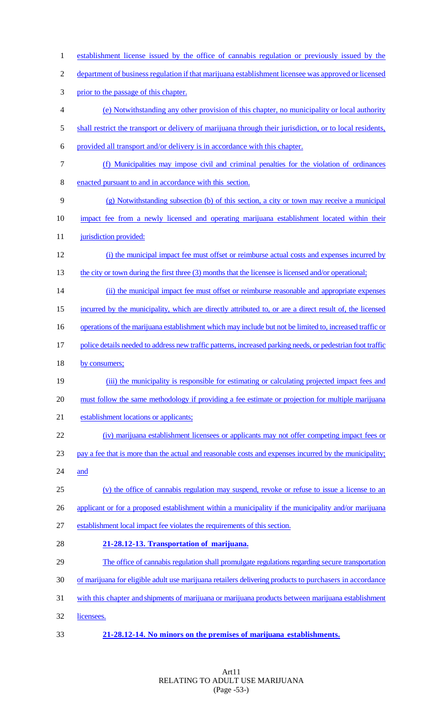establishment license issued by the office of cannabis regulation or previously issued by the department of business regulation if that marijuana establishment licensee was approved or licensed prior to the passage of this chapter. (e) Notwithstanding any other provision of this chapter, no municipality or local authority 5 shall restrict the transport or delivery of marijuana through their jurisdiction, or to local residents, provided all transport and/or delivery is in accordance with this chapter. (f) Municipalities may impose civil and criminal penalties for the violation of ordinances enacted pursuant to and in accordance with this section. (g) Notwithstanding subsection (b) of this section, a city or town may receive a municipal impact fee from a newly licensed and operating marijuana establishment located within their **jurisdiction provided:**  (i) the municipal impact fee must offset or reimburse actual costs and expenses incurred by 13 the city or town during the first three (3) months that the licensee is licensed and/or operational; 14 (ii) the municipal impact fee must offset or reimburse reasonable and appropriate expenses 15 incurred by the municipality, which are directly attributed to, or are a direct result of, the licensed 16 operations of the marijuana establishment which may include but not be limited to, increased traffic or 17 police details needed to address new traffic patterns, increased parking needs, or pedestrian foot traffic 18 by consumers; 19 (iii) the municipality is responsible for estimating or calculating projected impact fees and must follow the same methodology if providing a fee estimate or projection for multiple marijuana establishment locations or applicants; (iv) marijuana establishment licensees or applicants may not offer competing impact fees or pay a fee that is more than the actual and reasonable costs and expenses incurred by the municipality; and (v) the office of cannabis regulation may suspend, revoke or refuse to issue a license to an applicant or for a proposed establishment within a municipality if the municipality and/or marijuana establishment local impact fee violates the requirements of this section. **21-28.12-13. Transportation of marijuana.** The office of cannabis regulation shall promulgate regulations regarding secure transportation of marijuana for eligible adult use marijuana retailers delivering products to purchasers in accordance with this chapter and shipments of marijuana or marijuana products between marijuana establishment licensees. **21-28.12-14. No minors on the premises of marijuana establishments.**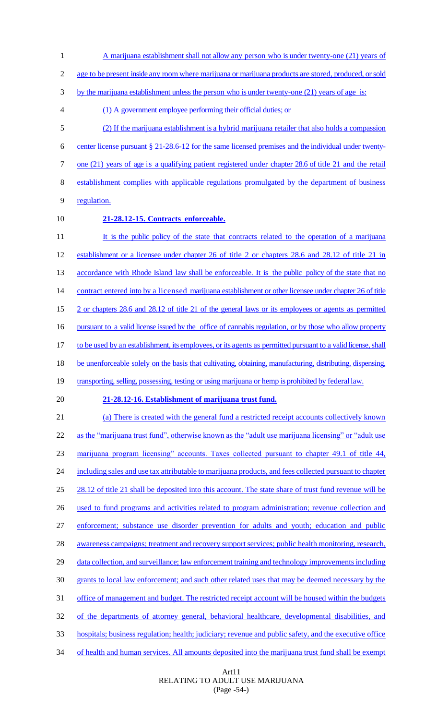1 A marijuana establishment shall not allow any person who is under twenty-one (21) years of 2 age to be present inside any room where marijuana or marijuana products are stored, produced, or sold 3 by the marijuana establishment unless the person who is under twenty-one (21) years of age is: 4 (1) A government employee performing their official duties; or 5 (2) If the marijuana establishment is a hybrid marijuana retailer that also holds a compassion 6 center license pursuant § 21-28.6-12 for the same licensed premises and the individual under twenty-7 one (21) years of age is a qualifying patient registered under chapter 28.6 of title 21 and the retail 8 establishment complies with applicable regulations promulgated by the department of business 9 regulation. 10 **21-28.12-15. Contracts enforceable.** 11 It is the public policy of the state that contracts related to the operation of a marijuana 12 establishment or a licensee under chapter 26 of title 2 or chapters 28.6 and 28.12 of title 21 in 13 accordance with Rhode Island law shall be enforceable. It is the public policy of the state that no 14 contract entered into by a licensed marijuana establishment or other licensee under chapter 26 of title 15 2 or chapters 28.6 and 28.12 of title 21 of the general laws or its employees or agents as permitted 16 pursuant to a valid license issued by the office of cannabis regulation, or by those who allow property 17 to be used by an establishment, its employees, or its agents as permitted pursuant to a valid license, shall 18 be unenforceable solely on the basis that cultivating, obtaining, manufacturing, distributing, dispensing, 19 transporting, selling, possessing, testing or using marijuana or hemp is prohibited by federal law. 20 **21-28.12-16. Establishment of marijuana trust fund.** 21 (a) There is created with the general fund a restricted receipt accounts collectively known 22 as the "marijuana trust fund", otherwise known as the "adult use marijuana licensing" or "adult use 23 marijuana program licensing" accounts. Taxes collected pursuant to chapter 49.1 of title 44, 24 including sales and use tax attributable to marijuana products, and fees collected pursuant to chapter 25 28.12 of title 21 shall be deposited into this account. The state share of trust fund revenue will be 26 used to fund programs and activities related to program administration; revenue collection and 27 enforcement; substance use disorder prevention for adults and youth; education and public 28 awareness campaigns; treatment and recovery support services; public health monitoring, research, 29 data collection, and surveillance; law enforcement training and technology improvements including 30 grants to local law enforcement; and such other related uses that may be deemed necessary by the 31 office of management and budget. The restricted receipt account will be housed within the budgets 32 of the departments of attorney general, behavioral healthcare, developmental disabilities, and 33 hospitals; business regulation; health; judiciary; revenue and public safety, and the executive office 34 of health and human services. All amounts deposited into the marijuana trust fund shall be exempt

> Art11 RELATING TO ADULT USE MARIJUANA (Page -54-)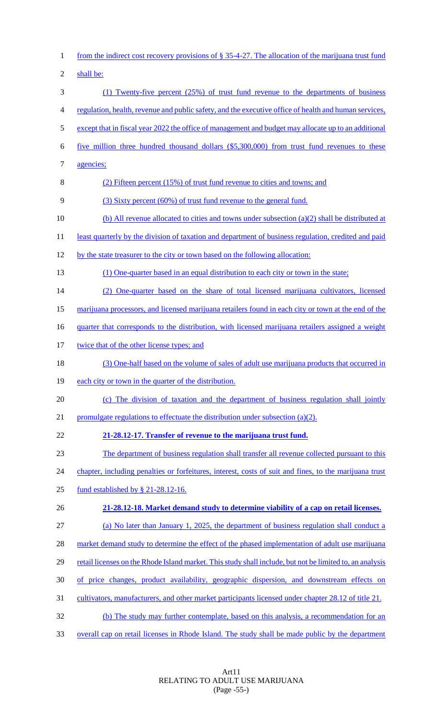| $\mathbf{1}$   | from the indirect cost recovery provisions of $\S 35-4-27$ . The allocation of the marijuana trust fund  |
|----------------|----------------------------------------------------------------------------------------------------------|
| $\overline{2}$ | shall be:                                                                                                |
| 3              | (1) Twenty-five percent (25%) of trust fund revenue to the departments of business                       |
| 4              | regulation, health, revenue and public safety, and the executive office of health and human services,    |
| 5              | except that in fiscal year 2022 the office of management and budget may allocate up to an additional     |
| 6              | five million three hundred thousand dollars (\$5,300,000) from trust fund revenues to these              |
| 7              | agencies;                                                                                                |
| 8              | (2) Fifteen percent (15%) of trust fund revenue to cities and towns; and                                 |
| 9              | (3) Sixty percent (60%) of trust fund revenue to the general fund.                                       |
| 10             | (b) All revenue allocated to cities and towns under subsection $(a)(2)$ shall be distributed at          |
| 11             | least quarterly by the division of taxation and department of business regulation, credited and paid     |
| 12             | by the state treasurer to the city or town based on the following allocation:                            |
| 13             | (1) One-quarter based in an equal distribution to each city or town in the state;                        |
| 14             | (2) One-quarter based on the share of total licensed marijuana cultivators, licensed                     |
| 15             | marijuana processors, and licensed marijuana retailers found in each city or town at the end of the      |
| 16             | <u>quarter that corresponds to the distribution, with licensed marijuana retailers assigned a weight</u> |
| 17             | twice that of the other license types; and                                                               |
| 18             | (3) One-half based on the volume of sales of adult use marijuana products that occurred in               |
| 19             | each city or town in the quarter of the distribution.                                                    |
| 20             | (c) The division of taxation and the department of business regulation shall jointly                     |
| 21             | promulgate regulations to effectuate the distribution under subsection $(a)(2)$ .                        |
| 22             | 21-28.12-17. Transfer of revenue to the marijuana trust fund.                                            |
| 23             | The department of business regulation shall transfer all revenue collected pursuant to this              |
| 24             | chapter, including penalties or forfeitures, interest, costs of suit and fines, to the marijuana trust   |
| 25             | fund established by $\S$ 21-28.12-16.                                                                    |
| 26             | 21-28.12-18. Market demand study to determine viability of a cap on retail licenses.                     |
| 27             | (a) No later than January 1, 2025, the department of business regulation shall conduct a                 |
| 28             | market demand study to determine the effect of the phased implementation of adult use marijuana          |
| 29             | retail licenses on the Rhode Island market. This study shall include, but not be limited to, an analysis |
| 30             | of price changes, product availability, geographic dispersion, and downstream effects on                 |
| 31             | cultivators, manufacturers, and other market participants licensed under chapter 28.12 of title 21.      |
| 32             | (b) The study may further contemplate, based on this analysis, a recommendation for an                   |
| 33             | overall cap on retail licenses in Rhode Island. The study shall be made public by the department         |

Art11 RELATING TO ADULT USE MARIJUANA (Page -55-)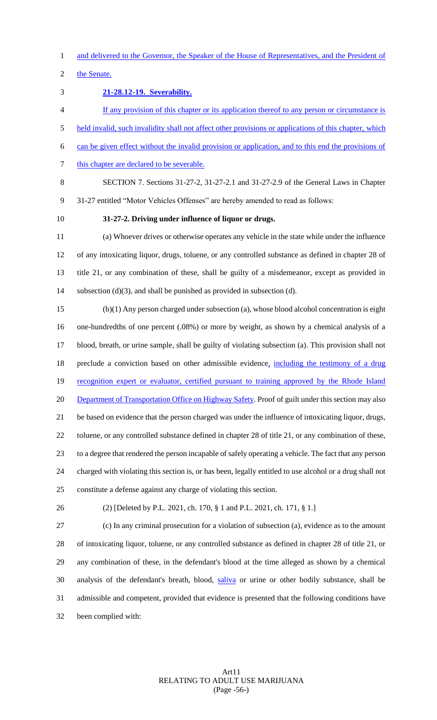and delivered to the Governor, the Speaker of the House of Representatives, and the President of

the Senate.

## **21-28.12-19. Severability.**

 If any provision of this chapter or its application thereof to any person or circumstance is held invalid, such invalidity shall not affect other provisions or applications of this chapter, which can be given effect without the invalid provision or application, and to this end the provisions of 7 this chapter are declared to be severable.

 SECTION 7. Sections 31-27-2, 31-27-2.1 and 31-27-2.9 of the General Laws in Chapter 31-27 entitled "Motor Vehicles Offenses" are hereby amended to read as follows:

**31-27-2. Driving under influence of liquor or drugs.**

 (a) Whoever drives or otherwise operates any vehicle in the state while under the influence of any intoxicating liquor, drugs, toluene, or any controlled substance as defined in chapter 28 of title 21, or any combination of these, shall be guilty of a misdemeanor, except as provided in 14 subsection (d)(3), and shall be punished as provided in subsection (d).

 (b)(1) Any person charged under subsection (a), whose blood alcohol concentration is eight one-hundredths of one percent (.08%) or more by weight, as shown by a chemical analysis of a blood, breath, or urine sample, shall be guilty of violating subsection (a). This provision shall not 18 preclude a conviction based on other admissible evidence, including the testimony of a drug 19 recognition expert or evaluator, certified pursuant to training approved by the Rhode Island 20 Department of Transportation Office on Highway Safety. Proof of guilt under this section may also be based on evidence that the person charged was under the influence of intoxicating liquor, drugs, toluene, or any controlled substance defined in chapter 28 of title 21, or any combination of these, to a degree that rendered the person incapable of safely operating a vehicle. The fact that any person charged with violating this section is, or has been, legally entitled to use alcohol or a drug shall not constitute a defense against any charge of violating this section.

(2) [Deleted by P.L. 2021, ch. 170, § 1 and P.L. 2021, ch. 171, § 1.]

 (c) In any criminal prosecution for a violation of subsection (a), evidence as to the amount of intoxicating liquor, toluene, or any controlled substance as defined in chapter 28 of title 21, or any combination of these, in the defendant's blood at the time alleged as shown by a chemical analysis of the defendant's breath, blood, saliva or urine or other bodily substance, shall be admissible and competent, provided that evidence is presented that the following conditions have been complied with: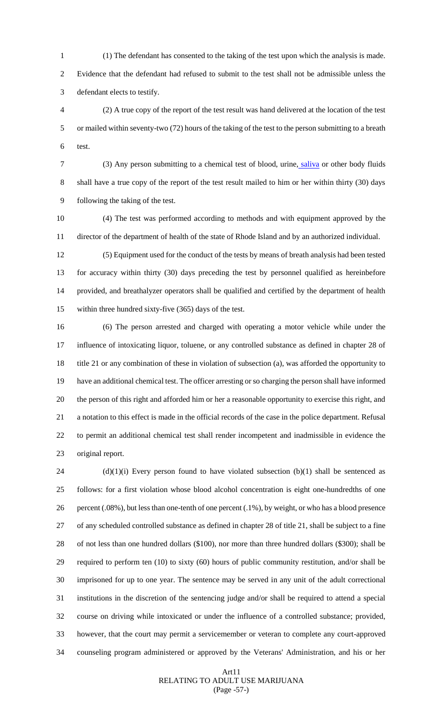(1) The defendant has consented to the taking of the test upon which the analysis is made. Evidence that the defendant had refused to submit to the test shall not be admissible unless the

defendant elects to testify.

 (2) A true copy of the report of the test result was hand delivered at the location of the test or mailed within seventy-two (72) hours of the taking of the test to the person submitting to a breath test.

 (3) Any person submitting to a chemical test of blood, urine, saliva or other body fluids shall have a true copy of the report of the test result mailed to him or her within thirty (30) days following the taking of the test.

 (4) The test was performed according to methods and with equipment approved by the director of the department of health of the state of Rhode Island and by an authorized individual.

 (5) Equipment used for the conduct of the tests by means of breath analysis had been tested for accuracy within thirty (30) days preceding the test by personnel qualified as hereinbefore provided, and breathalyzer operators shall be qualified and certified by the department of health within three hundred sixty-five (365) days of the test.

 (6) The person arrested and charged with operating a motor vehicle while under the influence of intoxicating liquor, toluene, or any controlled substance as defined in chapter 28 of title 21 or any combination of these in violation of subsection (a), was afforded the opportunity to have an additional chemical test. The officer arresting or so charging the person shall have informed the person of this right and afforded him or her a reasonable opportunity to exercise this right, and a notation to this effect is made in the official records of the case in the police department. Refusal to permit an additional chemical test shall render incompetent and inadmissible in evidence the original report.

 (d)(1)(i) Every person found to have violated subsection (b)(1) shall be sentenced as follows: for a first violation whose blood alcohol concentration is eight one-hundredths of one percent (.08%), but less than one-tenth of one percent (.1%), by weight, or who has a blood presence of any scheduled controlled substance as defined in chapter 28 of title 21, shall be subject to a fine of not less than one hundred dollars (\$100), nor more than three hundred dollars (\$300); shall be required to perform ten (10) to sixty (60) hours of public community restitution, and/or shall be imprisoned for up to one year. The sentence may be served in any unit of the adult correctional institutions in the discretion of the sentencing judge and/or shall be required to attend a special course on driving while intoxicated or under the influence of a controlled substance; provided, however, that the court may permit a servicemember or veteran to complete any court-approved counseling program administered or approved by the Veterans' Administration, and his or her

## Art11 RELATING TO ADULT USE MARIJUANA (Page -57-)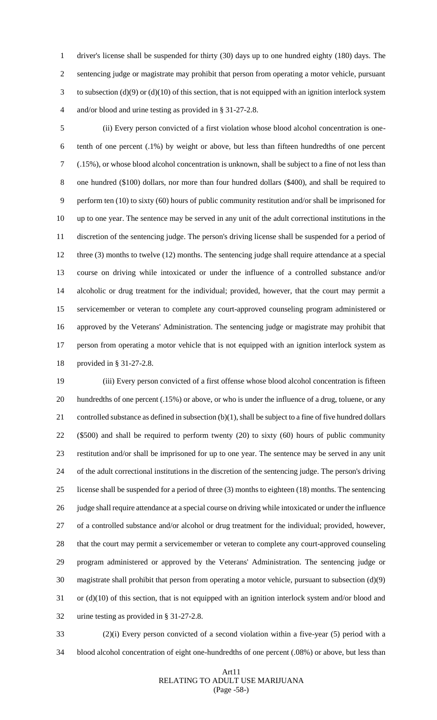driver's license shall be suspended for thirty (30) days up to one hundred eighty (180) days. The sentencing judge or magistrate may prohibit that person from operating a motor vehicle, pursuant to subsection (d)(9) or (d)(10) of this section, that is not equipped with an ignition interlock system and/or blood and urine testing as provided in § 31-27-2.8.

 (ii) Every person convicted of a first violation whose blood alcohol concentration is one- tenth of one percent (.1%) by weight or above, but less than fifteen hundredths of one percent (.15%), or whose blood alcohol concentration is unknown, shall be subject to a fine of not less than one hundred (\$100) dollars, nor more than four hundred dollars (\$400), and shall be required to perform ten (10) to sixty (60) hours of public community restitution and/or shall be imprisoned for up to one year. The sentence may be served in any unit of the adult correctional institutions in the discretion of the sentencing judge. The person's driving license shall be suspended for a period of three (3) months to twelve (12) months. The sentencing judge shall require attendance at a special course on driving while intoxicated or under the influence of a controlled substance and/or alcoholic or drug treatment for the individual; provided, however, that the court may permit a servicemember or veteran to complete any court-approved counseling program administered or approved by the Veterans' Administration. The sentencing judge or magistrate may prohibit that person from operating a motor vehicle that is not equipped with an ignition interlock system as provided in § 31-27-2.8.

 (iii) Every person convicted of a first offense whose blood alcohol concentration is fifteen hundredths of one percent (.15%) or above, or who is under the influence of a drug, toluene, or any 21 controlled substance as defined in subsection (b)(1), shall be subject to a fine of five hundred dollars (\$500) and shall be required to perform twenty (20) to sixty (60) hours of public community restitution and/or shall be imprisoned for up to one year. The sentence may be served in any unit of the adult correctional institutions in the discretion of the sentencing judge. The person's driving license shall be suspended for a period of three (3) months to eighteen (18) months. The sentencing 26 judge shall require attendance at a special course on driving while intoxicated or under the influence of a controlled substance and/or alcohol or drug treatment for the individual; provided, however, that the court may permit a servicemember or veteran to complete any court-approved counseling program administered or approved by the Veterans' Administration. The sentencing judge or magistrate shall prohibit that person from operating a motor vehicle, pursuant to subsection (d)(9) or (d)(10) of this section, that is not equipped with an ignition interlock system and/or blood and urine testing as provided in § 31-27-2.8.

 (2)(i) Every person convicted of a second violation within a five-year (5) period with a blood alcohol concentration of eight one-hundredths of one percent (.08%) or above, but less than

## Art11 RELATING TO ADULT USE MARIJUANA (Page -58-)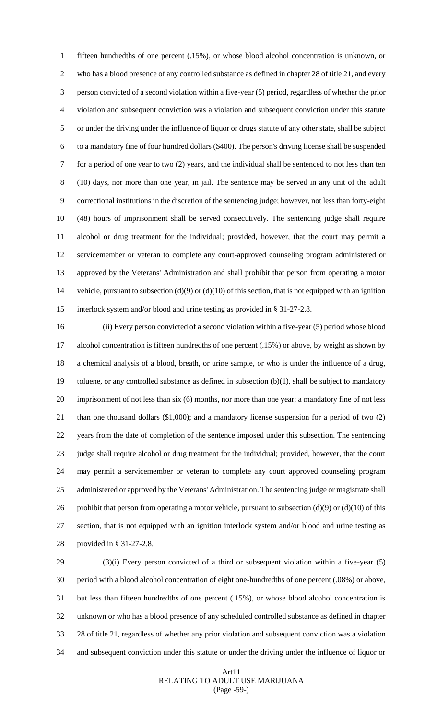fifteen hundredths of one percent (.15%), or whose blood alcohol concentration is unknown, or who has a blood presence of any controlled substance as defined in chapter 28 of title 21, and every person convicted of a second violation within a five-year (5) period, regardless of whether the prior violation and subsequent conviction was a violation and subsequent conviction under this statute or under the driving under the influence of liquor or drugs statute of any other state, shall be subject to a mandatory fine of four hundred dollars (\$400). The person's driving license shall be suspended for a period of one year to two (2) years, and the individual shall be sentenced to not less than ten (10) days, nor more than one year, in jail. The sentence may be served in any unit of the adult correctional institutions in the discretion of the sentencing judge; however, not less than forty-eight (48) hours of imprisonment shall be served consecutively. The sentencing judge shall require alcohol or drug treatment for the individual; provided, however, that the court may permit a servicemember or veteran to complete any court-approved counseling program administered or approved by the Veterans' Administration and shall prohibit that person from operating a motor vehicle, pursuant to subsection (d)(9) or (d)(10) of this section, that is not equipped with an ignition interlock system and/or blood and urine testing as provided in § 31-27-2.8.

 (ii) Every person convicted of a second violation within a five-year (5) period whose blood alcohol concentration is fifteen hundredths of one percent (.15%) or above, by weight as shown by a chemical analysis of a blood, breath, or urine sample, or who is under the influence of a drug, toluene, or any controlled substance as defined in subsection (b)(1), shall be subject to mandatory imprisonment of not less than six (6) months, nor more than one year; a mandatory fine of not less than one thousand dollars (\$1,000); and a mandatory license suspension for a period of two (2) years from the date of completion of the sentence imposed under this subsection. The sentencing judge shall require alcohol or drug treatment for the individual; provided, however, that the court may permit a servicemember or veteran to complete any court approved counseling program administered or approved by the Veterans' Administration. The sentencing judge or magistrate shall 26 prohibit that person from operating a motor vehicle, pursuant to subsection  $(d)(9)$  or  $(d)(10)$  of this section, that is not equipped with an ignition interlock system and/or blood and urine testing as provided in § 31-27-2.8.

 (3)(i) Every person convicted of a third or subsequent violation within a five-year (5) period with a blood alcohol concentration of eight one-hundredths of one percent (.08%) or above, but less than fifteen hundredths of one percent (.15%), or whose blood alcohol concentration is unknown or who has a blood presence of any scheduled controlled substance as defined in chapter 28 of title 21, regardless of whether any prior violation and subsequent conviction was a violation and subsequent conviction under this statute or under the driving under the influence of liquor or

## Art11 RELATING TO ADULT USE MARIJUANA (Page -59-)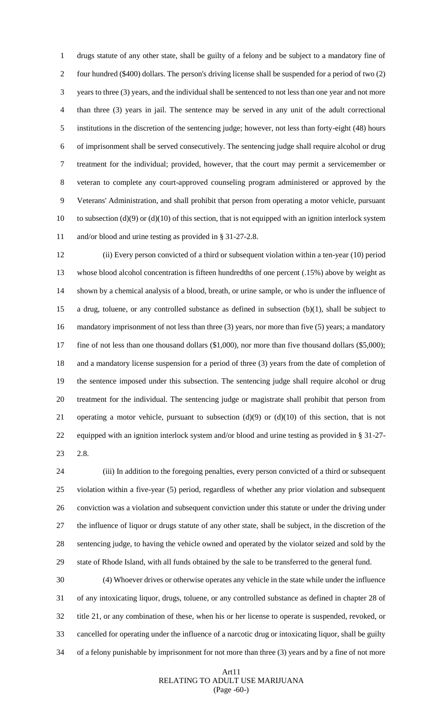drugs statute of any other state, shall be guilty of a felony and be subject to a mandatory fine of four hundred (\$400) dollars. The person's driving license shall be suspended for a period of two (2) years to three (3) years, and the individual shall be sentenced to not less than one year and not more than three (3) years in jail. The sentence may be served in any unit of the adult correctional institutions in the discretion of the sentencing judge; however, not less than forty-eight (48) hours of imprisonment shall be served consecutively. The sentencing judge shall require alcohol or drug treatment for the individual; provided, however, that the court may permit a servicemember or veteran to complete any court-approved counseling program administered or approved by the Veterans' Administration, and shall prohibit that person from operating a motor vehicle, pursuant 10 to subsection (d)(9) or (d)(10) of this section, that is not equipped with an ignition interlock system and/or blood and urine testing as provided in § 31-27-2.8.

 (ii) Every person convicted of a third or subsequent violation within a ten-year (10) period whose blood alcohol concentration is fifteen hundredths of one percent (.15%) above by weight as shown by a chemical analysis of a blood, breath, or urine sample, or who is under the influence of a drug, toluene, or any controlled substance as defined in subsection (b)(1), shall be subject to mandatory imprisonment of not less than three (3) years, nor more than five (5) years; a mandatory 17 fine of not less than one thousand dollars (\$1,000), nor more than five thousand dollars (\$5,000); and a mandatory license suspension for a period of three (3) years from the date of completion of the sentence imposed under this subsection. The sentencing judge shall require alcohol or drug treatment for the individual. The sentencing judge or magistrate shall prohibit that person from 21 operating a motor vehicle, pursuant to subsection  $(d)(9)$  or  $(d)(10)$  of this section, that is not equipped with an ignition interlock system and/or blood and urine testing as provided in § 31-27- 2.8.

 (iii) In addition to the foregoing penalties, every person convicted of a third or subsequent violation within a five-year (5) period, regardless of whether any prior violation and subsequent conviction was a violation and subsequent conviction under this statute or under the driving under the influence of liquor or drugs statute of any other state, shall be subject, in the discretion of the sentencing judge, to having the vehicle owned and operated by the violator seized and sold by the state of Rhode Island, with all funds obtained by the sale to be transferred to the general fund.

 (4) Whoever drives or otherwise operates any vehicle in the state while under the influence of any intoxicating liquor, drugs, toluene, or any controlled substance as defined in chapter 28 of title 21, or any combination of these, when his or her license to operate is suspended, revoked, or cancelled for operating under the influence of a narcotic drug or intoxicating liquor, shall be guilty of a felony punishable by imprisonment for not more than three (3) years and by a fine of not more

## Art11 RELATING TO ADULT USE MARIJUANA (Page -60-)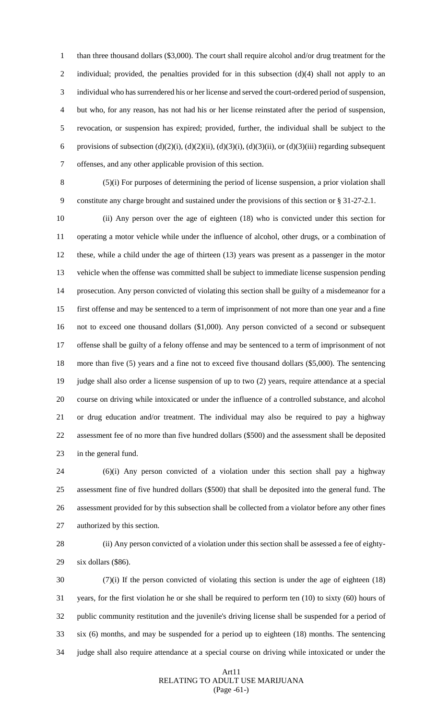than three thousand dollars (\$3,000). The court shall require alcohol and/or drug treatment for the 2 individual; provided, the penalties provided for in this subsection (d)(4) shall not apply to an individual who has surrendered his or her license and served the court-ordered period of suspension, but who, for any reason, has not had his or her license reinstated after the period of suspension, revocation, or suspension has expired; provided, further, the individual shall be subject to the 6 provisions of subsection (d)(2)(i), (d)(2)(ii), (d)(3)(i), (d)(3)(ii), or (d)(3)(iii) regarding subsequent offenses, and any other applicable provision of this section.

 (5)(i) For purposes of determining the period of license suspension, a prior violation shall constitute any charge brought and sustained under the provisions of this section or § 31-27-2.1.

 (ii) Any person over the age of eighteen (18) who is convicted under this section for operating a motor vehicle while under the influence of alcohol, other drugs, or a combination of these, while a child under the age of thirteen (13) years was present as a passenger in the motor vehicle when the offense was committed shall be subject to immediate license suspension pending prosecution. Any person convicted of violating this section shall be guilty of a misdemeanor for a first offense and may be sentenced to a term of imprisonment of not more than one year and a fine not to exceed one thousand dollars (\$1,000). Any person convicted of a second or subsequent offense shall be guilty of a felony offense and may be sentenced to a term of imprisonment of not more than five (5) years and a fine not to exceed five thousand dollars (\$5,000). The sentencing judge shall also order a license suspension of up to two (2) years, require attendance at a special course on driving while intoxicated or under the influence of a controlled substance, and alcohol or drug education and/or treatment. The individual may also be required to pay a highway assessment fee of no more than five hundred dollars (\$500) and the assessment shall be deposited in the general fund.

 (6)(i) Any person convicted of a violation under this section shall pay a highway assessment fine of five hundred dollars (\$500) that shall be deposited into the general fund. The assessment provided for by this subsection shall be collected from a violator before any other fines authorized by this section.

 (ii) Any person convicted of a violation under this section shall be assessed a fee of eighty-six dollars (\$86).

 (7)(i) If the person convicted of violating this section is under the age of eighteen (18) years, for the first violation he or she shall be required to perform ten (10) to sixty (60) hours of public community restitution and the juvenile's driving license shall be suspended for a period of six (6) months, and may be suspended for a period up to eighteen (18) months. The sentencing judge shall also require attendance at a special course on driving while intoxicated or under the

## Art11 RELATING TO ADULT USE MARIJUANA (Page -61-)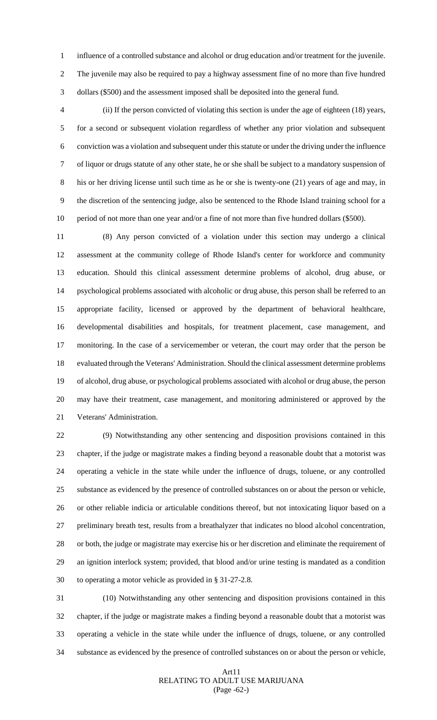influence of a controlled substance and alcohol or drug education and/or treatment for the juvenile. The juvenile may also be required to pay a highway assessment fine of no more than five hundred dollars (\$500) and the assessment imposed shall be deposited into the general fund.

 (ii) If the person convicted of violating this section is under the age of eighteen (18) years, for a second or subsequent violation regardless of whether any prior violation and subsequent conviction was a violation and subsequent under this statute or under the driving under the influence of liquor or drugs statute of any other state, he or she shall be subject to a mandatory suspension of his or her driving license until such time as he or she is twenty-one (21) years of age and may, in the discretion of the sentencing judge, also be sentenced to the Rhode Island training school for a 10 period of not more than one year and/or a fine of not more than five hundred dollars (\$500).

 (8) Any person convicted of a violation under this section may undergo a clinical assessment at the community college of Rhode Island's center for workforce and community education. Should this clinical assessment determine problems of alcohol, drug abuse, or psychological problems associated with alcoholic or drug abuse, this person shall be referred to an appropriate facility, licensed or approved by the department of behavioral healthcare, developmental disabilities and hospitals, for treatment placement, case management, and monitoring. In the case of a servicemember or veteran, the court may order that the person be evaluated through the Veterans' Administration. Should the clinical assessment determine problems of alcohol, drug abuse, or psychological problems associated with alcohol or drug abuse, the person may have their treatment, case management, and monitoring administered or approved by the Veterans' Administration.

 (9) Notwithstanding any other sentencing and disposition provisions contained in this chapter, if the judge or magistrate makes a finding beyond a reasonable doubt that a motorist was operating a vehicle in the state while under the influence of drugs, toluene, or any controlled substance as evidenced by the presence of controlled substances on or about the person or vehicle, or other reliable indicia or articulable conditions thereof, but not intoxicating liquor based on a preliminary breath test, results from a breathalyzer that indicates no blood alcohol concentration, or both, the judge or magistrate may exercise his or her discretion and eliminate the requirement of an ignition interlock system; provided, that blood and/or urine testing is mandated as a condition to operating a motor vehicle as provided in § 31-27-2.8.

 (10) Notwithstanding any other sentencing and disposition provisions contained in this chapter, if the judge or magistrate makes a finding beyond a reasonable doubt that a motorist was operating a vehicle in the state while under the influence of drugs, toluene, or any controlled substance as evidenced by the presence of controlled substances on or about the person or vehicle,

## Art11 RELATING TO ADULT USE MARIJUANA (Page -62-)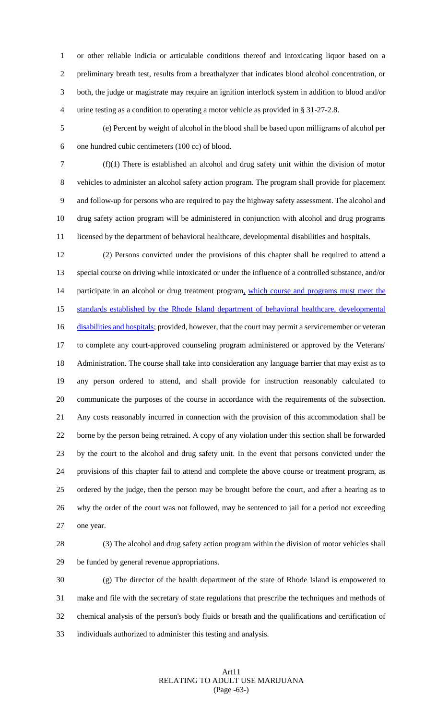or other reliable indicia or articulable conditions thereof and intoxicating liquor based on a preliminary breath test, results from a breathalyzer that indicates blood alcohol concentration, or both, the judge or magistrate may require an ignition interlock system in addition to blood and/or urine testing as a condition to operating a motor vehicle as provided in § 31-27-2.8.

 (e) Percent by weight of alcohol in the blood shall be based upon milligrams of alcohol per one hundred cubic centimeters (100 cc) of blood.

 (f)(1) There is established an alcohol and drug safety unit within the division of motor vehicles to administer an alcohol safety action program. The program shall provide for placement and follow-up for persons who are required to pay the highway safety assessment. The alcohol and drug safety action program will be administered in conjunction with alcohol and drug programs licensed by the department of behavioral healthcare, developmental disabilities and hospitals.

 (2) Persons convicted under the provisions of this chapter shall be required to attend a special course on driving while intoxicated or under the influence of a controlled substance, and/or 14 participate in an alcohol or drug treatment program, which course and programs must meet the standards established by the Rhode Island department of behavioral healthcare, developmental 16 disabilities and hospitals; provided, however, that the court may permit a servicemember or veteran to complete any court-approved counseling program administered or approved by the Veterans' Administration. The course shall take into consideration any language barrier that may exist as to any person ordered to attend, and shall provide for instruction reasonably calculated to communicate the purposes of the course in accordance with the requirements of the subsection. Any costs reasonably incurred in connection with the provision of this accommodation shall be borne by the person being retrained. A copy of any violation under this section shall be forwarded by the court to the alcohol and drug safety unit. In the event that persons convicted under the provisions of this chapter fail to attend and complete the above course or treatment program, as ordered by the judge, then the person may be brought before the court, and after a hearing as to why the order of the court was not followed, may be sentenced to jail for a period not exceeding one year.

 (3) The alcohol and drug safety action program within the division of motor vehicles shall be funded by general revenue appropriations.

 (g) The director of the health department of the state of Rhode Island is empowered to make and file with the secretary of state regulations that prescribe the techniques and methods of chemical analysis of the person's body fluids or breath and the qualifications and certification of individuals authorized to administer this testing and analysis.

## Art11 RELATING TO ADULT USE MARIJUANA (Page -63-)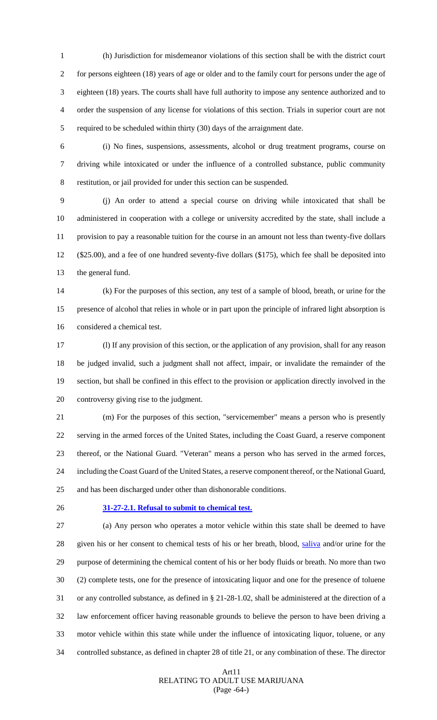(h) Jurisdiction for misdemeanor violations of this section shall be with the district court for persons eighteen (18) years of age or older and to the family court for persons under the age of eighteen (18) years. The courts shall have full authority to impose any sentence authorized and to order the suspension of any license for violations of this section. Trials in superior court are not required to be scheduled within thirty (30) days of the arraignment date.

 (i) No fines, suspensions, assessments, alcohol or drug treatment programs, course on driving while intoxicated or under the influence of a controlled substance, public community restitution, or jail provided for under this section can be suspended.

 (j) An order to attend a special course on driving while intoxicated that shall be administered in cooperation with a college or university accredited by the state, shall include a provision to pay a reasonable tuition for the course in an amount not less than twenty-five dollars (\$25.00), and a fee of one hundred seventy-five dollars (\$175), which fee shall be deposited into the general fund.

 (k) For the purposes of this section, any test of a sample of blood, breath, or urine for the presence of alcohol that relies in whole or in part upon the principle of infrared light absorption is considered a chemical test.

 (l) If any provision of this section, or the application of any provision, shall for any reason be judged invalid, such a judgment shall not affect, impair, or invalidate the remainder of the section, but shall be confined in this effect to the provision or application directly involved in the controversy giving rise to the judgment.

 (m) For the purposes of this section, "servicemember" means a person who is presently serving in the armed forces of the United States, including the Coast Guard, a reserve component thereof, or the National Guard. "Veteran" means a person who has served in the armed forces, including the Coast Guard of the United States, a reserve component thereof, or the National Guard, and has been discharged under other than dishonorable conditions.

## **31-27-2.1. Refusal to submit to chemical test.**

 (a) Any person who operates a motor vehicle within this state shall be deemed to have given his or her consent to chemical tests of his or her breath, blood, saliva and/or urine for the purpose of determining the chemical content of his or her body fluids or breath. No more than two (2) complete tests, one for the presence of intoxicating liquor and one for the presence of toluene or any controlled substance, as defined in § 21-28-1.02, shall be administered at the direction of a law enforcement officer having reasonable grounds to believe the person to have been driving a motor vehicle within this state while under the influence of intoxicating liquor, toluene, or any controlled substance, as defined in chapter 28 of title 21, or any combination of these. The director

## Art11 RELATING TO ADULT USE MARIJUANA (Page -64-)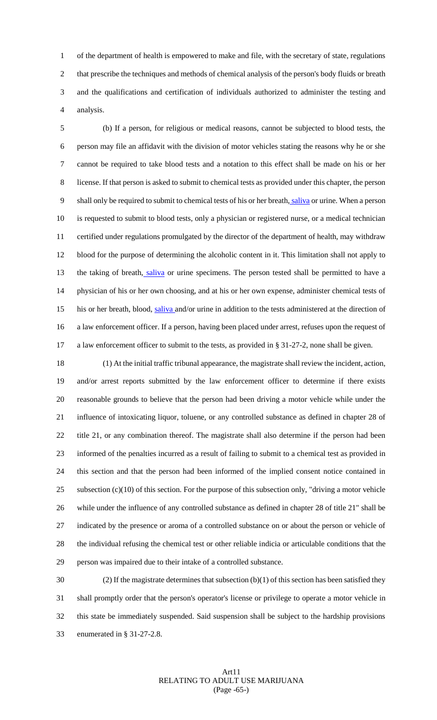of the department of health is empowered to make and file, with the secretary of state, regulations that prescribe the techniques and methods of chemical analysis of the person's body fluids or breath and the qualifications and certification of individuals authorized to administer the testing and analysis.

 (b) If a person, for religious or medical reasons, cannot be subjected to blood tests, the person may file an affidavit with the division of motor vehicles stating the reasons why he or she cannot be required to take blood tests and a notation to this effect shall be made on his or her license. If that person is asked to submit to chemical tests as provided under this chapter, the person 9 shall only be required to submit to chemical tests of his or her breath, saliva or urine. When a person is requested to submit to blood tests, only a physician or registered nurse, or a medical technician certified under regulations promulgated by the director of the department of health, may withdraw blood for the purpose of determining the alcoholic content in it. This limitation shall not apply to 13 the taking of breath, saliva or urine specimens. The person tested shall be permitted to have a physician of his or her own choosing, and at his or her own expense, administer chemical tests of 15 his or her breath, blood, saliva and/or urine in addition to the tests administered at the direction of a law enforcement officer. If a person, having been placed under arrest, refuses upon the request of a law enforcement officer to submit to the tests, as provided in § 31-27-2, none shall be given.

 (1) At the initial traffic tribunal appearance, the magistrate shall review the incident, action, and/or arrest reports submitted by the law enforcement officer to determine if there exists reasonable grounds to believe that the person had been driving a motor vehicle while under the influence of intoxicating liquor, toluene, or any controlled substance as defined in chapter 28 of title 21, or any combination thereof. The magistrate shall also determine if the person had been informed of the penalties incurred as a result of failing to submit to a chemical test as provided in this section and that the person had been informed of the implied consent notice contained in 25 subsection  $(c)(10)$  of this section. For the purpose of this subsection only, "driving a motor vehicle while under the influence of any controlled substance as defined in chapter 28 of title 21" shall be indicated by the presence or aroma of a controlled substance on or about the person or vehicle of the individual refusing the chemical test or other reliable indicia or articulable conditions that the person was impaired due to their intake of a controlled substance.

30 (2) If the magistrate determines that subsection  $(b)(1)$  of this section has been satisfied they shall promptly order that the person's operator's license or privilege to operate a motor vehicle in this state be immediately suspended. Said suspension shall be subject to the hardship provisions enumerated in § 31-27-2.8.

## Art11 RELATING TO ADULT USE MARIJUANA (Page -65-)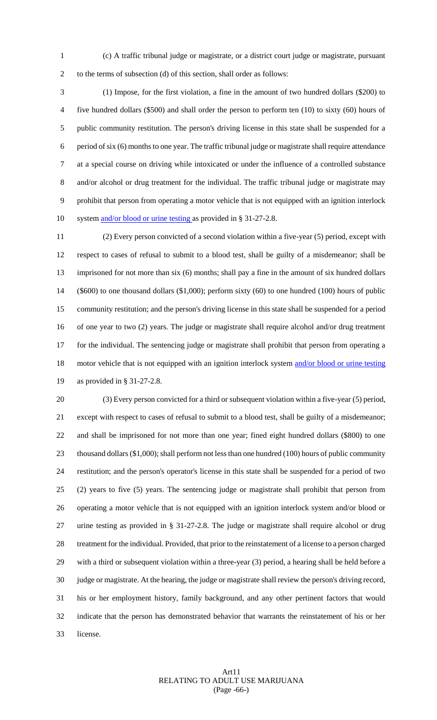(c) A traffic tribunal judge or magistrate, or a district court judge or magistrate, pursuant to the terms of subsection (d) of this section, shall order as follows:

 (1) Impose, for the first violation, a fine in the amount of two hundred dollars (\$200) to five hundred dollars (\$500) and shall order the person to perform ten (10) to sixty (60) hours of public community restitution. The person's driving license in this state shall be suspended for a period of six (6) months to one year. The traffic tribunal judge or magistrate shall require attendance at a special course on driving while intoxicated or under the influence of a controlled substance and/or alcohol or drug treatment for the individual. The traffic tribunal judge or magistrate may prohibit that person from operating a motor vehicle that is not equipped with an ignition interlock 10 system and/or blood or urine testing as provided in § 31-27-2.8.

 (2) Every person convicted of a second violation within a five-year (5) period, except with respect to cases of refusal to submit to a blood test, shall be guilty of a misdemeanor; shall be imprisoned for not more than six (6) months; shall pay a fine in the amount of six hundred dollars (\$600) to one thousand dollars (\$1,000); perform sixty (60) to one hundred (100) hours of public community restitution; and the person's driving license in this state shall be suspended for a period of one year to two (2) years. The judge or magistrate shall require alcohol and/or drug treatment for the individual. The sentencing judge or magistrate shall prohibit that person from operating a 18 motor vehicle that is not equipped with an ignition interlock system and/or blood or urine testing as provided in § 31-27-2.8.

 (3) Every person convicted for a third or subsequent violation within a five-year (5) period, except with respect to cases of refusal to submit to a blood test, shall be guilty of a misdemeanor; and shall be imprisoned for not more than one year; fined eight hundred dollars (\$800) to one 23 thousand dollars (\$1,000); shall perform not less than one hundred (100) hours of public community restitution; and the person's operator's license in this state shall be suspended for a period of two (2) years to five (5) years. The sentencing judge or magistrate shall prohibit that person from operating a motor vehicle that is not equipped with an ignition interlock system and/or blood or urine testing as provided in § 31-27-2.8. The judge or magistrate shall require alcohol or drug treatment for the individual. Provided, that prior to the reinstatement of a license to a person charged with a third or subsequent violation within a three-year (3) period, a hearing shall be held before a judge or magistrate. At the hearing, the judge or magistrate shall review the person's driving record, his or her employment history, family background, and any other pertinent factors that would indicate that the person has demonstrated behavior that warrants the reinstatement of his or her license.

## Art11 RELATING TO ADULT USE MARIJUANA (Page -66-)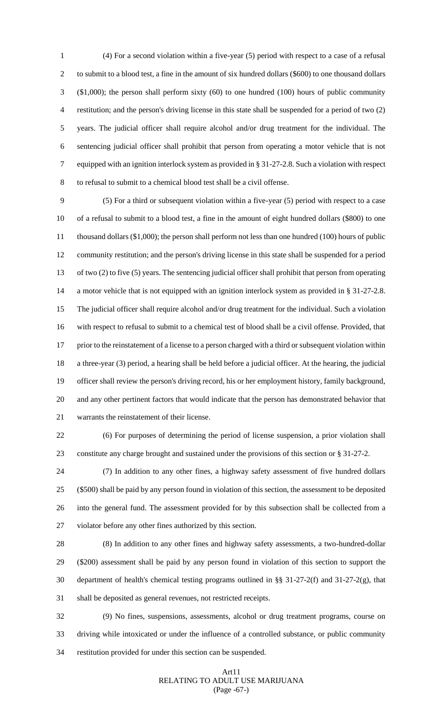(4) For a second violation within a five-year (5) period with respect to a case of a refusal to submit to a blood test, a fine in the amount of six hundred dollars (\$600) to one thousand dollars (\$1,000); the person shall perform sixty (60) to one hundred (100) hours of public community restitution; and the person's driving license in this state shall be suspended for a period of two (2) years. The judicial officer shall require alcohol and/or drug treatment for the individual. The sentencing judicial officer shall prohibit that person from operating a motor vehicle that is not equipped with an ignition interlock system as provided in § 31-27-2.8. Such a violation with respect to refusal to submit to a chemical blood test shall be a civil offense.

 (5) For a third or subsequent violation within a five-year (5) period with respect to a case of a refusal to submit to a blood test, a fine in the amount of eight hundred dollars (\$800) to one thousand dollars (\$1,000); the person shall perform not less than one hundred (100) hours of public community restitution; and the person's driving license in this state shall be suspended for a period of two (2) to five (5) years. The sentencing judicial officer shall prohibit that person from operating a motor vehicle that is not equipped with an ignition interlock system as provided in § 31-27-2.8. The judicial officer shall require alcohol and/or drug treatment for the individual. Such a violation with respect to refusal to submit to a chemical test of blood shall be a civil offense. Provided, that 17 prior to the reinstatement of a license to a person charged with a third or subsequent violation within a three-year (3) period, a hearing shall be held before a judicial officer. At the hearing, the judicial officer shall review the person's driving record, his or her employment history, family background, and any other pertinent factors that would indicate that the person has demonstrated behavior that warrants the reinstatement of their license.

 (6) For purposes of determining the period of license suspension, a prior violation shall constitute any charge brought and sustained under the provisions of this section or § 31-27-2.

 (7) In addition to any other fines, a highway safety assessment of five hundred dollars (\$500) shall be paid by any person found in violation of this section, the assessment to be deposited into the general fund. The assessment provided for by this subsection shall be collected from a violator before any other fines authorized by this section.

 (8) In addition to any other fines and highway safety assessments, a two-hundred-dollar (\$200) assessment shall be paid by any person found in violation of this section to support the department of health's chemical testing programs outlined in §§ 31-27-2(f) and 31-27-2(g), that shall be deposited as general revenues, not restricted receipts.

 (9) No fines, suspensions, assessments, alcohol or drug treatment programs, course on driving while intoxicated or under the influence of a controlled substance, or public community restitution provided for under this section can be suspended.

## Art11 RELATING TO ADULT USE MARIJUANA (Page -67-)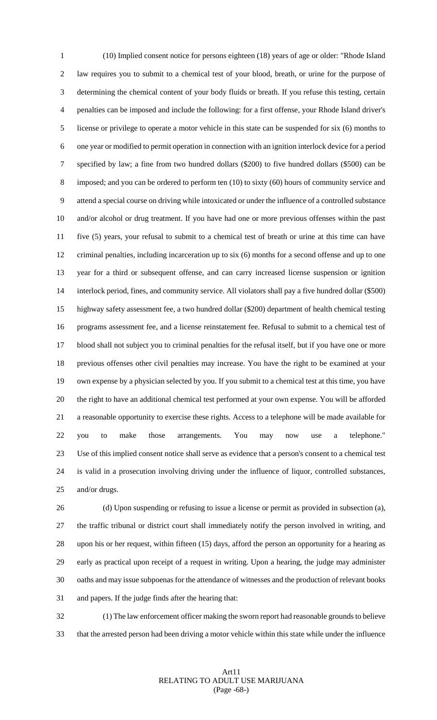(10) Implied consent notice for persons eighteen (18) years of age or older: "Rhode Island law requires you to submit to a chemical test of your blood, breath, or urine for the purpose of determining the chemical content of your body fluids or breath. If you refuse this testing, certain penalties can be imposed and include the following: for a first offense, your Rhode Island driver's license or privilege to operate a motor vehicle in this state can be suspended for six (6) months to one year or modified to permit operation in connection with an ignition interlock device for a period specified by law; a fine from two hundred dollars (\$200) to five hundred dollars (\$500) can be imposed; and you can be ordered to perform ten (10) to sixty (60) hours of community service and attend a special course on driving while intoxicated or under the influence of a controlled substance and/or alcohol or drug treatment. If you have had one or more previous offenses within the past five (5) years, your refusal to submit to a chemical test of breath or urine at this time can have criminal penalties, including incarceration up to six (6) months for a second offense and up to one year for a third or subsequent offense, and can carry increased license suspension or ignition interlock period, fines, and community service. All violators shall pay a five hundred dollar (\$500) highway safety assessment fee, a two hundred dollar (\$200) department of health chemical testing programs assessment fee, and a license reinstatement fee. Refusal to submit to a chemical test of blood shall not subject you to criminal penalties for the refusal itself, but if you have one or more previous offenses other civil penalties may increase. You have the right to be examined at your own expense by a physician selected by you. If you submit to a chemical test at this time, you have the right to have an additional chemical test performed at your own expense. You will be afforded a reasonable opportunity to exercise these rights. Access to a telephone will be made available for you to make those arrangements. You may now use a telephone." Use of this implied consent notice shall serve as evidence that a person's consent to a chemical test is valid in a prosecution involving driving under the influence of liquor, controlled substances, and/or drugs.

 (d) Upon suspending or refusing to issue a license or permit as provided in subsection (a), the traffic tribunal or district court shall immediately notify the person involved in writing, and upon his or her request, within fifteen (15) days, afford the person an opportunity for a hearing as early as practical upon receipt of a request in writing. Upon a hearing, the judge may administer oaths and may issue subpoenas for the attendance of witnesses and the production of relevant books and papers. If the judge finds after the hearing that:

 (1) The law enforcement officer making the sworn report had reasonable grounds to believe that the arrested person had been driving a motor vehicle within this state while under the influence

## Art11 RELATING TO ADULT USE MARIJUANA (Page -68-)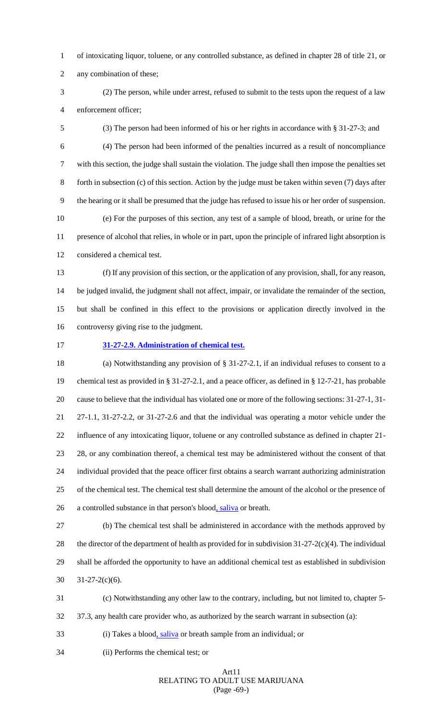of intoxicating liquor, toluene, or any controlled substance, as defined in chapter 28 of title 21, or

any combination of these;

 (2) The person, while under arrest, refused to submit to the tests upon the request of a law enforcement officer;

 (3) The person had been informed of his or her rights in accordance with § 31-27-3; and (4) The person had been informed of the penalties incurred as a result of noncompliance with this section, the judge shall sustain the violation. The judge shall then impose the penalties set forth in subsection (c) of this section. Action by the judge must be taken within seven (7) days after the hearing or it shall be presumed that the judge has refused to issue his or her order of suspension. (e) For the purposes of this section, any test of a sample of blood, breath, or urine for the presence of alcohol that relies, in whole or in part, upon the principle of infrared light absorption is considered a chemical test.

 (f) If any provision of this section, or the application of any provision, shall, for any reason, be judged invalid, the judgment shall not affect, impair, or invalidate the remainder of the section, but shall be confined in this effect to the provisions or application directly involved in the controversy giving rise to the judgment.

## **31-27-2.9. Administration of chemical test.**

 (a) Notwithstanding any provision of § 31-27-2.1, if an individual refuses to consent to a chemical test as provided in § 31-27-2.1, and a peace officer, as defined in § 12-7-21, has probable cause to believe that the individual has violated one or more of the following sections: 31-27-1, 31- 27-1.1, 31-27-2.2, or 31-27-2.6 and that the individual was operating a motor vehicle under the influence of any intoxicating liquor, toluene or any controlled substance as defined in chapter 21- 28, or any combination thereof, a chemical test may be administered without the consent of that individual provided that the peace officer first obtains a search warrant authorizing administration of the chemical test. The chemical test shall determine the amount of the alcohol or the presence of 26 a controlled substance in that person's blood, saliva or breath.

 (b) The chemical test shall be administered in accordance with the methods approved by 28 the director of the department of health as provided for in subdivision  $31-27-2(c)(4)$ . The individual shall be afforded the opportunity to have an additional chemical test as established in subdivision  $31-27-2(c)(6)$ .

(c) Notwithstanding any other law to the contrary, including, but not limited to, chapter 5-

37.3, any health care provider who, as authorized by the search warrant in subsection (a):

(i) Takes a blood, saliva or breath sample from an individual; or

(ii) Performs the chemical test; or

#### Art11 RELATING TO ADULT USE MARIJUANA (Page -69-)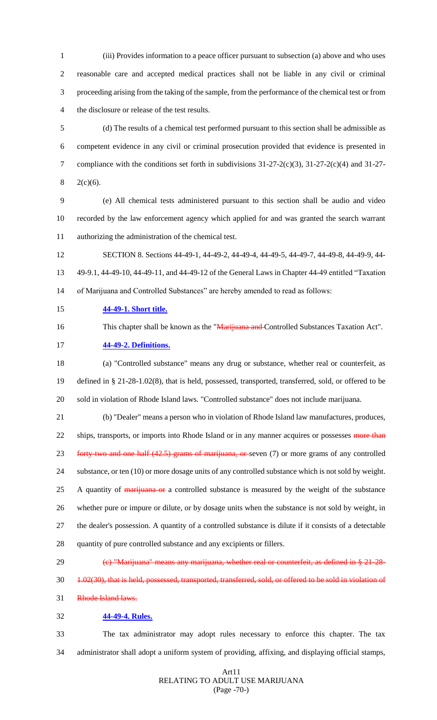(iii) Provides information to a peace officer pursuant to subsection (a) above and who uses reasonable care and accepted medical practices shall not be liable in any civil or criminal proceeding arising from the taking of the sample, from the performance of the chemical test or from the disclosure or release of the test results.

 (d) The results of a chemical test performed pursuant to this section shall be admissible as competent evidence in any civil or criminal prosecution provided that evidence is presented in compliance with the conditions set forth in subdivisions 31-27-2(c)(3), 31-27-2(c)(4) and 31-27-  $8 \t2(c)(6)$ .

 (e) All chemical tests administered pursuant to this section shall be audio and video recorded by the law enforcement agency which applied for and was granted the search warrant authorizing the administration of the chemical test.

 SECTION 8. Sections 44-49-1, 44-49-2, 44-49-4, 44-49-5, 44-49-7, 44-49-8, 44-49-9, 44- 49-9.1, 44-49-10, 44-49-11, and 44-49-12 of the General Laws in Chapter 44-49 entitled "Taxation of Marijuana and Controlled Substances" are hereby amended to read as follows:

**44-49-1. Short title.**

16 This chapter shall be known as the "Marijuana and Controlled Substances Taxation Act".

## **44-49-2. Definitions.**

 (a) "Controlled substance" means any drug or substance, whether real or counterfeit, as defined in § 21-28-1.02(8), that is held, possessed, transported, transferred, sold, or offered to be sold in violation of Rhode Island laws. "Controlled substance" does not include marijuana.

 (b) "Dealer" means a person who in violation of Rhode Island law manufactures, produces, 22 ships, transports, or imports into Rhode Island or in any manner acquires or possesses more than 23 forty-two and one half (42.5) grams of marijuana, or seven (7) or more grams of any controlled substance, or ten (10) or more dosage units of any controlled substance which is not sold by weight. 25 A quantity of marijuana or a controlled substance is measured by the weight of the substance whether pure or impure or dilute, or by dosage units when the substance is not sold by weight, in the dealer's possession. A quantity of a controlled substance is dilute if it consists of a detectable

- quantity of pure controlled substance and any excipients or fillers.
- 29 (e) "Marijuana" means any marijuana, whether real or counterfeit, as defined in § 21-28-
- 30 1.02(30), that is held, possessed, transported, transferred, sold, or offered to be sold in violation of

Rhode Island laws.

## **44-49-4. Rules.**

 The tax administrator may adopt rules necessary to enforce this chapter. The tax administrator shall adopt a uniform system of providing, affixing, and displaying official stamps,

## Art11 RELATING TO ADULT USE MARIJUANA (Page -70-)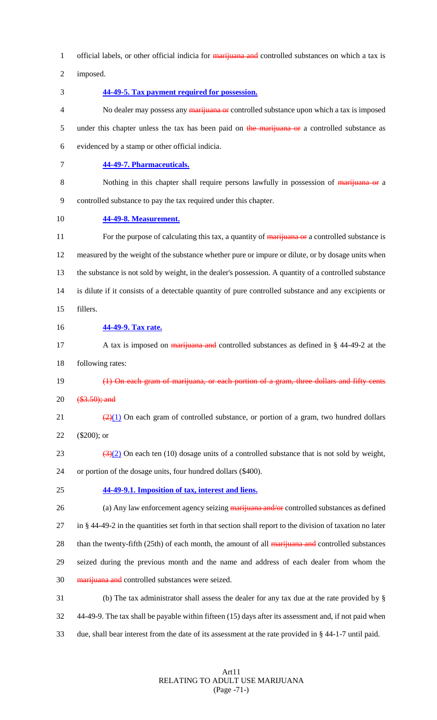1 official labels, or other official indicia for marijuana and controlled substances on which a tax is

2 imposed.

3 **44-49-5. Tax payment required for possession.**

4 No dealer may possess any marijuana or controlled substance upon which a tax is imposed 5 under this chapter unless the tax has been paid on the marijuana or a controlled substance as 6 evidenced by a stamp or other official indicia.

7 **44-49-7. Pharmaceuticals.**

8 Nothing in this chapter shall require persons lawfully in possession of marijuana or a 9 controlled substance to pay the tax required under this chapter.

10 **44-49-8. Measurement.**

11 For the purpose of calculating this tax, a quantity of marijuana or a controlled substance is 12 measured by the weight of the substance whether pure or impure or dilute, or by dosage units when 13 the substance is not sold by weight, in the dealer's possession. A quantity of a controlled substance 14 is dilute if it consists of a detectable quantity of pure controlled substance and any excipients or 15 fillers.

- 16 **44-49-9. Tax rate.**
- 17 A tax is imposed on marijuana and controlled substances as defined in § 44-49-2 at the 18 following rates:

19 (1) On each gram of marijuana, or each portion of a gram, three dollars and fifty cents  $20 \quad$   $($3.50)$$ ; and

- 21  $\left(\frac{2}{1}\right)$  On each gram of controlled substance, or portion of a gram, two hundred dollars 22 (\$200); or
- 23  $(3)(2)$  On each ten (10) dosage units of a controlled substance that is not sold by weight,

24 or portion of the dosage units, four hundred dollars (\$400).

25 **44-49-9.1. Imposition of tax, interest and liens.**

26 (a) Any law enforcement agency seizing marijuana and/or controlled substances as defined 27 in § 44-49-2 in the quantities set forth in that section shall report to the division of taxation no later 28 than the twenty-fifth (25th) of each month, the amount of all marijuana and controlled substances 29 seized during the previous month and the name and address of each dealer from whom the 30 marijuana and controlled substances were seized. 31 (b) The tax administrator shall assess the dealer for any tax due at the rate provided by §

32 44-49-9. The tax shall be payable within fifteen (15) days after its assessment and, if not paid when 33 due, shall bear interest from the date of its assessment at the rate provided in § 44-1-7 until paid.

## Art11 RELATING TO ADULT USE MARIJUANA (Page -71-)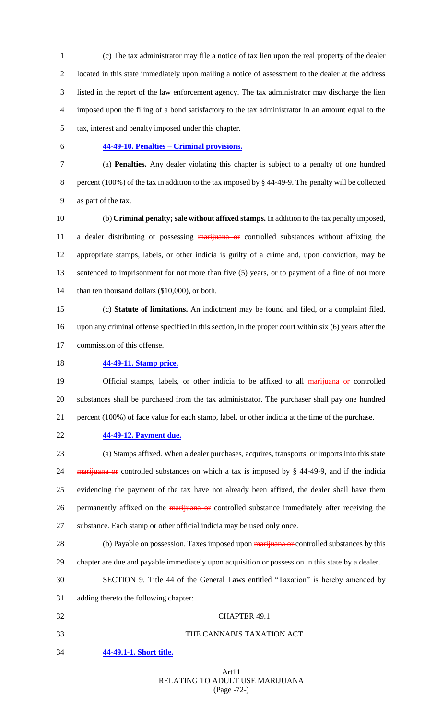(c) The tax administrator may file a notice of tax lien upon the real property of the dealer located in this state immediately upon mailing a notice of assessment to the dealer at the address listed in the report of the law enforcement agency. The tax administrator may discharge the lien imposed upon the filing of a bond satisfactory to the tax administrator in an amount equal to the tax, interest and penalty imposed under this chapter.

# **44-49-10. Penalties – Criminal provisions.**

 (a) **Penalties.** Any dealer violating this chapter is subject to a penalty of one hundred percent (100%) of the tax in addition to the tax imposed by § 44-49-9. The penalty will be collected as part of the tax.

 (b) **Criminal penalty; sale without affixed stamps.** In addition to the tax penalty imposed, 11 a dealer distributing or possessing marijuana or controlled substances without affixing the appropriate stamps, labels, or other indicia is guilty of a crime and, upon conviction, may be 13 sentenced to imprisonment for not more than five (5) years, or to payment of a fine of not more 14 than ten thousand dollars (\$10,000), or both.

 (c) **Statute of limitations.** An indictment may be found and filed, or a complaint filed, upon any criminal offense specified in this section, in the proper court within six (6) years after the commission of this offense.

## **44-49-11. Stamp price.**

19 Official stamps, labels, or other indicia to be affixed to all marijuana or controlled substances shall be purchased from the tax administrator. The purchaser shall pay one hundred percent (100%) of face value for each stamp, label, or other indicia at the time of the purchase.

**44-49-12. Payment due.**

 (a) Stamps affixed. When a dealer purchases, acquires, transports, or imports into this state 24 marijuana or controlled substances on which a tax is imposed by § 44-49-9, and if the indicia evidencing the payment of the tax have not already been affixed, the dealer shall have them 26 permanently affixed on the marijuana or controlled substance immediately after receiving the substance. Each stamp or other official indicia may be used only once.

28 (b) Payable on possession. Taxes imposed upon marijuana or controlled substances by this

chapter are due and payable immediately upon acquisition or possession in this state by a dealer.

SECTION 9. Title 44 of the General Laws entitled "Taxation" is hereby amended by

adding thereto the following chapter:

 CHAPTER 49.1 THE CANNABIS TAXATION ACT **44-49.1-1. Short title.**

> Art11 RELATING TO ADULT USE MARIJUANA (Page -72-)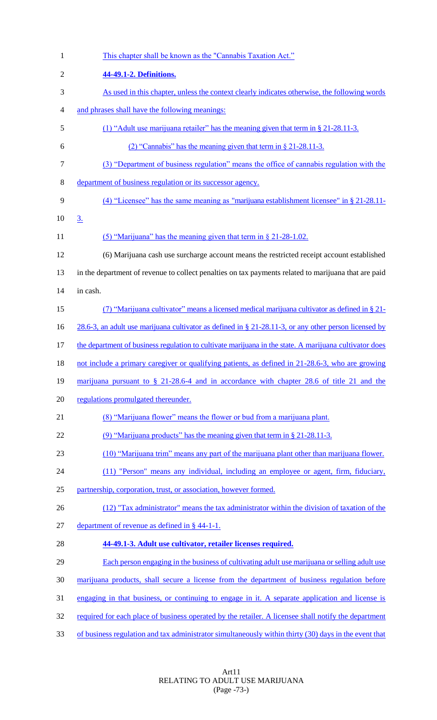| $\mathbf{1}$   | This chapter shall be known as the "Cannabis Taxation Act."                                              |
|----------------|----------------------------------------------------------------------------------------------------------|
| $\overline{2}$ | 44-49.1-2. Definitions.                                                                                  |
| 3              | As used in this chapter, unless the context clearly indicates otherwise, the following words             |
| 4              | and phrases shall have the following meanings:                                                           |
| 5              | (1) "Adult use marijuana retailer" has the meaning given that term in § 21-28.11-3.                      |
| 6              | (2) "Cannabis" has the meaning given that term in $\S 21-28.11-3$ .                                      |
| 7              | (3) "Department of business regulation" means the office of cannabis regulation with the                 |
| 8              | department of business regulation or its successor agency.                                               |
| 9              | $(4)$ "Licensee" has the same meaning as "marijuana establishment licensee" in § 21-28.11-               |
| 10             | 3.                                                                                                       |
| 11             | $(5)$ "Marijuana" has the meaning given that term in § 21-28-1.02.                                       |
| 12             | (6) Marijuana cash use surcharge account means the restricted receipt account established                |
| 13             | in the department of revenue to collect penalties on tax payments related to marijuana that are paid     |
| 14             | in cash.                                                                                                 |
| 15             | (7) "Marijuana cultivator" means a licensed medical marijuana cultivator as defined in $\S$ 21-          |
| 16             | 28.6-3, an adult use marijuana cultivator as defined in $\S$ 21-28.11-3, or any other person licensed by |
| 17             | the department of business regulation to cultivate marijuana in the state. A marijuana cultivator does   |
| 18             | not include a primary caregiver or qualifying patients, as defined in 21-28.6-3, who are growing         |
| 19             | marijuana pursuant to $\S$ 21-28.6-4 and in accordance with chapter 28.6 of title 21 and the             |
| 20             | regulations promulgated thereunder.                                                                      |
| 21             | (8) "Marijuana flower" means the flower or bud from a marijuana plant.                                   |
| 22             | (9) "Marijuana products" has the meaning given that term in $\S 21-28.11-3$ .                            |
| 23             | (10) "Marijuana trim" means any part of the marijuana plant other than marijuana flower.                 |
| 24             | (11) "Person" means any individual, including an employee or agent, firm, fiduciary,                     |
| 25             | partnership, corporation, trust, or association, however formed.                                         |
| 26             | (12) "Tax administrator" means the tax administrator within the division of taxation of the              |
| 27             | department of revenue as defined in $\S$ 44-1-1.                                                         |
| 28             | 44-49.1-3. Adult use cultivator, retailer licenses required.                                             |
| 29             | Each person engaging in the business of cultivating adult use marijuana or selling adult use             |
| 30             | marijuana products, shall secure a license from the department of business regulation before             |
| 31             | engaging in that business, or continuing to engage in it. A separate application and license is          |
| 32             | required for each place of business operated by the retailer. A licensee shall notify the department     |
| 33             | of business regulation and tax administrator simultaneously within thirty (30) days in the event that    |

Art11 RELATING TO ADULT USE MARIJUANA (Page -73-)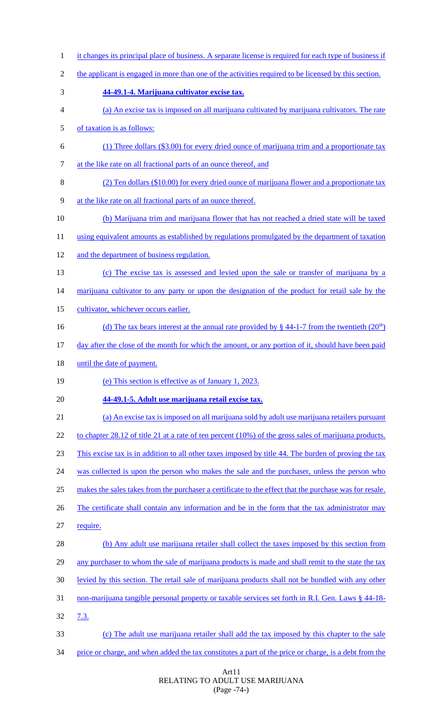1 it changes its principal place of business. A separate license is required for each type of business if the applicant is engaged in more than one of the activities required to be licensed by this section. **44-49.1-4. Marijuana cultivator excise tax.** (a) An excise tax is imposed on all marijuana cultivated by marijuana cultivators. The rate of taxation is as follows: (1) Three dollars (\$3.00) for every dried ounce of marijuana trim and a proportionate tax at the like rate on all fractional parts of an ounce thereof, and (2) Ten dollars (\$10.00) for every dried ounce of marijuana flower and a proportionate tax at the like rate on all fractional parts of an ounce thereof. (b) Marijuana trim and marijuana flower that has not reached a dried state will be taxed 11 using equivalent amounts as established by regulations promulgated by the department of taxation and the department of business regulation. (c) The excise tax is assessed and levied upon the sale or transfer of marijuana by a 14 marijuana cultivator to any party or upon the designation of the product for retail sale by the 15 cultivator, whichever occurs earlier. 16 (d) The tax bears interest at the annual rate provided by  $\S$  44-1-7 from the twentieth  $(20<sup>th</sup>)$  day after the close of the month for which the amount, or any portion of it, should have been paid 18 until the date of payment. (e) This section is effective as of January 1, 2023. **44-49.1-5. Adult use marijuana retail excise tax.** (a) An excise tax is imposed on all marijuana sold by adult use marijuana retailers pursuant 22 to chapter 28.12 of title 21 at a rate of ten percent (10%) of the gross sales of marijuana products. This excise tax is in addition to all other taxes imposed by title 44. The burden of proving the tax 24 was collected is upon the person who makes the sale and the purchaser, unless the person who makes the sales takes from the purchaser a certificate to the effect that the purchase was for resale. 26 The certificate shall contain any information and be in the form that the tax administrator may require. (b) Any adult use marijuana retailer shall collect the taxes imposed by this section from 29 any purchaser to whom the sale of marijuana products is made and shall remit to the state the tax levied by this section. The retail sale of marijuana products shall not be bundled with any other non-marijuana tangible personal property or taxable services set forth in R.I. Gen. Laws § 44-18- 7.3. (c) The adult use marijuana retailer shall add the tax imposed by this chapter to the sale price or charge, and when added the tax constitutes a part of the price or charge, is a debt from the

### Art11 RELATING TO ADULT USE MARIJUANA (Page -74-)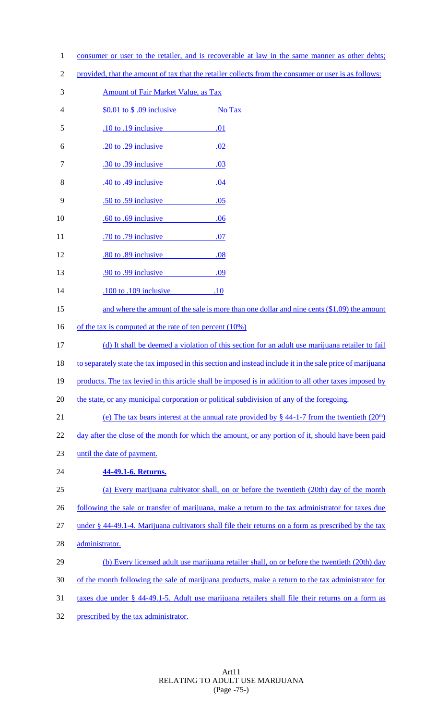- 1 consumer or user to the retailer, and is recoverable at law in the same manner as other debts;
- 2 provided, that the amount of tax that the retailer collects from the consumer or user is as follows:
- 3 Amount of Fair Market Value, as Tax
- 4 \$0.01 to \$.09 inclusive No Tax
- 5 .10 to .19 inclusive .01
- 6 .20 to .29 inclusive .02
- 7 .30 to .39 inclusive .03
- 8 .40 to .49 inclusive .04
- 9 .50 to .59 inclusive .05
- 10 .60 to .69 inclusive .06
- 11 .70 to .79 inclusive .07
- 12 .80 to .89 inclusive .08
- 13 .90 to .99 inclusive .09 14 .100 to .109 inclusive .10
- 15 and where the amount of the sale is more than one dollar and nine cents (\$1.09) the amount
- 16 of the tax is computed at the rate of ten percent (10%)
- 17 (d) It shall be deemed a violation of this section for an adult use marijuana retailer to fail
- 18 to separately state the tax imposed in this section and instead include it in the sale price of marijuana
- 19 products. The tax levied in this article shall be imposed is in addition to all other taxes imposed by
- 20 the state, or any municipal corporation or political subdivision of any of the foregoing.
- (e) The tax bears interest at the annual rate provided by  $\S$  44-1-7 from the twentieth  $(20<sup>th</sup>)$
- 22 day after the close of the month for which the amount, or any portion of it, should have been paid
- 23 until the date of payment.

# 24 **44-49.1-6. Returns.**

- 25 (a) Every marijuana cultivator shall, on or before the twentieth (20th) day of the month 26 following the sale or transfer of marijuana, make a return to the tax administrator for taxes due 27 under § 44-49.1-4. Marijuana cultivators shall file their returns on a form as prescribed by the tax 28 administrator. 29 (b) Every licensed adult use marijuana retailer shall, on or before the twentieth (20th) day
- 30 of the month following the sale of marijuana products, make a return to the tax administrator for
- 31 taxes due under § 44-49.1-5. Adult use marijuana retailers shall file their returns on a form as
- 32 prescribed by the tax administrator.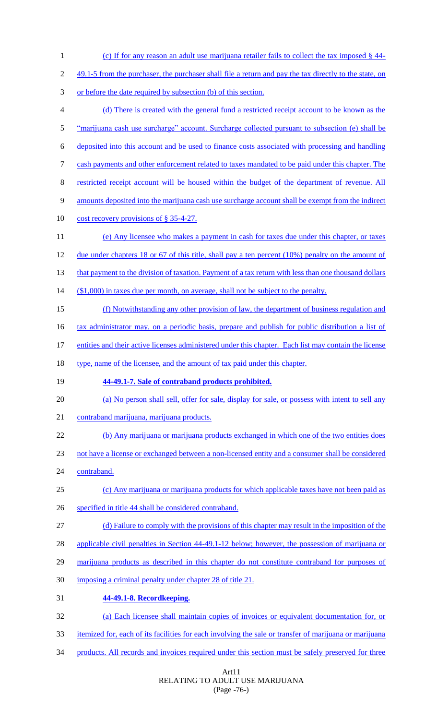| $\mathbf{1}$   | (c) If for any reason an adult use marijuana retailer fails to collect the tax imposed $\S$ 44-        |
|----------------|--------------------------------------------------------------------------------------------------------|
| $\overline{2}$ | 49.1-5 from the purchaser, the purchaser shall file a return and pay the tax directly to the state, on |
| 3              | or before the date required by subsection (b) of this section.                                         |
| $\overline{4}$ | (d) There is created with the general fund a restricted receipt account to be known as the             |
| 5              | "marijuana cash use surcharge" account. Surcharge collected pursuant to subsection (e) shall be        |
| 6              | deposited into this account and be used to finance costs associated with processing and handling       |
| 7              | cash payments and other enforcement related to taxes mandated to be paid under this chapter. The       |
| 8              | restricted receipt account will be housed within the budget of the department of revenue. All          |
| 9              | amounts deposited into the marijuana cash use surcharge account shall be exempt from the indirect      |
| 10             | cost recovery provisions of § 35-4-27.                                                                 |
| 11             | (e) Any licensee who makes a payment in cash for taxes due under this chapter, or taxes                |
| 12             | due under chapters 18 or 67 of this title, shall pay a ten percent $(10\%)$ penalty on the amount of   |
| 13             | that payment to the division of taxation. Payment of a tax return with less than one thousand dollars  |
| 14             | $($1,000)$ in taxes due per month, on average, shall not be subject to the penalty.                    |
| 15             | (f) Notwithstanding any other provision of law, the department of business regulation and              |
| 16             | tax administrator may, on a periodic basis, prepare and publish for public distribution a list of      |
| 17             | entities and their active licenses administered under this chapter. Each list may contain the license  |
| 18             | type, name of the licensee, and the amount of tax paid under this chapter.                             |
| 19             | 44-49.1-7. Sale of contraband products prohibited.                                                     |
| 20             | (a) No person shall sell, offer for sale, display for sale, or possess with intent to sell any         |
| 21             | contraband marijuana, marijuana products.                                                              |
| 22             | (b) Any marijuana or marijuana products exchanged in which one of the two entities does                |
| 23             | not have a license or exchanged between a non-licensed entity and a consumer shall be considered       |
| 24             | contraband.                                                                                            |
| 25             | (c) Any marijuana or marijuana products for which applicable taxes have not been paid as               |
| 26             | specified in title 44 shall be considered contraband.                                                  |
| 27             | (d) Failure to comply with the provisions of this chapter may result in the imposition of the          |
| 28             | <u>applicable civil penalties in Section 44-49.1-12 below; however, the possession of marijuana or</u> |
| 29             | marijuana products as described in this chapter do not constitute contraband for purposes of           |
| 30             | imposing a criminal penalty under chapter 28 of title 21.                                              |
| 31             | 44-49.1-8. Recordkeeping.                                                                              |
| 32             | (a) Each licensee shall maintain copies of invoices or equivalent documentation for, or                |
| 33             | itemized for, each of its facilities for each involving the sale or transfer of marijuana or marijuana |
|                |                                                                                                        |
| 34             | products. All records and invoices required under this section must be safely preserved for three      |

### Art11 RELATING TO ADULT USE MARIJUANA (Page -76-)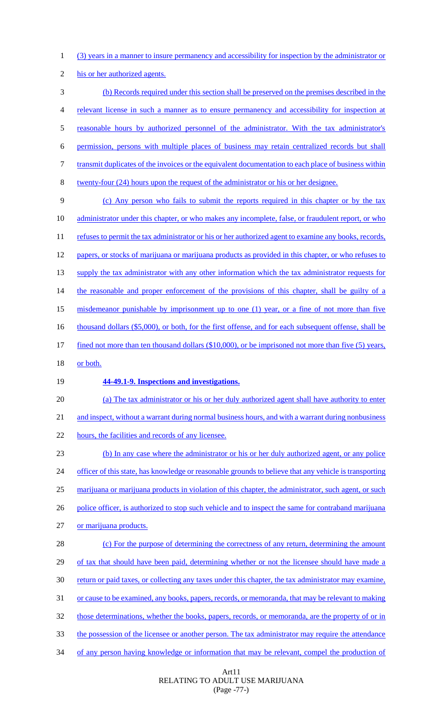1 (3) years in a manner to insure permanency and accessibility for inspection by the administrator or

2 his or her authorized agents.

 (b) Records required under this section shall be preserved on the premises described in the relevant license in such a manner as to ensure permanency and accessibility for inspection at reasonable hours by authorized personnel of the administrator. With the tax administrator's permission, persons with multiple places of business may retain centralized records but shall 7 transmit duplicates of the invoices or the equivalent documentation to each place of business within twenty-four (24) hours upon the request of the administrator or his or her designee.

9 (c) Any person who fails to submit the reports required in this chapter or by the tax 10 administrator under this chapter, or who makes any incomplete, false, or fraudulent report, or who 11 refuses to permit the tax administrator or his or her authorized agent to examine any books, records, 12 papers, or stocks of marijuana or marijuana products as provided in this chapter, or who refuses to 13 supply the tax administrator with any other information which the tax administrator requests for 14 the reasonable and proper enforcement of the provisions of this chapter, shall be guilty of a 15 misdemeanor punishable by imprisonment up to one (1) year, or a fine of not more than five 16 thousand dollars (\$5,000), or both, for the first offense, and for each subsequent offense, shall be 17 fined not more than ten thousand dollars (\$10,000), or be imprisoned not more than five (5) years, 18 or both.

## 19 **44-49.1-9. Inspections and investigations.**

20 (a) The tax administrator or his or her duly authorized agent shall have authority to enter 21 and inspect, without a warrant during normal business hours, and with a warrant during nonbusiness

22 hours, the facilities and records of any licensee.

23 (b) In any case where the administrator or his or her duly authorized agent, or any police 24 officer of this state, has knowledge or reasonable grounds to believe that any vehicle is transporting 25 marijuana or marijuana products in violation of this chapter, the administrator, such agent, or such 26 police officer, is authorized to stop such vehicle and to inspect the same for contraband marijuana 27 or marijuana products.

 (c) For the purpose of determining the correctness of any return, determining the amount of tax that should have been paid, determining whether or not the licensee should have made a return or paid taxes, or collecting any taxes under this chapter, the tax administrator may examine, or cause to be examined, any books, papers, records, or memoranda, that may be relevant to making 32 those determinations, whether the books, papers, records, or memoranda, are the property of or in the possession of the licensee or another person. The tax administrator may require the attendance 34 of any person having knowledge or information that may be relevant, compel the production of

> Art11 RELATING TO ADULT USE MARIJUANA (Page -77-)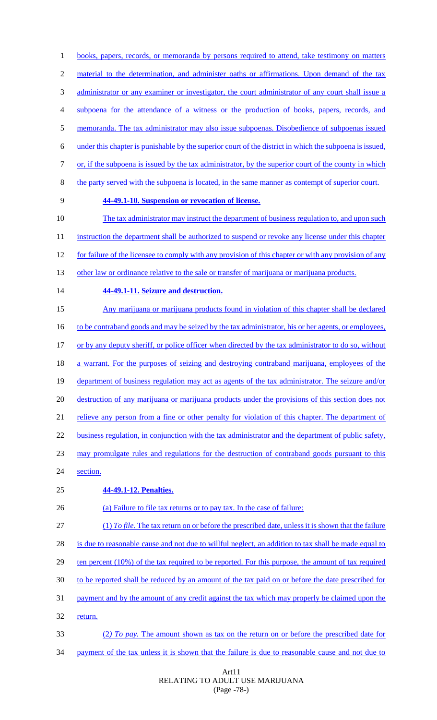2 material to the determination, and administer oaths or affirmations. Upon demand of the tax administrator or any examiner or investigator, the court administrator of any court shall issue a subpoena for the attendance of a witness or the production of books, papers, records, and memoranda. The tax administrator may also issue subpoenas. Disobedience of subpoenas issued under this chapter is punishable by the superior court of the district in which the subpoena is issued, or, if the subpoena is issued by the tax administrator, by the superior court of the county in which the party served with the subpoena is located, in the same manner as contempt of superior court. **44-49.1-10. Suspension or revocation of license.** The tax administrator may instruct the department of business regulation to, and upon such 11 instruction the department shall be authorized to suspend or revoke any license under this chapter for failure of the licensee to comply with any provision of this chapter or with any provision of any 13 other law or ordinance relative to the sale or transfer of marijuana or marijuana products. **44-49.1-11. Seizure and destruction.** Any marijuana or marijuana products found in violation of this chapter shall be declared 16 to be contraband goods and may be seized by the tax administrator, his or her agents, or employees, or by any deputy sheriff, or police officer when directed by the tax administrator to do so, without a warrant. For the purposes of seizing and destroying contraband marijuana, employees of the department of business regulation may act as agents of the tax administrator. The seizure and/or destruction of any marijuana or marijuana products under the provisions of this section does not 21 relieve any person from a fine or other penalty for violation of this chapter. The department of 22 business regulation, in conjunction with the tax administrator and the department of public safety, may promulgate rules and regulations for the destruction of contraband goods pursuant to this section. **44-49.1-12. Penalties.** 26 (a) Failure to file tax returns or to pay tax. In the case of failure: (1) *To file.* The tax return on or before the prescribed date, unless it is shown that the failure 28 is due to reasonable cause and not due to willful neglect, an addition to tax shall be made equal to ten percent (10%) of the tax required to be reported. For this purpose, the amount of tax required to be reported shall be reduced by an amount of the tax paid on or before the date prescribed for payment and by the amount of any credit against the tax which may properly be claimed upon the 32 return. (2*) To pay.* The amount shown as tax on the return on or before the prescribed date for 34 payment of the tax unless it is shown that the failure is due to reasonable cause and not due to

1 books, papers, records, or memoranda by persons required to attend, take testimony on matters

#### Art11 RELATING TO ADULT USE MARIJUANA (Page -78-)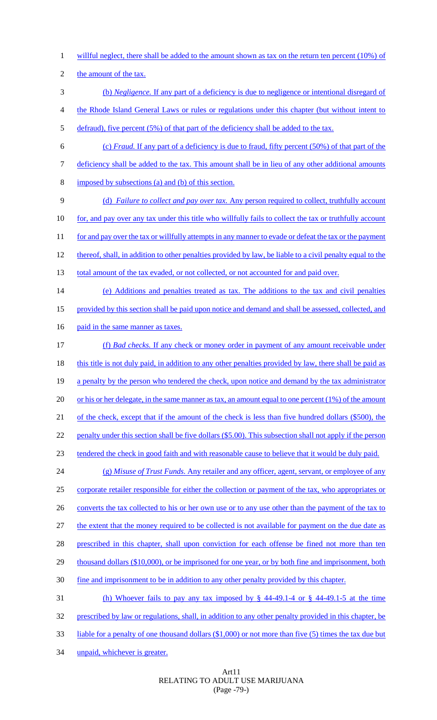- 1 willful neglect, there shall be added to the amount shown as tax on the return ten percent (10%) of
- 2 the amount of the tax.
- 3 (b) *Negligence.* If any part of a deficiency is due to negligence or intentional disregard of
- 4 the Rhode Island General Laws or rules or regulations under this chapter (but without intent to
- 5 defraud), five percent (5%) of that part of the deficiency shall be added to the tax.
- 6 (c) *Fraud.* If any part of a deficiency is due to fraud, fifty percent (50%) of that part of the
- 7 deficiency shall be added to the tax. This amount shall be in lieu of any other additional amounts
- 8 imposed by subsections (a) and (b) of this section.
- 9 (d) *Failure to collect and pay over tax.* Any person required to collect, truthfully account 10 for, and pay over any tax under this title who willfully fails to collect the tax or truthfully account 11 for and pay over the tax or willfully attempts in any manner to evade or defeat the tax or the payment 12 thereof, shall, in addition to other penalties provided by law, be liable to a civil penalty equal to the 13 total amount of the tax evaded, or not collected, or not accounted for and paid over.
- 14 (e) Additions and penalties treated as tax. The additions to the tax and civil penalties 15 provided by this section shall be paid upon notice and demand and shall be assessed, collected, and
- 16 paid in the same manner as taxes.
- 17 (f) *Bad checks.* If any check or money order in payment of any amount receivable under 18 this title is not duly paid, in addition to any other penalties provided by law, there shall be paid as 19 a penalty by the person who tendered the check, upon notice and demand by the tax administrator 20 or his or her delegate, in the same manner as tax, an amount equal to one percent (1%) of the amount 21 of the check, except that if the amount of the check is less than five hundred dollars (\$500), the 22 penalty under this section shall be five dollars (\$5.00). This subsection shall not apply if the person 23 tendered the check in good faith and with reasonable cause to believe that it would be duly paid.
- 24 (g) *Misuse of Trust Funds.* Any retailer and any officer, agent, servant, or employee of any 25 corporate retailer responsible for either the collection or payment of the tax, who appropriates or 26 converts the tax collected to his or her own use or to any use other than the payment of the tax to 27 the extent that the money required to be collected is not available for payment on the due date as 28 prescribed in this chapter, shall upon conviction for each offense be fined not more than ten 29 thousand dollars (\$10,000), or be imprisoned for one year, or by both fine and imprisonment, both 30 fine and imprisonment to be in addition to any other penalty provided by this chapter. 31 (h) Whoever fails to pay any tax imposed by § 44-49.1-4 or § 44-49.1-5 at the time 32 prescribed by law or regulations, shall, in addition to any other penalty provided in this chapter, be
- 33 liable for a penalty of one thousand dollars (\$1,000) or not more than five (5) times the tax due but
- 34 unpaid, whichever is greater.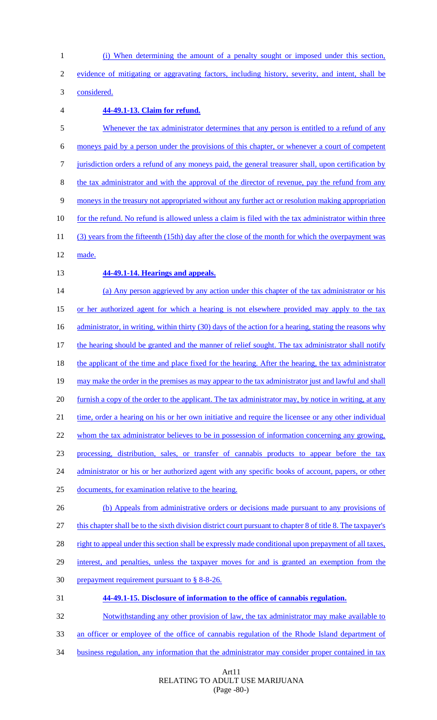(i) When determining the amount of a penalty sought or imposed under this section, evidence of mitigating or aggravating factors, including history, severity, and intent, shall be

considered.

## **44-49.1-13. Claim for refund.**

5 Whenever the tax administrator determines that any person is entitled to a refund of any moneys paid by a person under the provisions of this chapter, or whenever a court of competent jurisdiction orders a refund of any moneys paid, the general treasurer shall, upon certification by the tax administrator and with the approval of the director of revenue, pay the refund from any moneys in the treasury not appropriated without any further act or resolution making appropriation 10 for the refund. No refund is allowed unless a claim is filed with the tax administrator within three (3) years from the fifteenth (15th) day after the close of the month for which the overpayment was made. **44-49.1-14. Hearings and appeals.** 14 (a) Any person aggrieved by any action under this chapter of the tax administrator or his or her authorized agent for which a hearing is not elsewhere provided may apply to the tax 16 administrator, in writing, within thirty (30) days of the action for a hearing, stating the reasons why 17 the hearing should be granted and the manner of relief sought. The tax administrator shall notify 18 the applicant of the time and place fixed for the hearing. After the hearing, the tax administrator may make the order in the premises as may appear to the tax administrator just and lawful and shall furnish a copy of the order to the applicant. The tax administrator may, by notice in writing, at any 21 time, order a hearing on his or her own initiative and require the licensee or any other individual whom the tax administrator believes to be in possession of information concerning any growing, processing, distribution, sales, or transfer of cannabis products to appear before the tax 24 administrator or his or her authorized agent with any specific books of account, papers, or other documents, for examination relative to the hearing. 26 (b) Appeals from administrative orders or decisions made pursuant to any provisions of this chapter shall be to the sixth division district court pursuant to chapter 8 of title 8. The taxpayer's 28 right to appeal under this section shall be expressly made conditional upon prepayment of all taxes, interest, and penalties, unless the taxpayer moves for and is granted an exemption from the prepayment requirement pursuant to § 8-8-26. **44-49.1-15. Disclosure of information to the office of cannabis regulation.** Notwithstanding any other provision of law, the tax administrator may make available to an officer or employee of the office of cannabis regulation of the Rhode Island department of

business regulation, any information that the administrator may consider proper contained in tax

Art11 RELATING TO ADULT USE MARIJUANA (Page -80-)